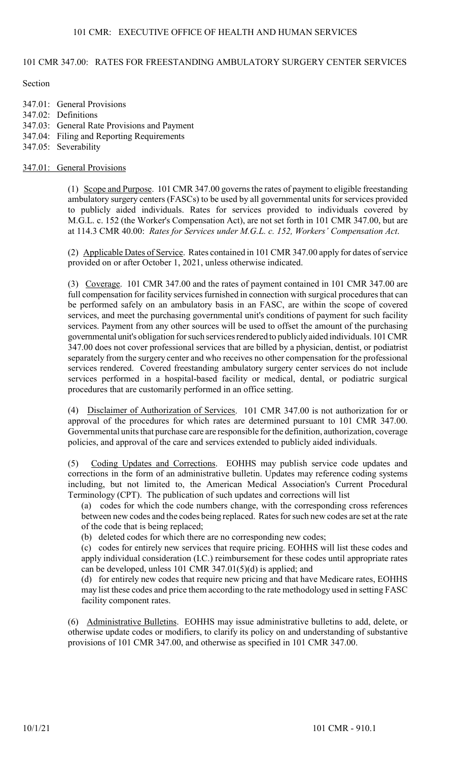# 101 CMR 347.00: RATES FOR FREESTANDING AMBULATORY SURGERY CENTER SERVICES

**Section** 

347.01: General Provisions 347.02: Definitions 347.03: General Rate Provisions and Payment 347.04: Filing and Reporting Requirements 347.05: Severability

#### 347.01: General Provisions

(1) Scope and Purpose. 101 CMR 347.00 governs the rates of payment to eligible freestanding ambulatory surgery centers (FASCs) to be used by all governmental units for services provided to publicly aided individuals. Rates for services provided to individuals covered by M.G.L. c. 152 (the Worker's Compensation Act), are not set forth in 101 CMR 347.00, but are at 114.3 CMR 40.00: Rates for Services under M.G.L. c. 152, Workers' Compensation Act.

(2) Applicable Dates of Service. Rates contained in 101 CMR 347.00 apply for dates of service provided on or after October 1, 2021, unless otherwise indicated.

(3) Coverage. 101 CMR 347.00 and the rates of payment contained in 101 CMR 347.00 are full compensation for facility services furnished in connection with surgical procedures that can be performed safely on an ambulatory basis in an FASC, are within the scope of covered services, and meet the purchasing governmental unit's conditions of payment for such facility services. Payment from any other sources will be used to offset the amount of the purchasing governmental unit's obligation for such services rendered to publicly aided individuals. 101 CMR 347.00 does not cover professional services that are billed by a physician, dentist, or podiatrist separately from the surgery center and who receives no other compensation for the professional services rendered. Covered freestanding ambulatory surgery center services do not include services performed in a hospital-based facility or medical, dental, or podiatric surgical procedures that are customarily performed in an office setting.

(4) Disclaimer of Authorization of Services. 101 CMR 347.00 is not authorization for or approval of the procedures for which rates are determined pursuant to 101 CMR 347.00. Governmental units that purchase care are responsible for the definition, authorization, coverage policies, and approval of the care and services extended to publicly aided individuals.

(5) Coding Updates and Corrections. EOHHS may publish service code updates and corrections in the form of an administrative bulletin. Updates may reference coding systems including, but not limited to, the American Medical Association's Current Procedural Terminology (CPT). The publication of such updates and corrections will list

(a) codes for which the code numbers change, with the corresponding cross references between new codes and the codes being replaced. Rates for such new codes are set at the rate of the code that is being replaced;

(b) deleted codes for which there are no corresponding new codes;

(c) codes for entirely new services that require pricing. EOHHS will list these codes and apply individual consideration (I.C.) reimbursement for these codes until appropriate rates can be developed, unless 101 CMR 347.01(5)(d) is applied; and

(d) for entirely new codes that require new pricing and that have Medicare rates, EOHHS may list these codes and price them according to the rate methodology used in setting FASC facility component rates.

(6) Administrative Bulletins. EOHHS may issue administrative bulletins to add, delete, or otherwise update codes or modifiers, to clarify its policy on and understanding of substantive provisions of 101 CMR 347.00, and otherwise as specified in 101 CMR 347.00.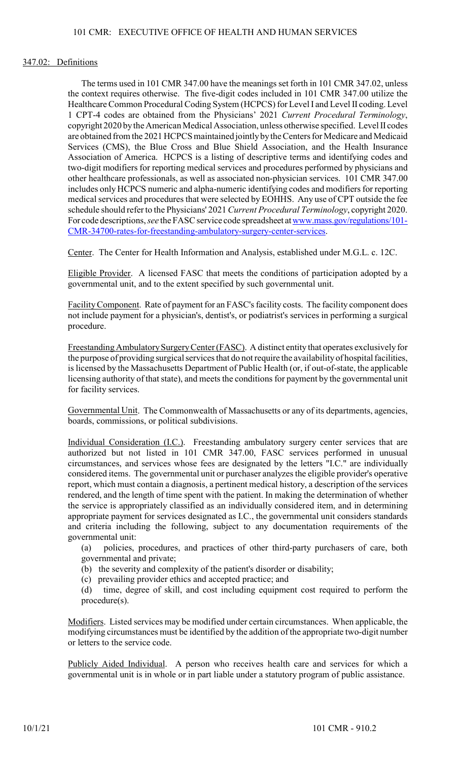#### 347.02: Definitions

The terms used in 101 CMR 347.00 have the meanings set forth in 101 CMR 347.02, unless the context requires otherwise. The five-digit codes included in 101 CMR 347.00 utilize the Healthcare Common Procedural Coding System (HCPCS) for Level I and Level II coding. Level 1 CPT-4 codes are obtained from the Physicians' 2021 Current Procedural Terminology, copyright 2020 by the American Medical Association, unless otherwise specified. Level II codes are obtained from the 2021 HCPCS maintained jointly by the Centers for Medicare and Medicaid Services (CMS), the Blue Cross and Blue Shield Association, and the Health Insurance Association of America. HCPCS is a listing of descriptive terms and identifying codes and two-digit modifiers for reporting medical services and procedures performed by physicians and other healthcare professionals, as well as associated non-physician services. 101 CMR 347.00 includes only HCPCS numeric and alpha-numeric identifying codes and modifiers for reporting medical services and procedures that were selected by EOHHS. Any use of CPT outside the fee schedule should refer to the Physicians' 2021 Current Procedural Terminology, copyright 2020. For code descriptions, see the FASC service code spreadsheet at www.mass.gov/regulations/101- CMR-34700-rates-for-freestanding-ambulatory-surgery-center-services.

Center. The Center for Health Information and Analysis, established under M.G.L. c. 12C.

Eligible Provider. A licensed FASC that meets the conditions of participation adopted by a governmental unit, and to the extent specified by such governmental unit.

Facility Component. Rate of payment for an FASC's facility costs. The facility component does not include payment for a physician's, dentist's, or podiatrist's services in performing a surgical procedure.

Freestanding Ambulatory Surgery Center (FASC). A distinct entity that operates exclusively for the purpose of providing surgical services that do not require the availability of hospital facilities, is licensed by the Massachusetts Department of Public Health (or, if out-of-state, the applicable licensing authority of that state), and meets the conditions for payment by the governmental unit for facility services.

Governmental Unit. The Commonwealth of Massachusetts or any of its departments, agencies, boards, commissions, or political subdivisions.

Individual Consideration (I.C.). Freestanding ambulatory surgery center services that are authorized but not listed in 101 CMR 347.00, FASC services performed in unusual circumstances, and services whose fees are designated by the letters "I.C." are individually considered items. The governmental unit or purchaser analyzes the eligible provider's operative report, which must contain a diagnosis, a pertinent medical history, a description of the services rendered, and the length of time spent with the patient. In making the determination of whether the service is appropriately classified as an individually considered item, and in determining appropriate payment for services designated as I.C., the governmental unit considers standards and criteria including the following, subject to any documentation requirements of the governmental unit:

(a) policies, procedures, and practices of other third-party purchasers of care, both governmental and private;

(b) the severity and complexity of the patient's disorder or disability;

(c) prevailing provider ethics and accepted practice; and

(d) time, degree of skill, and cost including equipment cost required to perform the procedure(s).

Modifiers. Listed services may be modified under certain circumstances. When applicable, the modifying circumstances must be identified by the addition of the appropriate two-digit number or letters to the service code.

Publicly Aided Individual. A person who receives health care and services for which a governmental unit is in whole or in part liable under a statutory program of public assistance.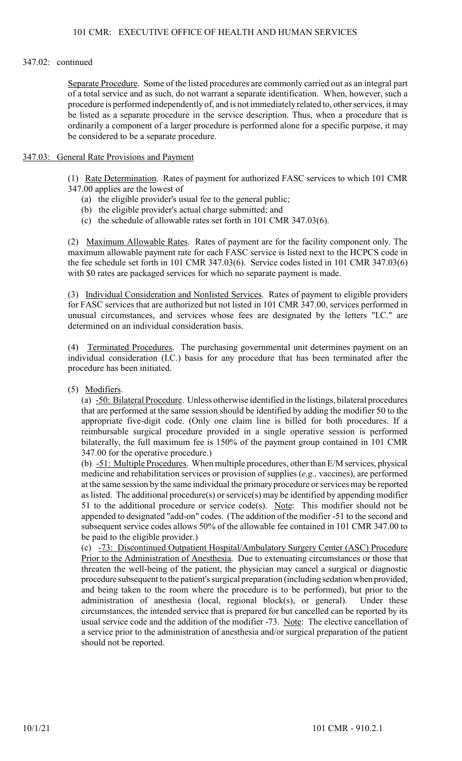#### 347.02: continued

Separate Procedure. Some of the listed procedures are commonly carried out as an integral part of a total service and as such, do not warrant a separate identification. When, however, such a procedure is performed independently of, and is not immediately related to, other services, it may be listed as a separate procedure in the service description. Thus, when a procedure that is ordinarily a component of a larger procedure is performed alone for a specific purpose, it may be considered to be a separate procedure.

#### 347.03: General Rate Provisions and Payment

(1) Rate Determination. Rates of payment for authorized FASC services to which 101 CMR 347.00 applies are the lowest of

- (a) the eligible provider's usual fee to the general public;
- (b) the eligible provider's actual charge submitted; and
- (c) the schedule of allowable rates set forth in 101 CMR 347.03(6).

(2) Maximum Allowable Rates. Rates of payment are for the facility component only. The maximum allowable payment rate for each FASC service is listed next to the HCPCS code in the fee schedule set forth in 101 CMR 347.03(6). Service codes listed in 101 CMR 347.03(6) with \$0 rates are packaged services for which no separate payment is made.

(3) Individual Consideration and Nonlisted Services. Rates of payment to eligible providers for FASC services that are authorized but not listed in 101 CMR 347.00, services performed in unusual circumstances, and services whose fees are designated by the letters "I.C." are determined on an individual consideration basis.

(4) Terminated Procedures. The purchasing governmental unit determines payment on an individual consideration (I.C.) basis for any procedure that has been terminated after the procedure has been initiated.

(5) Modifiers.

(a)  $-50$ : Bilateral Procedure. Unless otherwise identified in the listings, bilateral procedures that are performed at the same session should be identified by adding the modifier 50 to the appropriate five-digit code. (Only one claim line is billed for both procedures. If a reimbursable surgical procedure provided in a single operative session is performed bilaterally, the full maximum fee is 150% of the payment group contained in 101 CMR 347.00 for the operative procedure.)

(b) -51: Multiple Procedures. When multiple procedures, other than E/M services, physical medicine and rehabilitation services or provision of supplies (e.g., vaccines), are performed at the same session by the same individual the primary procedure or services may be reported as listed. The additional procedure(s) or service(s) may be identified by appending modifier 51 to the additional procedure or service code(s). Note: This modifier should not be appended to designated "add-on" codes. (The addition of the modifier -51 to the second and subsequent service codes allows 50% of the allowable fee contained in 101 CMR 347.00 to be paid to the eligible provider.)

(c) -73: Discontinued Outpatient Hospital/Ambulatory Surgery Center (ASC) Procedure Prior to the Administration of Anesthesia. Due to extenuating circumstances or those that threaten the well-being of the patient, the physician may cancel a surgical or diagnostic procedure subsequent to the patient's surgical preparation (including sedation when provided, and being taken to the room where the procedure is to be performed), but prior to the administration of anesthesia (local, regional block(s), or general). Under these circumstances, the intended service that is prepared for but cancelled can be reported by its usual service code and the addition of the modifier -73. Note: The elective cancellation of a service prior to the administration of anesthesia and/or surgical preparation of the patient should not be reported.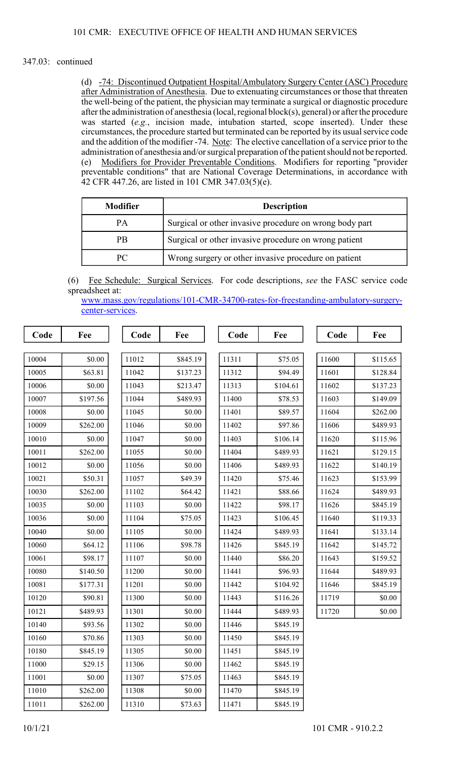#### 347.03: continued

(d) -74: Discontinued Outpatient Hospital/Ambulatory Surgery Center (ASC) Procedure after Administration of Anesthesia. Due to extenuating circumstances or those that threaten the well-being of the patient, the physician may terminate a surgical or diagnostic procedure after the administration of anesthesia (local, regional block(s), general) or after the procedure was started (e.g., incision made, intubation started, scope inserted). Under these circumstances, the procedure started but terminated can be reported by its usual service code and the addition of the modifier -74. Note: The elective cancellation of a service prior to the administration of anesthesia and/or surgical preparation of the patient should not be reported. (e) Modifiers for Provider Preventable Conditions. Modifiers for reporting "provider preventable conditions" that are National Coverage Determinations, in accordance with 42 CFR 447.26, are listed in 101 CMR 347.03(5)(e).

| <b>Modifier</b>                                            | <b>Description</b>                                      |  |
|------------------------------------------------------------|---------------------------------------------------------|--|
| <b>PA</b>                                                  | Surgical or other invasive procedure on wrong body part |  |
| <b>PB</b>                                                  | Surgical or other invasive procedure on wrong patient   |  |
| Wrong surgery or other invasive procedure on patient<br>PC |                                                         |  |

(6) Fee Schedule: Surgical Services. For code descriptions, see the FASC service code spreadsheet at:

| www.mass.gov/regulations/101-CMR-34700-rates-for-freestanding-ambulatory-surgery- |  |
|-----------------------------------------------------------------------------------|--|
| center-services.                                                                  |  |

| Code  | Fee      | Code  | Fee      | Code  | Fee      | Code  | Fee      |
|-------|----------|-------|----------|-------|----------|-------|----------|
|       |          |       |          |       |          |       |          |
| 10004 | \$0.00   | 11012 | \$845.19 | 11311 | \$75.05  | 11600 | \$115.65 |
| 10005 | \$63.81  | 11042 | \$137.23 | 11312 | \$94.49  | 11601 | \$128.84 |
| 10006 | \$0.00   | 11043 | \$213.47 | 11313 | \$104.61 | 11602 | \$137.23 |
| 10007 | \$197.56 | 11044 | \$489.93 | 11400 | \$78.53  | 11603 | \$149.09 |
| 10008 | \$0.00   | 11045 | \$0.00   | 11401 | \$89.57  | 11604 | \$262.00 |
| 10009 | \$262.00 | 11046 | \$0.00   | 11402 | \$97.86  | 11606 | \$489.93 |
| 10010 | \$0.00   | 11047 | \$0.00   | 11403 | \$106.14 | 11620 | \$115.96 |
| 10011 | \$262.00 | 11055 | \$0.00   | 11404 | \$489.93 | 11621 | \$129.15 |
| 10012 | \$0.00   | 11056 | \$0.00   | 11406 | \$489.93 | 11622 | \$140.19 |
| 10021 | \$50.31  | 11057 | \$49.39  | 11420 | \$75.46  | 11623 | \$153.99 |
| 10030 | \$262.00 | 11102 | \$64.42  | 11421 | \$88.66  | 11624 | \$489.93 |
| 10035 | \$0.00   | 11103 | \$0.00   | 11422 | \$98.17  | 11626 | \$845.19 |
| 10036 | \$0.00   | 11104 | \$75.05  | 11423 | \$106.45 | 11640 | \$119.33 |
| 10040 | \$0.00   | 11105 | \$0.00   | 11424 | \$489.93 | 11641 | \$133.14 |
| 10060 | \$64.12  | 11106 | \$98.78  | 11426 | \$845.19 | 11642 | \$145.72 |
| 10061 | \$98.17  | 11107 | \$0.00   | 11440 | \$86.20  | 11643 | \$159.52 |
| 10080 | \$140.50 | 11200 | \$0.00   | 11441 | \$96.93  | 11644 | \$489.93 |
| 10081 | \$177.31 | 11201 | \$0.00   | 11442 | \$104.92 | 11646 | \$845.19 |
| 10120 | \$90.81  | 11300 | \$0.00   | 11443 | \$116.26 | 11719 | \$0.00   |
| 10121 | \$489.93 | 11301 | \$0.00   | 11444 | \$489.93 | 11720 | \$0.00   |
| 10140 | \$93.56  | 11302 | \$0.00   | 11446 | \$845.19 |       |          |
| 10160 | \$70.86  | 11303 | \$0.00   | 11450 | \$845.19 |       |          |
| 10180 | \$845.19 | 11305 | \$0.00   | 11451 | \$845.19 |       |          |
| 11000 | \$29.15  | 11306 | \$0.00   | 11462 | \$845.19 |       |          |
| 11001 | \$0.00   | 11307 | \$75.05  | 11463 | \$845.19 |       |          |
| 11010 | \$262.00 | 11308 | \$0.00   | 11470 | \$845.19 |       |          |
| 11011 | \$262.00 | 11310 | \$73.63  | 11471 | \$845.19 |       |          |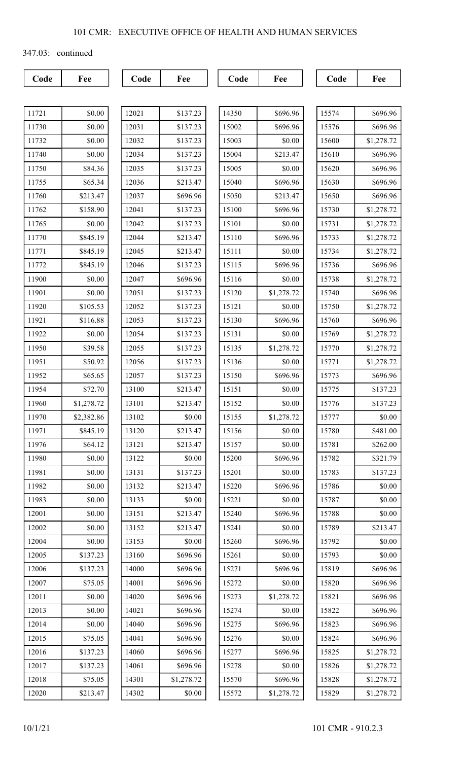347.03: continued

| 11721 | \$0.00     |
|-------|------------|
| 11730 | \$0.00     |
| 11732 | \$0.00     |
| 11740 | \$0.00     |
| 11750 | \$84.36    |
| 11755 | \$65.34    |
| 11760 | \$213.47   |
| 11762 | \$158.90   |
| 11765 | \$0.00     |
| 11770 | \$845.19   |
| 11771 | \$845.19   |
| 11772 | \$845.19   |
| 11900 | \$0.00     |
| 11901 | \$0.00     |
| 11920 | \$105.53   |
| 11921 | \$116.88   |
| 11922 | \$0.00     |
| 11950 | \$39.58    |
| 11951 | \$50.92    |
| 11952 | \$65.65    |
| 11954 | \$72.70    |
| 11960 | \$1,278.72 |
| 11970 | \$2,382.86 |
| 11971 | \$845.19   |
| 11976 | \$64.12    |
| 11980 | \$0.00     |
| 11981 | \$0.00     |
| 11982 | \$0.00     |
| 11983 | \$0.00     |
| 12001 | \$0.00     |
| 12002 | \$0.00     |
| 12004 | \$0.00     |
| 12005 | \$137.23   |
| 12006 | \$137.23   |
| 12007 | \$75.05    |
| 12011 | \$0.00     |
| 12013 | \$0.00     |
| 12014 | \$0.00     |
| 12015 | \$75.05    |
| 12016 | \$137.23   |
| 12017 | \$137.23   |
| 12018 | \$75.05    |
| 12020 | \$213.47   |

| 12021 | \$137.23   |
|-------|------------|
| 12031 | \$137.23   |
| 12032 | \$137.23   |
| 12034 | \$137.23   |
| 12035 | \$137.23   |
| 12036 | \$213.47   |
| 12037 | \$696.96   |
| 12041 | \$137.23   |
| 12042 | \$137.23   |
| 12044 | \$213.47   |
| 12045 | \$213.47   |
| 12046 | \$137.23   |
| 12047 | \$696.96   |
| 12051 | \$137.23   |
| 12052 | \$137.23   |
| 12053 | \$137.23   |
| 12054 | \$137.23   |
| 12055 | \$137.23   |
| 12056 | \$137.23   |
| 12057 | \$137.23   |
| 13100 | \$213.47   |
| 13101 | \$213.47   |
| 13102 | \$0.00     |
| 13120 | \$213.47   |
| 13121 | \$213.47   |
| 13122 | \$0.00     |
| 13131 | \$137.23   |
| 13132 | \$213.47   |
| 13133 | \$0.00     |
| 13151 | \$213.47   |
| 13152 | \$213.47   |
| 13153 | \$0.00     |
| 13160 | \$696.96   |
| 14000 | \$696.96   |
| 14001 | \$696.96   |
| 14020 | \$696.96   |
| 14021 | \$696.96   |
| 14040 | \$696.96   |
| 14041 | \$696.96   |
| 14060 | \$696.96   |
| 14061 | \$696.96   |
| 14301 | \$1,278.72 |
| 14302 | \$0.00     |

| 14350 | \$696.96   |
|-------|------------|
| 15002 | \$696.96   |
| 15003 | \$0.00     |
| 15004 | \$213.47   |
| 15005 | \$0.00     |
| 15040 | \$696.96   |
| 15050 | \$213.47   |
| 15100 | \$696.96   |
| 15101 | \$0.00     |
| 15110 | \$696.96   |
| 15111 | \$0.00     |
| 15115 | \$696.96   |
| 15116 | \$0.00     |
| 15120 | \$1,278.72 |
| 15121 | \$0.00     |
| 15130 | \$696.96   |
| 15131 | \$0.00     |
| 15135 | \$1,278.72 |
| 15136 | \$0.00     |
| 15150 | \$696.96   |
| 15151 | \$0.00     |
| 15152 | \$0.00     |
| 15155 | \$1,278.72 |
| 15156 | \$0.00     |
| 15157 | \$0.00     |
| 15200 | \$696.96   |
| 15201 | \$0.00     |
| 15220 | \$696.96   |
| 15221 | \$0.00     |
| 15240 | \$696.96   |
| 15241 | \$0.00     |
| 15260 | \$696.96   |
| 15261 | \$0.00     |
| 15271 | \$696.96   |
| 15272 | \$0.00     |
| 15273 | \$1,278.72 |
| 15274 | \$0.00     |
| 15275 | \$696.96   |
| 15276 | \$0.00     |
| 15277 | \$696.96   |
| 15278 | \$0.00     |
| 15570 | \$696.96   |
| 15572 | \$1,278.72 |
|       |            |

| 15574 | \$696.96   |
|-------|------------|
| 15576 | \$696.96   |
| 15600 | \$1,278.72 |
| 15610 | \$696.96   |
| 15620 | \$696.96   |
| 15630 | \$696.96   |
| 15650 | \$696.96   |
| 15730 | \$1,278.72 |
| 15731 | \$1,278.72 |
| 15733 | \$1,278.72 |
| 15734 | \$1,278.72 |
| 15736 | \$696.96   |
| 15738 | \$1,278.72 |
| 15740 | \$696.96   |
| 15750 | \$1,278.72 |
| 15760 | \$696.96   |
| 15769 | \$1,278.72 |
| 15770 | \$1,278.72 |
| 15771 | \$1,278.72 |
| 15773 | \$696.96   |
| 15775 | \$137.23   |
| 15776 | \$137.23   |
| 15777 | \$0.00     |
| 15780 | \$481.00   |
| 15781 | \$262.00   |
| 15782 | \$321.79   |
| 15783 | \$137.23   |
| 15786 | \$0.00     |
| 15787 | \$0.00     |
| 15788 | \$0.00     |
| 15789 | \$213.47   |
| 15792 | \$0.00     |
| 15793 | \$0.00     |
| 15819 | \$696.96   |
| 15820 | \$696.96   |
| 15821 | \$696.96   |
| 15822 | \$696.96   |
| 15823 | \$696.96   |
| 15824 | \$696.96   |
| 15825 | \$1,278.72 |
| 15826 | \$1,278.72 |
| 15828 | \$1,278.72 |
| 15829 | \$1,278.72 |
|       |            |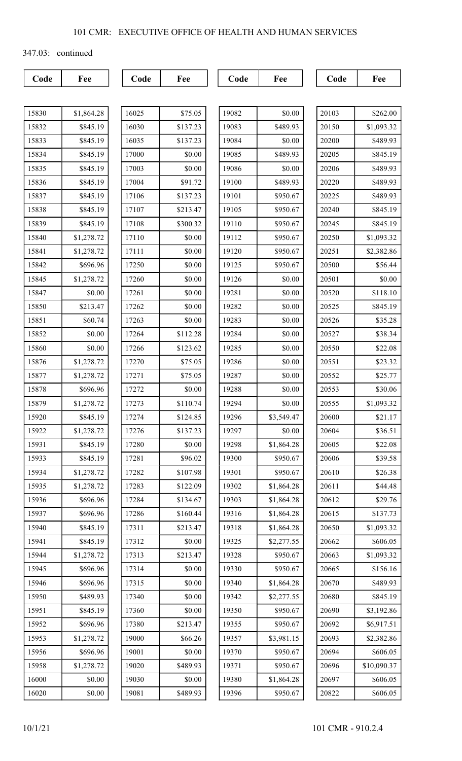347.03: continued

| 15830 | \$1,864.28 |
|-------|------------|
| 15832 | \$845.19   |
| 15833 | \$845.19   |
| 15834 | \$845.19   |
| 15835 | \$845.19   |
| 15836 | \$845.19   |
| 15837 | \$845.19   |
| 15838 | \$845.19   |
| 15839 | \$845.19   |
| 15840 | \$1,278.72 |
| 15841 | \$1,278.72 |
| 15842 | \$696.96   |
| 15845 | \$1,278.72 |
| 15847 | \$0.00     |
| 15850 | \$213.47   |
| 15851 | \$60.74    |
| 15852 | \$0.00     |
| 15860 | \$0.00     |
| 15876 | \$1,278.72 |
| 15877 | \$1,278.72 |
| 15878 | \$696.96   |
| 15879 | \$1,278.72 |
| 15920 | \$845.19   |
| 15922 | \$1,278.72 |
| 15931 | \$845.19   |
| 15933 | \$845.19   |
| 15934 | \$1,278.72 |
| 15935 | \$1,278.72 |
| 15936 | \$696.96   |
| 15937 | \$696.96   |
| 15940 | \$845.19   |
| 15941 | \$845.19   |
| 15944 | \$1,278.72 |
| 15945 | \$696.96   |
| 15946 | \$696.96   |
| 15950 | \$489.93   |
| 15951 | \$845.19   |
| 15952 | \$696.96   |
| 15953 | \$1,278.72 |
| 15956 | \$696.96   |
| 15958 | \$1,278.72 |
| 16000 | \$0.00     |
| 16020 | \$0.00     |

| 16025     | \$75.05  |
|-----------|----------|
| 16030     | \$137.23 |
| 16035     | \$137.23 |
| 17000     | \$0.00   |
| 17003     | \$0.00   |
| 17004     | \$91.72  |
| 17106     | \$137.23 |
| 17107     | \$213.47 |
| 17108     | \$300.32 |
| 17110     | \$0.00   |
| 17111     | \$0.00   |
| 17250     | \$0.00   |
| 17260     | \$0.00   |
| 17261     | \$0.00   |
| 17262     | \$0.00   |
| 17263     | \$0.00   |
| 17264     | \$112.28 |
| 17266     | \$123.62 |
| 17270     | \$75.05  |
| 17271     | \$75.05  |
| 17272     | \$0.00   |
| 17273     | \$110.74 |
| 17274     | \$124.85 |
| 17276     | \$137.23 |
| 1<br>7280 | \$0.00   |
| 17281     | \$96.02  |
| 17282     | \$107.98 |
| 17283     | \$122.09 |
| 17284     | \$134.67 |
| 17286     | \$160.44 |
| 17311     | \$213.47 |
| 17312     | \$0.00   |
| 17313     | \$213.47 |
| 17314     | \$0.00   |
| 17315     | \$0.00   |
| 17340     | \$0.00   |
| 17360     | \$0.00   |
| 17380     | \$213.47 |
| 19000     | \$66.26  |
| 19001     | \$0.00   |
| 19020     | \$489.93 |
| 19030     | \$0.00   |
| 19081     | \$489.93 |

| 19082<br>\$0.00<br>19083<br>\$489.93<br>19084<br>\$0.00<br>\$489.93<br>19085<br>19086<br>\$0.00<br>19100<br>\$489.93<br>19101<br>\$950.67<br>19105<br>\$950.67<br>19110<br>\$950.67<br>19112<br>\$950.67<br>19120<br>\$950.67<br>19125<br>\$950.67<br>19126<br>\$0.00<br>\$0.00<br>19281<br>19282<br>\$0.00<br>19283<br>\$0.00<br>19284<br>\$0.00<br>19285<br>\$0.00<br>\$0.00<br>19286<br>19287<br>\$0.00<br>19288<br>\$0.00<br>19294<br>\$0.00<br>\$3,549.47<br>19296<br>\$0.00<br>19297<br>19298<br>\$1,864.28<br>19300<br>\$950.67<br>19301<br>\$950.67<br>19302<br>\$1,864.28<br>\$1,864.28<br>19303<br>19316<br>\$1,864.28<br>\$1,864.28<br>19318<br>\$2,277.55<br>19325<br>19328<br>\$950.67<br>19330<br>\$950.67<br>\$1,864.28<br>19340<br>19342<br>\$2,277.55<br>19350<br>\$950.67<br>19355<br>\$950.67<br>19357<br>\$3,981.15<br>19370<br>\$950.67<br>19371<br>\$950.67<br>\$1,864.28<br>19380<br>19396<br>\$950.67 |  |
|-------------------------------------------------------------------------------------------------------------------------------------------------------------------------------------------------------------------------------------------------------------------------------------------------------------------------------------------------------------------------------------------------------------------------------------------------------------------------------------------------------------------------------------------------------------------------------------------------------------------------------------------------------------------------------------------------------------------------------------------------------------------------------------------------------------------------------------------------------------------------------------------------------------------------------|--|
|                                                                                                                                                                                                                                                                                                                                                                                                                                                                                                                                                                                                                                                                                                                                                                                                                                                                                                                               |  |
|                                                                                                                                                                                                                                                                                                                                                                                                                                                                                                                                                                                                                                                                                                                                                                                                                                                                                                                               |  |
|                                                                                                                                                                                                                                                                                                                                                                                                                                                                                                                                                                                                                                                                                                                                                                                                                                                                                                                               |  |
|                                                                                                                                                                                                                                                                                                                                                                                                                                                                                                                                                                                                                                                                                                                                                                                                                                                                                                                               |  |
|                                                                                                                                                                                                                                                                                                                                                                                                                                                                                                                                                                                                                                                                                                                                                                                                                                                                                                                               |  |
|                                                                                                                                                                                                                                                                                                                                                                                                                                                                                                                                                                                                                                                                                                                                                                                                                                                                                                                               |  |
|                                                                                                                                                                                                                                                                                                                                                                                                                                                                                                                                                                                                                                                                                                                                                                                                                                                                                                                               |  |
|                                                                                                                                                                                                                                                                                                                                                                                                                                                                                                                                                                                                                                                                                                                                                                                                                                                                                                                               |  |
|                                                                                                                                                                                                                                                                                                                                                                                                                                                                                                                                                                                                                                                                                                                                                                                                                                                                                                                               |  |
|                                                                                                                                                                                                                                                                                                                                                                                                                                                                                                                                                                                                                                                                                                                                                                                                                                                                                                                               |  |
|                                                                                                                                                                                                                                                                                                                                                                                                                                                                                                                                                                                                                                                                                                                                                                                                                                                                                                                               |  |
|                                                                                                                                                                                                                                                                                                                                                                                                                                                                                                                                                                                                                                                                                                                                                                                                                                                                                                                               |  |
|                                                                                                                                                                                                                                                                                                                                                                                                                                                                                                                                                                                                                                                                                                                                                                                                                                                                                                                               |  |
|                                                                                                                                                                                                                                                                                                                                                                                                                                                                                                                                                                                                                                                                                                                                                                                                                                                                                                                               |  |
|                                                                                                                                                                                                                                                                                                                                                                                                                                                                                                                                                                                                                                                                                                                                                                                                                                                                                                                               |  |
|                                                                                                                                                                                                                                                                                                                                                                                                                                                                                                                                                                                                                                                                                                                                                                                                                                                                                                                               |  |
|                                                                                                                                                                                                                                                                                                                                                                                                                                                                                                                                                                                                                                                                                                                                                                                                                                                                                                                               |  |
|                                                                                                                                                                                                                                                                                                                                                                                                                                                                                                                                                                                                                                                                                                                                                                                                                                                                                                                               |  |
|                                                                                                                                                                                                                                                                                                                                                                                                                                                                                                                                                                                                                                                                                                                                                                                                                                                                                                                               |  |
|                                                                                                                                                                                                                                                                                                                                                                                                                                                                                                                                                                                                                                                                                                                                                                                                                                                                                                                               |  |
|                                                                                                                                                                                                                                                                                                                                                                                                                                                                                                                                                                                                                                                                                                                                                                                                                                                                                                                               |  |
|                                                                                                                                                                                                                                                                                                                                                                                                                                                                                                                                                                                                                                                                                                                                                                                                                                                                                                                               |  |
|                                                                                                                                                                                                                                                                                                                                                                                                                                                                                                                                                                                                                                                                                                                                                                                                                                                                                                                               |  |
|                                                                                                                                                                                                                                                                                                                                                                                                                                                                                                                                                                                                                                                                                                                                                                                                                                                                                                                               |  |
|                                                                                                                                                                                                                                                                                                                                                                                                                                                                                                                                                                                                                                                                                                                                                                                                                                                                                                                               |  |
|                                                                                                                                                                                                                                                                                                                                                                                                                                                                                                                                                                                                                                                                                                                                                                                                                                                                                                                               |  |
|                                                                                                                                                                                                                                                                                                                                                                                                                                                                                                                                                                                                                                                                                                                                                                                                                                                                                                                               |  |
|                                                                                                                                                                                                                                                                                                                                                                                                                                                                                                                                                                                                                                                                                                                                                                                                                                                                                                                               |  |
|                                                                                                                                                                                                                                                                                                                                                                                                                                                                                                                                                                                                                                                                                                                                                                                                                                                                                                                               |  |
|                                                                                                                                                                                                                                                                                                                                                                                                                                                                                                                                                                                                                                                                                                                                                                                                                                                                                                                               |  |
|                                                                                                                                                                                                                                                                                                                                                                                                                                                                                                                                                                                                                                                                                                                                                                                                                                                                                                                               |  |
|                                                                                                                                                                                                                                                                                                                                                                                                                                                                                                                                                                                                                                                                                                                                                                                                                                                                                                                               |  |
|                                                                                                                                                                                                                                                                                                                                                                                                                                                                                                                                                                                                                                                                                                                                                                                                                                                                                                                               |  |
|                                                                                                                                                                                                                                                                                                                                                                                                                                                                                                                                                                                                                                                                                                                                                                                                                                                                                                                               |  |
|                                                                                                                                                                                                                                                                                                                                                                                                                                                                                                                                                                                                                                                                                                                                                                                                                                                                                                                               |  |
|                                                                                                                                                                                                                                                                                                                                                                                                                                                                                                                                                                                                                                                                                                                                                                                                                                                                                                                               |  |
|                                                                                                                                                                                                                                                                                                                                                                                                                                                                                                                                                                                                                                                                                                                                                                                                                                                                                                                               |  |
|                                                                                                                                                                                                                                                                                                                                                                                                                                                                                                                                                                                                                                                                                                                                                                                                                                                                                                                               |  |
|                                                                                                                                                                                                                                                                                                                                                                                                                                                                                                                                                                                                                                                                                                                                                                                                                                                                                                                               |  |
|                                                                                                                                                                                                                                                                                                                                                                                                                                                                                                                                                                                                                                                                                                                                                                                                                                                                                                                               |  |
|                                                                                                                                                                                                                                                                                                                                                                                                                                                                                                                                                                                                                                                                                                                                                                                                                                                                                                                               |  |
|                                                                                                                                                                                                                                                                                                                                                                                                                                                                                                                                                                                                                                                                                                                                                                                                                                                                                                                               |  |
|                                                                                                                                                                                                                                                                                                                                                                                                                                                                                                                                                                                                                                                                                                                                                                                                                                                                                                                               |  |

| 20103 | \$262.00    |
|-------|-------------|
| 20150 | \$1,093.32  |
| 20200 | \$489.93    |
| 20205 | \$845.19    |
| 20206 | \$489.93    |
| 20220 | \$489.93    |
| 20225 | \$489.93    |
| 20240 | \$845.19    |
| 20245 | \$845.19    |
| 20250 | \$1,093.32  |
| 20251 | \$2,382.86  |
| 20500 | \$56.44     |
| 20501 | \$0.00      |
| 20520 | \$118.10    |
| 20525 | \$845.19    |
| 20526 | \$35.28     |
| 20527 | \$38.34     |
| 20550 | \$22.08     |
| 20551 | \$23.32     |
| 20552 | \$25.77     |
| 20553 | \$30.06     |
| 20555 | \$1,093.32  |
| 20600 | \$21.17     |
| 20604 | \$36.51     |
| 20605 | \$22.08     |
| 20606 | \$39.58     |
| 20610 | \$26.38     |
| 20611 | \$44.48     |
| 20612 | \$29.76     |
| 20615 | \$137.73    |
| 20650 | \$1,093.32  |
| 20662 | \$606.05    |
| 20663 | \$1,093.32  |
| 20665 | \$156.16    |
| 20670 | \$489.93    |
| 20680 | \$845.19    |
| 20690 | \$3,192.86  |
| 20692 | \$6,917.51  |
| 20693 | \$2,382.86  |
| 20694 | \$606.05    |
| 20696 | \$10,090.37 |
| 20697 | \$606.05    |
| 20822 | \$606.05    |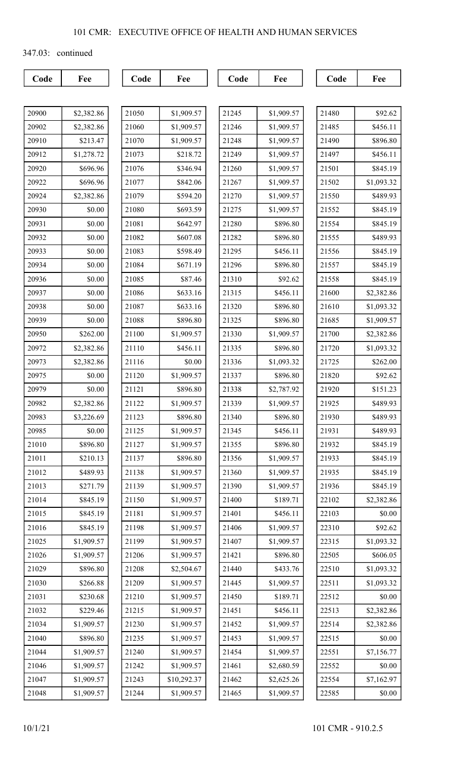347.03: continued

| 20900 | \$2,382.86 |
|-------|------------|
| 20902 | \$2,382.86 |
| 20910 | \$213.47   |
| 20912 | \$1,278.72 |
| 20920 | \$696.96   |
| 20922 | \$696.96   |
| 20924 | \$2,382.86 |
| 20930 | \$0.00     |
| 20931 | \$0.00     |
| 20932 | \$0.00     |
| 20933 | \$0.00     |
| 20934 | \$0.00     |
| 20936 | \$0.00     |
| 20937 | \$0.00     |
| 20938 | \$0.00     |
| 20939 | \$0.00     |
| 20950 | \$262.00   |
| 20972 | \$2,382.86 |
| 20973 | \$2,382.86 |
| 20975 | \$0.00     |
| 20979 | \$0.00     |
| 20982 | \$2,382.86 |
| 20983 | \$3,226.69 |
| 20985 | \$0.00     |
| 21010 | \$896.80   |
| 21011 | \$210.13   |
| 21012 | \$489.93   |
| 21013 | \$271.79   |
| 21014 | \$845.19   |
| 21015 | \$845.19   |
| 21016 | \$845.19   |
| 21025 | \$1,909.57 |
| 21026 | \$1,909.57 |
| 21029 | \$896.80   |
| 21030 | \$266.88   |
| 21031 | \$230.68   |
| 21032 | \$229.46   |
| 21034 | \$1,909.57 |
| 21040 | \$896.80   |
| 21044 | \$1,909.57 |
| 21046 | \$1,909.57 |
| 21047 | \$1,909.57 |
| 21048 | \$1,909.57 |

| 21050 | \$1,909.57  |
|-------|-------------|
| 21060 | \$1,909.57  |
| 21070 | \$1,909.57  |
| 21073 | \$218.72    |
| 21076 | \$346.94    |
| 21077 | \$842.06    |
| 21079 | \$594.20    |
| 21080 | \$693.59    |
| 21081 | \$642.97    |
| 21082 | \$607.08    |
| 21083 | \$598.49    |
| 21084 | \$671.19    |
| 21085 | \$87.46     |
| 21086 | \$633.16    |
| 21087 | \$633.16    |
| 21088 | \$896.80    |
| 21100 | \$1,909.57  |
| 21110 | \$456.11    |
| 21116 | \$0.00      |
| 21120 | \$1,909.57  |
| 21121 | \$896.80    |
| 21122 | \$1,909.57  |
| 21123 | \$896.80    |
| 21125 | \$1,909.57  |
| 21127 | \$1,909.57  |
| 21137 | \$896.80    |
| 21138 | \$1,909.57  |
| 21139 | \$1,909.57  |
| 21150 | \$1,909.57  |
| 21181 | \$1,909.57  |
| 21198 | \$1,909.57  |
| 21199 | \$1,909.57  |
| 21206 | \$1,909.57  |
| 21208 | \$2,504.67  |
| 21209 | \$1,909.57  |
| 21210 | \$1,909.57  |
| 21215 | \$1,909.57  |
| 21230 | \$1,909.57  |
| 21235 | \$1,909.57  |
| 21240 | \$1,909.57  |
| 21242 | \$1,909.57  |
| 21243 | \$10,292.37 |
| 21244 | \$1,909.57  |

| 21245 | \$1,909.57 |
|-------|------------|
| 21246 | \$1,909.57 |
| 21248 | \$1,909.57 |
| 21249 | \$1,909.57 |
| 21260 | \$1,909.57 |
| 21267 | \$1,909.57 |
| 21270 | \$1,909.57 |
| 21275 | \$1,909.57 |
| 21280 | \$896.80   |
| 21282 | \$896.80   |
| 21295 | \$456.11   |
| 21296 | \$896.80   |
| 21310 | \$92.62    |
| 21315 | \$456.11   |
| 21320 | \$896.80   |
| 21325 | \$896.80   |
| 21330 | \$1,909.57 |
| 21335 | \$896.80   |
| 21336 | \$1,093.32 |
| 21337 | \$896.80   |
| 21338 | \$2,787.92 |
| 21339 | \$1,909.57 |
| 21340 | \$896.80   |
| 21345 | \$456.11   |
| 21355 | \$896.80   |
| 21356 | \$1,909.57 |
| 21360 | \$1,909.57 |
| 21390 | \$1,909.57 |
| 21400 | \$189.71   |
| 21401 | \$456.11   |
| 21406 | \$1,909.57 |
| 21407 | \$1,909.57 |
| 21421 | \$896.80   |
| 21440 | \$433.76   |
| 21445 | \$1,909.57 |
| 21450 | \$189.71   |
| 21451 | \$456.11   |
| 21452 | \$1,909.57 |
| 21453 | \$1,909.57 |
| 21454 | \$1,909.57 |
| 21461 | \$2,680.59 |
| 21462 | \$2,625.26 |
| 21465 | \$1,909.57 |
|       |            |

| 21480 | \$92.62    |
|-------|------------|
| 21485 | \$456.11   |
| 21490 | \$896.80   |
| 21497 | \$456.11   |
| 21501 | \$845.19   |
| 21502 | \$1,093.32 |
| 21550 | \$489.93   |
| 21552 | \$845.19   |
| 21554 | \$845.19   |
| 21555 | \$489.93   |
| 21556 | \$845.19   |
| 21557 | \$845.19   |
| 21558 | \$845.19   |
| 21600 | \$2,382.86 |
| 21610 | \$1,093.32 |
| 21685 | \$1,909.57 |
| 21700 | \$2,382.86 |
| 21720 | \$1,093.32 |
| 21725 | \$262.00   |
| 21820 | \$92.62    |
| 21920 | \$151.23   |
| 21925 | \$489.93   |
| 21930 | \$489.93   |
| 21931 | \$489.93   |
| 21932 | \$845.19   |
| 21933 | \$845.19   |
| 21935 | \$845.19   |
| 21936 | \$845.19   |
| 22102 | \$2,382.86 |
| 22103 | \$0.00     |
| 22310 | \$92.62    |
| 22315 | \$1,093.32 |
| 22505 | \$606.05   |
| 22510 | \$1,093.32 |
| 22511 | \$1,093.32 |
| 22512 | \$0.00     |
| 22513 | \$2,382.86 |
| 22514 | \$2,382.86 |
| 22515 | \$0.00     |
| 22551 | \$7,156.77 |
| 22552 | \$0.00     |
| 22554 | \$7,162.97 |
| 22585 | \$0.00     |
|       |            |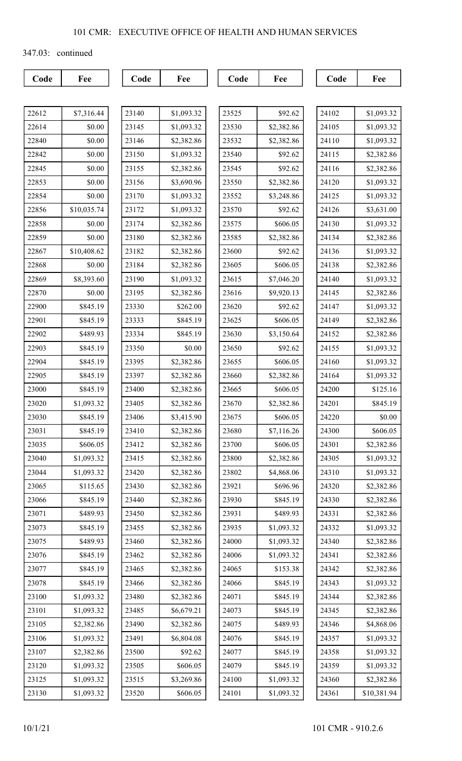347.03: continued

| 22612 | \$7,316.44  |
|-------|-------------|
| 22614 | \$0.00      |
| 22840 | \$0.00      |
| 22842 | \$0.00      |
| 22845 | \$0.00      |
| 22853 | \$0.00      |
| 22854 | \$0.00      |
| 22856 | \$10,035.74 |
| 22858 | \$0.00      |
| 22859 | \$0.00      |
| 22867 | \$10,408.62 |
| 22868 | \$0.00      |
| 22869 | \$8,393.60  |
| 22870 | \$0.00      |
| 22900 | \$845.19    |
| 22901 | \$845.19    |
| 22902 | \$489.93    |
| 22903 | \$845.19    |
| 22904 | \$845.19    |
| 22905 | \$845.19    |
| 23000 | \$845.19    |
| 23020 | \$1,093.32  |
| 23030 | \$845.19    |
| 23031 | \$845.19    |
| 23035 | \$606.05    |
| 23040 | \$1,093.32  |
| 23044 | \$1,093.32  |
| 23065 | \$115.65    |
| 23066 | \$845.19    |
| 23071 | \$489.93    |
| 23073 | \$845.19    |
| 23075 | \$489.93    |
| 23076 | \$845.19    |
| 23077 | \$845.19    |
| 23078 | \$845.19    |
| 23100 | \$1,093.32  |
| 23101 | \$1,093.32  |
| 23105 | \$2,382.86  |
| 23106 | \$1,093.32  |
| 23107 | \$2,382.86  |
| 23120 | \$1,093.32  |
| 23125 | \$1,093.32  |
| 23130 | \$1,093.32  |

| 23140 | \$1,093.32 |
|-------|------------|
| 23145 | \$1,093.32 |
| 23146 | \$2,382.86 |
| 23150 | \$1,093.32 |
| 23155 | \$2,382.86 |
| 23156 | \$3,690.96 |
| 23170 | \$1,093.32 |
| 23172 | \$1,093.32 |
| 23174 | \$2,382.86 |
| 23180 | \$2,382.86 |
| 23182 | \$2,382.86 |
| 23184 | \$2,382.86 |
| 23190 | \$1,093.32 |
| 23195 | \$2,382.86 |
| 23330 | \$262.00   |
| 23333 | \$845.19   |
| 23334 | \$845.19   |
| 23350 | \$0.00     |
| 23395 | \$2,382.86 |
| 23397 | \$2,382.86 |
| 23400 | \$2,382.86 |
| 23405 | \$2,382.86 |
| 23406 | \$3,415.90 |
| 23410 | \$2,382.86 |
| 23412 | \$2,382.86 |
| 23415 | \$2,382.86 |
| 23420 | \$2,382.86 |
| 23430 | \$2,382.86 |
| 23440 | \$2,382.86 |
| 23450 | \$2,382.86 |
| 23455 | \$2,382.86 |
| 23460 | \$2,382.86 |
| 23462 | \$2,382.86 |
| 23465 | \$2,382.86 |
| 23466 | \$2,382.86 |
| 23480 | \$2,382.86 |
| 23485 | \$6,679.21 |
| 23490 | \$2,382.86 |
| 23491 | \$6,804.08 |
| 23500 | \$92.62    |
| 23505 | \$606.05   |
| 23515 | \$3,269.86 |
| 23520 | \$606.05   |

| 23525 | \$92.62    |
|-------|------------|
| 23530 | \$2,382.86 |
| 23532 | \$2,382.86 |
| 23540 | \$92.62    |
| 23545 | \$92.62    |
| 23550 | \$2,382.86 |
| 23552 | \$3,248.86 |
| 23570 | \$92.62    |
| 23575 | \$606.05   |
| 23585 | \$2,382.86 |
| 23600 | \$92.62    |
| 23605 | \$606.05   |
| 23615 | \$7,046.20 |
| 23616 | \$9,920.13 |
| 23620 | \$92.62    |
| 23625 | \$606.05   |
| 23630 | \$3,150.64 |
| 23650 | \$92.62    |
| 23655 | \$606.05   |
| 23660 | \$2,382.86 |
| 23665 | \$606.05   |
| 23670 | \$2,382.86 |
| 23675 | \$606.05   |
| 23680 | \$7,116.26 |
| 23700 | \$606.05   |
| 23800 | \$2,382.86 |
| 23802 | \$4,868.06 |
| 23921 | \$696.96   |
| 23930 | \$845.19   |
| 23931 | \$489.93   |
| 23935 | \$1,093.32 |
| 24000 | \$1,093.32 |
| 24006 | \$1,093.32 |
| 24065 | \$153.38   |
| 24066 | \$845.19   |
| 24071 | \$845.19   |
| 24073 | \$845.19   |
| 24075 | \$489.93   |
| 24076 | \$845.19   |
| 24077 | \$845.19   |
| 24079 | \$845.19   |
| 24100 | \$1,093.32 |
| 24101 | \$1,093.32 |
|       |            |

| 24102 | \$1,093.32  |
|-------|-------------|
| 24105 | \$1,093.32  |
| 24110 | \$1,093.32  |
| 24115 | \$2,382.86  |
| 24116 | \$2,382.86  |
| 24120 | \$1,093.32  |
| 24125 | \$1,093.32  |
| 24126 | \$3,631.00  |
| 24130 | \$1,093.32  |
| 24134 | \$2,382.86  |
| 24136 | \$1,093.32  |
| 24138 | \$2,382.86  |
| 24140 | \$1,093.32  |
| 24145 | \$2,382.86  |
| 24147 | \$1,093.32  |
| 24149 | \$2,382.86  |
| 24152 | \$2,382.86  |
| 24155 | \$1,093.32  |
| 24160 | \$1,093.32  |
| 24164 | \$1,093.32  |
| 24200 | \$125.16    |
| 24201 | \$845.19    |
| 24220 | \$0.00      |
| 24300 | \$606.05    |
| 24301 | \$2,382.86  |
| 24305 | \$1,093.32  |
| 24310 | \$1,093.32  |
| 24320 | \$2,382.86  |
| 24330 | \$2,382.86  |
| 24331 | \$2,382.86  |
| 24332 | \$1,093.32  |
| 24340 | \$2,382.86  |
| 24341 | \$2,382.86  |
| 24342 | \$2,382.86  |
| 24343 | \$1,093.32  |
| 24344 | \$2,382.86  |
| 24345 | \$2,382.86  |
| 24346 | \$4,868.06  |
| 24357 | \$1,093.32  |
| 24358 | \$1,093.32  |
| 24359 | \$1,093.32  |
| 24360 | \$2,382.86  |
| 24361 | \$10,381.94 |
|       |             |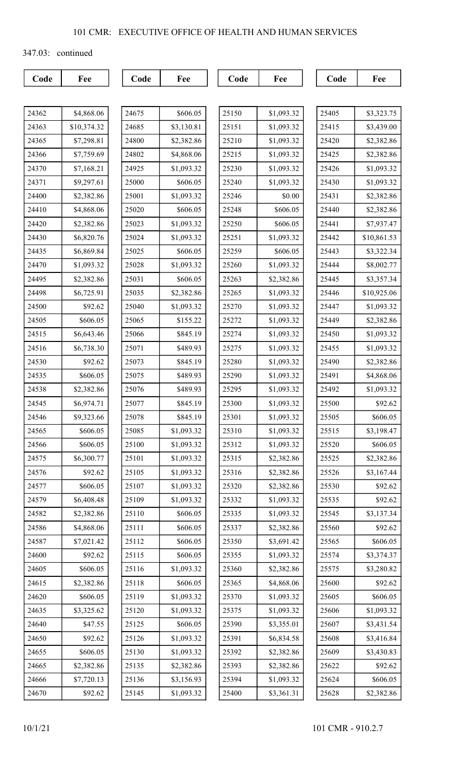347.03: continued

| л М Л |  |
|-------|--|

| 24362 | \$4,868.06  |
|-------|-------------|
| 24363 | \$10,374.32 |
| 24365 | \$7,298.81  |
| 24366 | \$7,759.69  |
| 24370 | \$7,168.21  |
| 24371 | \$9,297.61  |
| 24400 | \$2,382.86  |
| 24410 | \$4,868.06  |
| 24420 | \$2,382.86  |
| 24430 | \$6,820.76  |
| 24435 | \$6,869.84  |
| 24470 | \$1,093.32  |
| 24495 | \$2,382.86  |
| 24498 | \$6,725.91  |
| 24500 | \$92.62     |
| 24505 | \$606.05    |
| 24515 | \$6,643.46  |
| 24516 | \$6,738.30  |
| 24530 | \$92.62     |
| 24535 | \$606.05    |
| 24538 | \$2,382.86  |
| 24545 | \$6,974.71  |
| 24546 | \$9,323.66  |
| 24565 | \$606.05    |
| 24566 | \$606.05    |
| 24575 | \$6,300.77  |
| 24576 | \$92.62     |
| 24577 | \$606.05    |
| 24579 | \$6,408.48  |
| 24582 | \$2,382.86  |
| 24586 | \$4,868.06  |
| 24587 | \$7,021.42  |
| 24600 | \$92.62     |
| 24605 | \$606.05    |
| 24615 | \$2,382.86  |
| 24620 | \$606.05    |
| 24635 | \$3,325.62  |
| 24640 | \$47.55     |
| 24650 | \$92.62     |
| 24655 | \$606.05    |
| 24665 | \$2,382.86  |
| 24666 | \$7,720.13  |
| 24670 | \$92.62     |

| 24675 | \$606.05   |
|-------|------------|
| 24685 | \$3,130.81 |
| 24800 | \$2,382.86 |
| 24802 | \$4,868.06 |
| 24925 | \$1,093.32 |
| 25000 | \$606.05   |
| 25001 | \$1,093.32 |
| 25020 | \$606.05   |
| 25023 | \$1,093.32 |
| 25024 | \$1,093.32 |
| 25025 | \$606.05   |
| 25028 | \$1,093.32 |
| 25031 | \$606.05   |
| 25035 | \$2,382.86 |
| 25040 | \$1,093.32 |
| 25065 | \$155.22   |
| 25066 | \$845.19   |
| 25071 | \$489.93   |
| 25073 | \$845.19   |
| 25075 | \$489.93   |
| 25076 | \$489.93   |
| 25077 | \$845.19   |
| 25078 | \$845.19   |
| 25085 | \$1,093.32 |
| 25100 | \$1,093.32 |
| 25101 | \$1,093.32 |
| 25105 | \$1,093.32 |
| 25107 | \$1,093.32 |
| 25109 | \$1,093.32 |
| 25110 | \$606.05   |
| 25111 | \$606.05   |
| 25112 | \$606.05   |
| 25115 | \$606.05   |
| 25116 | \$1,093.32 |
| 25118 | \$606.05   |
| 25119 | \$1,093.32 |
| 25120 | \$1,093.32 |
| 25125 | \$606.05   |
| 25126 | \$1,093.32 |
| 25130 | \$1,093.32 |
| 25135 | \$2,382.86 |
| 25136 | \$3,156.93 |
| 25145 | \$1,093.32 |

| 25150 | \$1,093.32 |
|-------|------------|
| 25151 | \$1,093.32 |
| 25210 | \$1,093.32 |
| 25215 | \$1,093.32 |
| 25230 | \$1,093.32 |
| 25240 | \$1,093.32 |
| 25246 | \$0.00     |
| 25248 | \$606.05   |
| 25250 | \$606.05   |
| 25251 | \$1,093.32 |
| 25259 | \$606.05   |
| 25260 | \$1,093.32 |
| 25263 | \$2,382.86 |
| 25265 | \$1,093.32 |
| 25270 | \$1,093.32 |
| 25272 | \$1,093.32 |
| 25274 | \$1,093.32 |
| 25275 | \$1,093.32 |
| 25280 | \$1,093.32 |
| 25290 | \$1,093.32 |
| 25295 | \$1,093.32 |
| 25300 | \$1,093.32 |
| 25301 | \$1,093.32 |
| 25310 | \$1,093.32 |
| 25312 | \$1,093.32 |
| 25315 | \$2,382.86 |
| 25316 | \$2,382.86 |
| 25320 | \$2,382.86 |
| 25332 | \$1,093.32 |
| 25335 | \$1,093.32 |
| 25337 | \$2,382.86 |
| 25350 | \$3,691.42 |
| 25355 | \$1,093.32 |
| 25360 | \$2,382.86 |
| 25365 | \$4,868.06 |
| 25370 | \$1,093.32 |
| 25375 | \$1,093.32 |
| 25390 | \$3,355.01 |
| 25391 | \$6,834.58 |
| 25392 | \$2,382.86 |
| 25393 | \$2,382.86 |
| 25394 | \$1,093.32 |
| 25400 | \$3,361.31 |

| 25405 | \$3,323.75  |
|-------|-------------|
| 25415 | \$3,439.00  |
| 25420 | \$2,382.86  |
| 25425 | \$2,382.86  |
| 25426 | \$1,093.32  |
| 25430 | \$1,093.32  |
| 25431 | \$2,382.86  |
| 25440 | \$2,382.86  |
| 25441 | \$7,937.47  |
| 25442 | \$10,861.53 |
| 25443 | \$3,322.34  |
| 25444 | \$8,002.77  |
| 25445 | \$3,357.34  |
| 25446 | \$10,925.06 |
| 25447 | \$1,093.32  |
| 25449 | \$2,382.86  |
| 25450 | \$1,093.32  |
| 25455 | \$1,093.32  |
| 25490 | \$2,382.86  |
| 25491 | \$4,868.06  |
| 25492 | \$1,093.32  |
| 25500 | \$92.62     |
| 25505 | \$606.05    |
| 25515 | \$3,198.47  |
| 25520 | \$606.05    |
| 25525 | \$2,382.86  |
| 25526 | \$3,167.44  |
| 25530 | \$92.62     |
| 25535 | \$92.62     |
| 25545 | \$3,137.34  |
| 25560 | \$92.62     |
| 25565 | \$606.05    |
| 25574 | \$3,374.37  |
| 25575 | \$3,280.82  |
| 25600 | \$92.62     |
| 25605 | \$606.05    |
| 25606 | \$1,093.32  |
| 25607 | \$3,431.54  |
| 25608 | \$3,416.84  |
| 25609 | \$3,430.83  |
| 25622 | \$92.62     |
| 25624 | \$606.05    |
| 25628 | \$2,382.86  |
|       |             |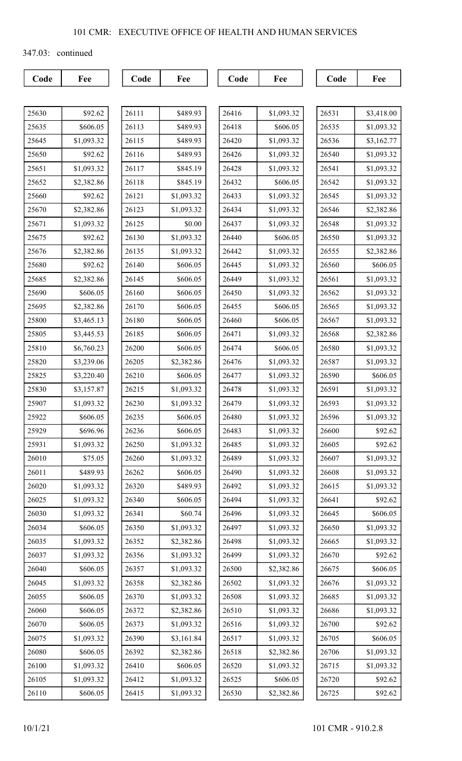347.03: continued

| 25630 | \$92.62    |
|-------|------------|
| 25635 | \$606.05   |
| 25645 | \$1,093.32 |
| 25650 | \$92.62    |
| 25651 | \$1,093.32 |
| 25652 | \$2,382.86 |
| 25660 | \$92.62    |
| 25670 | \$2,382.86 |
| 25671 | \$1,093.32 |
| 25675 | \$92.62    |
| 25676 | \$2,382.86 |
| 25680 | \$92.62    |
| 25685 | \$2,382.86 |
| 25690 | \$606.05   |
| 25695 | \$2,382.86 |
| 25800 | \$3,465.13 |
| 25805 | \$3,445.53 |
| 25810 | \$6,760.23 |
| 25820 | \$3,239.06 |
| 25825 | \$3,220.40 |
| 25830 | \$3,157.87 |
| 25907 | \$1,093.32 |
| 25922 | \$606.05   |
| 25929 | \$696.96   |
| 25931 | \$1,093.32 |
| 26010 | \$75.05    |
| 26011 | \$489.93   |
| 26020 | \$1,093.32 |
| 26025 | \$1,093.32 |
| 26030 | \$1,093.32 |
| 26034 | \$606.05   |
| 26035 | \$1,093.32 |
| 26037 | \$1,093.32 |
| 26040 | \$606.05   |
| 26045 | \$1,093.32 |
| 26055 | \$606.05   |
| 26060 | \$606.05   |
| 26070 | \$606.05   |
| 26075 | \$1,093.32 |
| 26080 | \$606.05   |
| 26100 | \$1,093.32 |
| 26105 | \$1,093.32 |
| 26110 | \$606.05   |

| 26111 | \$489.93   |
|-------|------------|
| 26113 | \$489.93   |
| 26115 | \$489.93   |
| 26116 | \$489.93   |
| 26117 | \$845.19   |
| 26118 | \$845.19   |
| 26121 | \$1,093.32 |
| 26123 | \$1,093.32 |
| 26125 | \$0.00     |
| 26130 | \$1,093.32 |
| 26135 | \$1,093.32 |
| 26140 | \$606.05   |
| 26145 | \$606.05   |
| 26160 | \$606.05   |
| 26170 | \$606.05   |
| 26180 | \$606.05   |
| 26185 | \$606.05   |
| 26200 | \$606.05   |
| 26205 | \$2,382.86 |
| 26210 | \$606.05   |
| 26215 | \$1,093.32 |
| 26230 | \$1,093.32 |
| 26235 | \$606.05   |
| 26236 | \$606.05   |
| 26250 | \$1,093.32 |
| 26260 | \$1,093.32 |
| 26262 | \$606.05   |
| 26320 | \$489.93   |
| 26340 | \$606.05   |
| 26341 | \$60.74    |
| 26350 | \$1,093.32 |
| 26352 | \$2,382.86 |
| 26356 | \$1,093.32 |
| 26357 | \$1,093.32 |
| 26358 | \$2,382.86 |
| 26370 | \$1,093.32 |
| 26372 | \$2,382.86 |
| 26373 | \$1,093.32 |
| 26390 | \$3,161.84 |
| 26392 | \$2,382.86 |
| 26410 | \$606.05   |
| 26412 | \$1,093.32 |
| 26415 | \$1,093.32 |

| 26416 | \$1,093.32 |
|-------|------------|
| 26418 | \$606.05   |
| 26420 | \$1,093.32 |
| 26426 | \$1,093.32 |
| 26428 | \$1,093.32 |
| 26432 | \$606.05   |
| 26433 | \$1,093.32 |
| 26434 | \$1,093.32 |
| 26437 | \$1,093.32 |
| 26440 | \$606.05   |
| 26442 | \$1,093.32 |
| 26445 | \$1,093.32 |
| 26449 | \$1,093.32 |
| 26450 | \$1,093.32 |
| 26455 | \$606.05   |
| 26460 | \$606.05   |
| 26471 | \$1,093.32 |
| 26474 | \$606.05   |
| 26476 | \$1,093.32 |
| 26477 | \$1,093.32 |
| 26478 | \$1,093.32 |
| 26479 | \$1,093.32 |
| 26480 | \$1,093.32 |
| 26483 | \$1,093.32 |
| 26485 | \$1,093.32 |
| 26489 | \$1,093.32 |
| 26490 | \$1,093.32 |
| 26492 | \$1,093.32 |
| 26494 | \$1,093.32 |
| 26496 | \$1,093.32 |
| 26497 | \$1,093.32 |
| 26498 | \$1,093.32 |
| 26499 | \$1,093.32 |
| 26500 | \$2,382.86 |
| 26502 | \$1,093.32 |
| 26508 | \$1,093.32 |
| 26510 | \$1,093.32 |
| 26516 | \$1,093.32 |
| 26517 | \$1,093.32 |
| 26518 | \$2,382.86 |
| 26520 | \$1,093.32 |
| 26525 | \$606.05   |
| 26530 | \$2,382.86 |
|       |            |

| 26531 | \$3,418.00 |
|-------|------------|
| 26535 | \$1,093.32 |
| 26536 | \$3,162.77 |
| 26540 | \$1,093.32 |
| 26541 | \$1,093.32 |
| 26542 | \$1,093.32 |
| 26545 | \$1,093.32 |
| 26546 | \$2,382.86 |
| 26548 | \$1,093.32 |
| 26550 | \$1,093.32 |
| 26555 | \$2,382.86 |
| 26560 | \$606.05   |
| 26561 | \$1,093.32 |
| 26562 | \$1,093.32 |
| 26565 | \$1,093.32 |
| 26567 | \$1,093.32 |
| 26568 | \$2,382.86 |
| 26580 | \$1,093.32 |
| 26587 | \$1,093.32 |
| 26590 | \$606.05   |
| 26591 | \$1,093.32 |
| 26593 | \$1,093.32 |
| 26596 | \$1,093.32 |
| 26600 | \$92.62    |
| 26605 | \$92.62    |
| 26607 | \$1,093.32 |
| 26608 | \$1,093.32 |
| 26615 | \$1,093.32 |
| 26641 | \$92.62    |
| 26645 | \$606.05   |
| 26650 | \$1,093.32 |
| 26665 | \$1,093.32 |
| 26670 | \$92.62    |
| 26675 | \$606.05   |
| 26676 | \$1,093.32 |
| 26685 | \$1,093.32 |
| 26686 | \$1,093.32 |
| 26700 | \$92.62    |
| 26705 | \$606.05   |
| 26706 | \$1,093.32 |
| 26715 | \$1,093.32 |
| 26720 | \$92.62    |
| 26725 | \$92.62    |
|       |            |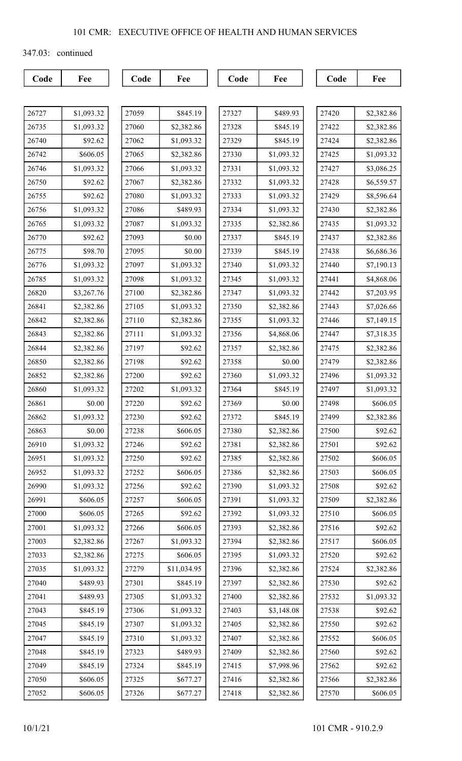347.03: continued

| $\sqrt{ }$<br>. .<br>. |  |
|------------------------|--|

| 26727 | \$1,093.32 |
|-------|------------|
| 26735 | \$1,093.32 |
| 26740 | \$92.62    |
| 26742 | \$606.05   |
| 26746 | \$1,093.32 |
| 26750 | \$92.62    |
| 26755 | \$92.62    |
| 26756 | \$1,093.32 |
| 26765 | \$1,093.32 |
| 26770 | \$92.62    |
| 26775 | \$98.70    |
| 26776 | \$1,093.32 |
| 26785 | \$1,093.32 |
| 26820 | \$3,267.76 |
| 26841 | \$2,382.86 |
| 26842 | \$2,382.86 |
| 26843 | \$2,382.86 |
| 26844 | \$2,382.86 |
| 26850 | \$2,382.86 |
| 26852 | \$2,382.86 |
| 26860 | \$1,093.32 |
| 26861 | \$0.00     |
| 26862 | \$1,093.32 |
| 26863 | \$0.00     |
| 26910 | \$1,093.32 |
| 26951 | \$1,093.32 |
| 26952 | \$1,093.32 |
| 26990 | \$1,093.32 |
| 26991 | \$606.05   |
| 27000 | \$606.05   |
| 27001 | \$1,093.32 |
| 27003 | \$2,382.86 |
| 27033 | \$2,382.86 |
| 27035 | \$1,093.32 |
| 27040 | \$489.93   |
| 27041 | \$489.93   |
| 27043 | \$845.19   |
| 27045 | \$845.19   |
| 27047 | \$845.19   |
| 27048 | \$845.19   |
| 27049 | \$845.19   |
| 27050 | \$606.05   |
| 27052 | \$606.05   |

| 27059 | \$845.19    |
|-------|-------------|
| 27060 | \$2,382.86  |
| 27062 | \$1,093.32  |
| 27065 | \$2,382.86  |
| 27066 | \$1,093.32  |
| 27067 | \$2,382.86  |
| 27080 | \$1,093.32  |
| 27086 | \$489.93    |
| 27087 | \$1,093.32  |
| 27093 | \$0.00      |
| 27095 | \$0.00      |
| 27097 | \$1,093.32  |
| 27098 | \$1,093.32  |
| 27100 | \$2,382.86  |
| 27105 | \$1,093.32  |
| 27110 | \$2,382.86  |
| 27111 | \$1,093.32  |
| 27197 | \$92.62     |
| 27198 | \$92.62     |
| 27200 | \$92.62     |
| 27202 | \$1,093.32  |
| 27220 | \$92.62     |
| 27230 | \$92.62     |
| 27238 | \$606.05    |
| 27246 | \$92.62     |
| 27250 | \$92.62     |
| 27252 | \$606.05    |
| 27256 | \$92.62     |
| 27257 | \$606.05    |
| 27265 | \$92.62     |
| 27266 | \$606.05    |
| 27267 | \$1,093.32  |
| 27275 | \$606.05    |
| 27279 | \$11,034.95 |
| 27301 | \$845.19    |
| 27305 | \$1,093.32  |
| 27306 | \$1,093.32  |
| 27307 | \$1,093.32  |
| 27310 | \$1,093.32  |
| 27323 | \$489.93    |
| 27324 | \$845.19    |
| 27325 | \$677.27    |
| 27326 | \$677.27    |

| \$489.93<br>27327<br>27328<br>\$845.19<br>27329<br>\$845.19<br>\$1,093.32<br>27330<br>27331<br>\$1,093.32<br>27332<br>\$1,093.32<br>27333<br>\$1,093.32<br>27334<br>\$1,093.32<br>27335<br>\$2,382.86<br>27337<br>\$845.19<br>\$845.19<br>27339<br>\$1,093.32<br>27340<br>\$1,093.32<br>27345<br>27347<br>\$1,093.32<br>27350<br>\$2,382.86<br>27355<br>\$1,093.32<br>27356<br>\$4,868.06<br>27357<br>\$2,382.86<br>27358<br>\$0.00<br>27360<br>\$1,093.32<br>27364<br>\$845.19<br>27369<br>\$0.00<br>\$845.19<br>27372<br>27380<br>\$2,382.86<br>27381<br>\$2,382.86<br>27385<br>\$2,382.86<br>27386<br>\$2,382.86<br>27390<br>\$1,093.32<br>27391<br>\$1,093.32<br>27392<br>\$1,093.32<br>27393<br>\$2,382.86<br>\$2,382.86<br>27394<br>\$1,093.32<br>27395<br>27396<br>\$2,382.86<br>27397<br>\$2,382.86<br>27400<br>\$2,382.86<br>27403<br>\$3,148.08<br>27405<br>\$2,382.86<br>27407<br>\$2,382.86<br>27409<br>\$2,382.86<br>27415<br>\$7,998.96<br>27416<br>\$2,382.86<br>27418<br>\$2,382.86 |  |
|-----------------------------------------------------------------------------------------------------------------------------------------------------------------------------------------------------------------------------------------------------------------------------------------------------------------------------------------------------------------------------------------------------------------------------------------------------------------------------------------------------------------------------------------------------------------------------------------------------------------------------------------------------------------------------------------------------------------------------------------------------------------------------------------------------------------------------------------------------------------------------------------------------------------------------------------------------------------------------------------------------|--|
|                                                                                                                                                                                                                                                                                                                                                                                                                                                                                                                                                                                                                                                                                                                                                                                                                                                                                                                                                                                                     |  |
|                                                                                                                                                                                                                                                                                                                                                                                                                                                                                                                                                                                                                                                                                                                                                                                                                                                                                                                                                                                                     |  |
|                                                                                                                                                                                                                                                                                                                                                                                                                                                                                                                                                                                                                                                                                                                                                                                                                                                                                                                                                                                                     |  |
|                                                                                                                                                                                                                                                                                                                                                                                                                                                                                                                                                                                                                                                                                                                                                                                                                                                                                                                                                                                                     |  |
|                                                                                                                                                                                                                                                                                                                                                                                                                                                                                                                                                                                                                                                                                                                                                                                                                                                                                                                                                                                                     |  |
|                                                                                                                                                                                                                                                                                                                                                                                                                                                                                                                                                                                                                                                                                                                                                                                                                                                                                                                                                                                                     |  |
|                                                                                                                                                                                                                                                                                                                                                                                                                                                                                                                                                                                                                                                                                                                                                                                                                                                                                                                                                                                                     |  |
|                                                                                                                                                                                                                                                                                                                                                                                                                                                                                                                                                                                                                                                                                                                                                                                                                                                                                                                                                                                                     |  |
|                                                                                                                                                                                                                                                                                                                                                                                                                                                                                                                                                                                                                                                                                                                                                                                                                                                                                                                                                                                                     |  |
|                                                                                                                                                                                                                                                                                                                                                                                                                                                                                                                                                                                                                                                                                                                                                                                                                                                                                                                                                                                                     |  |
|                                                                                                                                                                                                                                                                                                                                                                                                                                                                                                                                                                                                                                                                                                                                                                                                                                                                                                                                                                                                     |  |
|                                                                                                                                                                                                                                                                                                                                                                                                                                                                                                                                                                                                                                                                                                                                                                                                                                                                                                                                                                                                     |  |
|                                                                                                                                                                                                                                                                                                                                                                                                                                                                                                                                                                                                                                                                                                                                                                                                                                                                                                                                                                                                     |  |
|                                                                                                                                                                                                                                                                                                                                                                                                                                                                                                                                                                                                                                                                                                                                                                                                                                                                                                                                                                                                     |  |
|                                                                                                                                                                                                                                                                                                                                                                                                                                                                                                                                                                                                                                                                                                                                                                                                                                                                                                                                                                                                     |  |
|                                                                                                                                                                                                                                                                                                                                                                                                                                                                                                                                                                                                                                                                                                                                                                                                                                                                                                                                                                                                     |  |
|                                                                                                                                                                                                                                                                                                                                                                                                                                                                                                                                                                                                                                                                                                                                                                                                                                                                                                                                                                                                     |  |
|                                                                                                                                                                                                                                                                                                                                                                                                                                                                                                                                                                                                                                                                                                                                                                                                                                                                                                                                                                                                     |  |
|                                                                                                                                                                                                                                                                                                                                                                                                                                                                                                                                                                                                                                                                                                                                                                                                                                                                                                                                                                                                     |  |
|                                                                                                                                                                                                                                                                                                                                                                                                                                                                                                                                                                                                                                                                                                                                                                                                                                                                                                                                                                                                     |  |
|                                                                                                                                                                                                                                                                                                                                                                                                                                                                                                                                                                                                                                                                                                                                                                                                                                                                                                                                                                                                     |  |
|                                                                                                                                                                                                                                                                                                                                                                                                                                                                                                                                                                                                                                                                                                                                                                                                                                                                                                                                                                                                     |  |
|                                                                                                                                                                                                                                                                                                                                                                                                                                                                                                                                                                                                                                                                                                                                                                                                                                                                                                                                                                                                     |  |
|                                                                                                                                                                                                                                                                                                                                                                                                                                                                                                                                                                                                                                                                                                                                                                                                                                                                                                                                                                                                     |  |
|                                                                                                                                                                                                                                                                                                                                                                                                                                                                                                                                                                                                                                                                                                                                                                                                                                                                                                                                                                                                     |  |
|                                                                                                                                                                                                                                                                                                                                                                                                                                                                                                                                                                                                                                                                                                                                                                                                                                                                                                                                                                                                     |  |
|                                                                                                                                                                                                                                                                                                                                                                                                                                                                                                                                                                                                                                                                                                                                                                                                                                                                                                                                                                                                     |  |
|                                                                                                                                                                                                                                                                                                                                                                                                                                                                                                                                                                                                                                                                                                                                                                                                                                                                                                                                                                                                     |  |
|                                                                                                                                                                                                                                                                                                                                                                                                                                                                                                                                                                                                                                                                                                                                                                                                                                                                                                                                                                                                     |  |
|                                                                                                                                                                                                                                                                                                                                                                                                                                                                                                                                                                                                                                                                                                                                                                                                                                                                                                                                                                                                     |  |
|                                                                                                                                                                                                                                                                                                                                                                                                                                                                                                                                                                                                                                                                                                                                                                                                                                                                                                                                                                                                     |  |
|                                                                                                                                                                                                                                                                                                                                                                                                                                                                                                                                                                                                                                                                                                                                                                                                                                                                                                                                                                                                     |  |
|                                                                                                                                                                                                                                                                                                                                                                                                                                                                                                                                                                                                                                                                                                                                                                                                                                                                                                                                                                                                     |  |
|                                                                                                                                                                                                                                                                                                                                                                                                                                                                                                                                                                                                                                                                                                                                                                                                                                                                                                                                                                                                     |  |
|                                                                                                                                                                                                                                                                                                                                                                                                                                                                                                                                                                                                                                                                                                                                                                                                                                                                                                                                                                                                     |  |
|                                                                                                                                                                                                                                                                                                                                                                                                                                                                                                                                                                                                                                                                                                                                                                                                                                                                                                                                                                                                     |  |
|                                                                                                                                                                                                                                                                                                                                                                                                                                                                                                                                                                                                                                                                                                                                                                                                                                                                                                                                                                                                     |  |
|                                                                                                                                                                                                                                                                                                                                                                                                                                                                                                                                                                                                                                                                                                                                                                                                                                                                                                                                                                                                     |  |
|                                                                                                                                                                                                                                                                                                                                                                                                                                                                                                                                                                                                                                                                                                                                                                                                                                                                                                                                                                                                     |  |
|                                                                                                                                                                                                                                                                                                                                                                                                                                                                                                                                                                                                                                                                                                                                                                                                                                                                                                                                                                                                     |  |
|                                                                                                                                                                                                                                                                                                                                                                                                                                                                                                                                                                                                                                                                                                                                                                                                                                                                                                                                                                                                     |  |
|                                                                                                                                                                                                                                                                                                                                                                                                                                                                                                                                                                                                                                                                                                                                                                                                                                                                                                                                                                                                     |  |
|                                                                                                                                                                                                                                                                                                                                                                                                                                                                                                                                                                                                                                                                                                                                                                                                                                                                                                                                                                                                     |  |

| 27420 | \$2,382.86 |
|-------|------------|
| 27422 | \$2,382.86 |
| 27424 | \$2,382.86 |
| 27425 | \$1,093.32 |
| 27427 | \$3,086.25 |
| 27428 | \$6,559.57 |
| 27429 | \$8,596.64 |
| 27430 | \$2,382.86 |
| 27435 | \$1,093.32 |
| 27437 | \$2,382.86 |
| 27438 | \$6,686.36 |
| 27440 | \$7,190.13 |
| 27441 | \$4,868.06 |
| 27442 | \$7,203.95 |
| 27443 | \$7,026.66 |
| 27446 | \$7,149.15 |
| 27447 | \$7,318.35 |
| 27475 | \$2,382.86 |
| 27479 | \$2,382.86 |
| 27496 | \$1,093.32 |
| 27497 | \$1,093.32 |
| 27498 | \$606.05   |
| 27499 | \$2,382.86 |
| 27500 | \$92.62    |
| 27501 | \$92.62    |
| 27502 | \$606.05   |
| 27503 | \$606.05   |
| 27508 | \$92.62    |
| 27509 | \$2,382.86 |
| 27510 | \$606.05   |
| 27516 | \$92.62    |
| 27517 | \$606.05   |
| 27520 | \$92.62    |
| 27524 | \$2,382.86 |
| 27530 | \$92.62    |
| 27532 | \$1,093.32 |
| 27538 | \$92.62    |
| 27550 | \$92.62    |
| 27552 | \$606.05   |
| 27560 | \$92.62    |
| 27562 | \$92.62    |
| 27566 | \$2,382.86 |
| 27570 | \$606.05   |
|       |            |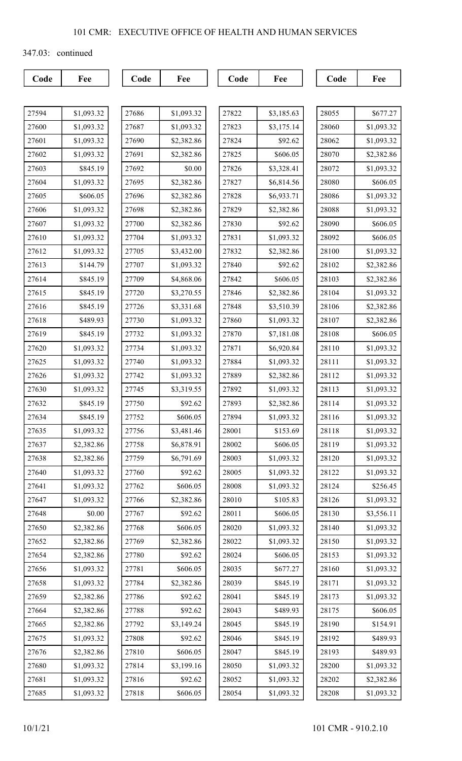347.03: continued

| 27594 | \$1,093.32 |
|-------|------------|
| 27600 | \$1,093.32 |
| 27601 | \$1,093.32 |
| 27602 | \$1,093.32 |
| 27603 | \$845.19   |
| 27604 | \$1,093.32 |
| 27605 | \$606.05   |
| 27606 | \$1,093.32 |
| 27607 | \$1,093.32 |
| 27610 | \$1,093.32 |
| 27612 | \$1,093.32 |
| 27613 | \$144.79   |
| 27614 | \$845.19   |
| 27615 | \$845.19   |
| 27616 | \$845.19   |
| 27618 | \$489.93   |
| 27619 | \$845.19   |
| 27620 | \$1,093.32 |
| 27625 | \$1,093.32 |
| 27626 | \$1,093.32 |
| 27630 | \$1,093.32 |
| 27632 | \$845.19   |
| 27634 | \$845.19   |
| 27635 | \$1,093.32 |
| 27637 | \$2,382.86 |
| 27638 | \$2,382.86 |
| 27640 | \$1,093.32 |
| 27641 | \$1,093.32 |
| 27647 | \$1,093.32 |
| 27648 | \$0.00     |
| 27650 | \$2,382.86 |
| 27652 | \$2,382.86 |
| 27654 | \$2,382.86 |
| 27656 | \$1,093.32 |
| 27658 | \$1,093.32 |
| 27659 | \$2,382.86 |
| 27664 | \$2,382.86 |
| 27665 | \$2,382.86 |
| 27675 | \$1,093.32 |
| 27676 | \$2,382.86 |
| 27680 | \$1,093.32 |
| 27681 | \$1,093.32 |
| 27685 | \$1,093.32 |

| 27686 | \$1,093.32 |
|-------|------------|
| 27687 | \$1,093.32 |
| 27690 | \$2,382.86 |
| 27691 | \$2,382.86 |
| 27692 | \$0.00     |
| 27695 | \$2,382.86 |
| 27696 | \$2,382.86 |
| 27698 | \$2,382.86 |
| 27700 | \$2,382.86 |
| 27704 | \$1,093.32 |
| 27705 | \$3,432.00 |
| 27707 | \$1,093.32 |
| 27709 | \$4,868.06 |
| 27720 | \$3,270.55 |
| 27726 | \$3,331.68 |
| 27730 | \$1,093.32 |
| 27732 | \$1,093.32 |
| 27734 | \$1,093.32 |
| 27740 | \$1,093.32 |
| 27742 | \$1,093.32 |
| 27745 | \$3,319.55 |
| 27750 | \$92.62    |
| 27752 | \$606.05   |
| 27756 | \$3,481.46 |
| 27758 | \$6,878.91 |
| 27759 | \$6,791.69 |
| 27760 | \$92.62    |
| 27762 | \$606.05   |
| 27766 | \$2,382.86 |
| 27767 | \$92.62    |
| 27768 | \$606.05   |
| 27769 | \$2,382.86 |
| 27780 | \$92.62    |
| 27781 | \$606.05   |
| 27784 | \$2,382.86 |
| 27786 | \$92.62    |
| 27788 | \$92.62    |
| 27792 | \$3,149.24 |
| 27808 | \$92.62    |
| 27810 | \$606.05   |
| 27814 | \$3,199.16 |
| 27816 | \$92.62    |
| 27818 | \$606.05   |

| 27822 | \$3,185.63 |
|-------|------------|
| 27823 | \$3,175.14 |
| 27824 | \$92.62    |
| 27825 | \$606.05   |
| 27826 | \$3,328.41 |
| 27827 | \$6,814.56 |
| 27828 | \$6,933.71 |
| 27829 | \$2,382.86 |
| 27830 | \$92.62    |
| 27831 | \$1,093.32 |
| 27832 | \$2,382.86 |
| 27840 | \$92.62    |
| 27842 | \$606.05   |
| 27846 | \$2,382.86 |
| 27848 | \$3,510.39 |
| 27860 | \$1,093.32 |
| 27870 | \$7,181.08 |
| 27871 | \$6,920.84 |
| 27884 | \$1,093.32 |
| 27889 | \$2,382.86 |
| 27892 | \$1,093.32 |
| 27893 | \$2,382.86 |
| 27894 | \$1,093.32 |
| 28001 | \$153.69   |
| 28002 | \$606.05   |
| 28003 | \$1,093.32 |
| 28005 | \$1,093.32 |
| 28008 | \$1,093.32 |
| 28010 | \$105.83   |
| 28011 | \$606.05   |
| 28020 | \$1,093.32 |
| 28022 | \$1,093.32 |
| 28024 | \$606.05   |
| 28035 | \$677.27   |
| 28039 | \$845.19   |
| 28041 | \$845.19   |
| 28043 | \$489.93   |
| 28045 | \$845.19   |
| 28046 | \$845.19   |
| 28047 | \$845.19   |
| 28050 | \$1,093.32 |
| 28052 | \$1,093.32 |
| 28054 | \$1,093.32 |
|       |            |

| 28055 | \$677.27   |
|-------|------------|
| 28060 | \$1,093.32 |
| 28062 | \$1,093.32 |
| 28070 | \$2,382.86 |
| 28072 | \$1,093.32 |
| 28080 | \$606.05   |
| 28086 | \$1,093.32 |
| 28088 | \$1,093.32 |
| 28090 | \$606.05   |
| 28092 | \$606.05   |
| 28100 | \$1,093.32 |
| 28102 | \$2,382.86 |
| 28103 | \$2,382.86 |
| 28104 | \$1,093.32 |
| 28106 | \$2,382.86 |
| 28107 | \$2,382.86 |
| 28108 | \$606.05   |
| 28110 | \$1,093.32 |
| 28111 | \$1,093.32 |
| 28112 | \$1,093.32 |
| 28113 | \$1,093.32 |
| 28114 | \$1,093.32 |
| 28116 | \$1,093.32 |
| 28118 | \$1,093.32 |
| 28119 | \$1,093.32 |
| 28120 | \$1,093.32 |
| 28122 | \$1,093.32 |
| 28124 | \$256.45   |
| 28126 | \$1,093.32 |
| 28130 | \$3,556.11 |
| 28140 | \$1,093.32 |
| 28150 | \$1,093.32 |
| 28153 | \$1,093.32 |
| 28160 | \$1,093.32 |
| 28171 | \$1,093.32 |
| 28173 | \$1,093.32 |
| 28175 | \$606.05   |
| 28190 | \$154.91   |
| 28192 | \$489.93   |
| 28193 | \$489.93   |
| 28200 | \$1,093.32 |
| 28202 | \$2,382.86 |
| 28208 | \$1,093.32 |
|       |            |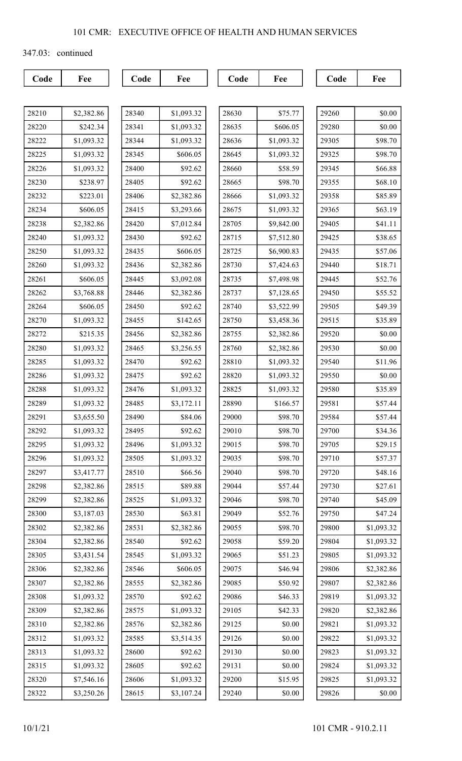347.03: continued

| 28210 | \$2,382.86 |
|-------|------------|
| 28220 | \$242.34   |
| 28222 | \$1,093.32 |
| 28225 | \$1,093.32 |
| 28226 | \$1,093.32 |
| 28230 | \$238.97   |
| 28232 | \$223.01   |
| 28234 | \$606.05   |
| 28238 | \$2,382.86 |
| 28240 | \$1,093.32 |
| 28250 | \$1,093.32 |
| 28260 | \$1,093.32 |
| 28261 | \$606.05   |
| 28262 | \$3,768.88 |
| 28264 | \$606.05   |
| 28270 | \$1,093.32 |
| 28272 | \$215.35   |
| 28280 | \$1,093.32 |
| 28285 | \$1,093.32 |
| 28286 | \$1,093.32 |
| 28288 | \$1,093.32 |
| 28289 | \$1,093.32 |
| 28291 | \$3,655.50 |
| 28292 | \$1,093.32 |
| 28295 | \$1,093.32 |
| 28296 | \$1,093.32 |
| 28297 | \$3,417.77 |
| 28298 | \$2,382.86 |
| 28299 | \$2,382.86 |
| 28300 | \$3,187.03 |
| 28302 | \$2,382.86 |
| 28304 | \$2,382.86 |
| 28305 | \$3,431.54 |
| 28306 | \$2,382.86 |
| 28307 | \$2,382.86 |
| 28308 | \$1,093.32 |
| 28309 | \$2,382.86 |
| 28310 | \$2,382.86 |
| 28312 | \$1,093.32 |
| 28313 | \$1,093.32 |
| 28315 | \$1,093.32 |
| 28320 | \$7,546.16 |
| 28322 | \$3,250.26 |

| 28340 | \$1,093.32 |
|-------|------------|
| 28341 | \$1,093.32 |
| 28344 | \$1,093.32 |
| 28345 | \$606.05   |
| 28400 | \$92.62    |
| 28405 | \$92.62    |
| 28406 | \$2,382.86 |
| 28415 | \$3,293.66 |
| 28420 | \$7,012.84 |
| 28430 | \$92.62    |
| 28435 | \$606.05   |
| 28436 | \$2,382.86 |
| 28445 | \$3,092.08 |
| 28446 | \$2,382.86 |
| 28450 | \$92.62    |
| 28455 | \$142.65   |
| 28456 | \$2,382.86 |
| 28465 | \$3,256.55 |
| 28470 | \$92.62    |
| 28475 | \$92.62    |
| 28476 | \$1,093.32 |
| 28485 | \$3,172.11 |
| 28490 | \$84.06    |
| 28495 | \$92.62    |
| 28496 | \$1,093.32 |
| 28505 | \$1,093.32 |
| 28510 | \$66.56    |
| 28515 | \$89.88    |
| 28525 | \$1,093.32 |
| 28530 | \$63.81    |
| 28531 | \$2,382.86 |
| 28540 | \$92.62    |
| 28545 | \$1,093.32 |
| 28546 | \$606.05   |
| 28555 | \$2,382.86 |
| 28570 | \$92.62    |
| 28575 | \$1,093.32 |
| 28576 | \$2,382.86 |
| 28585 | \$3,514.35 |
| 28600 | \$92.62    |
| 28605 | \$92.62    |
| 28606 | \$1,093.32 |
| 28615 | \$3,107.24 |

| 28630 | \$75.77    |
|-------|------------|
| 28635 | \$606.05   |
| 28636 | \$1,093.32 |
| 28645 | \$1,093.32 |
| 28660 | \$58.59    |
| 28665 | \$98.70    |
| 28666 | \$1,093.32 |
| 28675 | \$1,093.32 |
| 28705 | \$9,842.00 |
| 28715 | \$7,512.80 |
| 28725 | \$6,900.83 |
| 28730 | \$7,424.63 |
| 28735 | \$7,498.98 |
| 28737 | \$7,128.65 |
| 28740 | \$3,522.99 |
| 28750 | \$3,458.36 |
| 28755 | \$2,382.86 |
| 28760 | \$2,382.86 |
| 28810 | \$1,093.32 |
| 28820 | \$1,093.32 |
| 28825 | \$1,093.32 |
| 28890 | \$166.57   |
| 29000 | \$98.70    |
| 29010 | \$98.70    |
| 29015 | \$98.70    |
| 29035 | \$98.70    |
| 29040 | \$98.70    |
| 29044 | \$57.44    |
| 29046 | \$98.70    |
| 29049 | \$52.76    |
| 29055 | \$98.70    |
| 29058 | \$59.20    |
| 29065 | \$51.23    |
| 29075 | \$46.94    |
| 29085 | \$50.92    |
| 29086 | \$46.33    |
| 29105 | \$42.33    |
| 29125 | \$0.00     |
| 29126 | \$0.00     |
| 29130 | \$0.00     |
| 29131 | \$0.00     |
| 29200 | \$15.95    |
| 29240 | \$0.00     |

| 29260 | \$0.00     |
|-------|------------|
| 29280 | \$0.00     |
| 29305 | \$98.70    |
| 29325 | \$98.70    |
| 29345 | \$66.88    |
| 29355 | \$68.10    |
| 29358 | \$85.89    |
| 29365 | \$63.19    |
| 29405 | \$41.11    |
| 29425 | \$38.65    |
| 29435 | \$57.06    |
| 29440 | \$18.71    |
| 29445 | \$52.76    |
| 29450 | \$55.52    |
| 29505 | \$49.39    |
| 29515 | \$35.89    |
| 29520 | \$0.00     |
| 29530 | \$0.00     |
| 29540 | \$11.96    |
| 29550 | \$0.00     |
| 29580 | \$35.89    |
| 29581 | \$57.44    |
| 29584 | \$57.44    |
| 29700 | \$34.36    |
| 29705 | \$29.15    |
| 29710 | \$57.37    |
| 29720 | \$48.16    |
| 29730 | \$27.61    |
| 29740 | \$45.09    |
| 29750 | \$47.24    |
| 29800 | \$1,093.32 |
| 29804 | \$1,093.32 |
| 29805 | \$1,093.32 |
| 29806 | \$2,382.86 |
| 29807 | \$2,382.86 |
| 29819 | \$1,093.32 |
| 29820 | \$2,382.86 |
| 29821 | \$1,093.32 |
| 29822 | \$1,093.32 |
| 29823 | \$1,093.32 |
| 29824 | \$1,093.32 |
| 29825 | \$1,093.32 |
| 29826 | \$0.00     |
|       |            |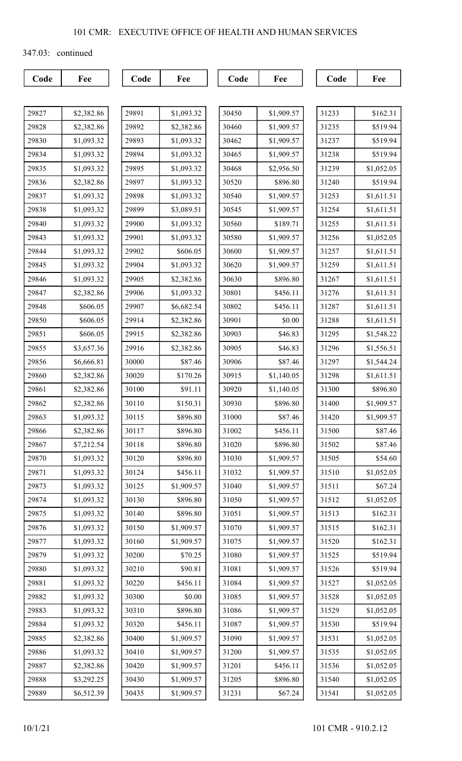347.03: continued

| 29827 | \$2,382.86 |
|-------|------------|
| 29828 | \$2,382.86 |
| 29830 | \$1,093.32 |
| 29834 | \$1,093.32 |
| 29835 | \$1,093.32 |
| 29836 | \$2,382.86 |
| 29837 | \$1,093.32 |
| 29838 | \$1,093.32 |
| 29840 | \$1,093.32 |
| 29843 | \$1,093.32 |
| 29844 | \$1,093.32 |
| 29845 | \$1,093.32 |
| 29846 | \$1,093.32 |
| 29847 | \$2,382.86 |
| 29848 | \$606.05   |
| 29850 | \$606.05   |
| 29851 | \$606.05   |
| 29855 | \$3,657.36 |
| 29856 | \$6,666.81 |
| 29860 | \$2,382.86 |
| 29861 | \$2,382.86 |
| 29862 | \$2,382.86 |
| 29863 | \$1,093.32 |
| 29866 | \$2,382.86 |
| 29867 | \$7,212.54 |
| 29870 | \$1,093.32 |
| 29871 | \$1,093.32 |
| 29873 | \$1,093.32 |
| 29874 | \$1,093.32 |
| 29875 | \$1,093.32 |
| 29876 | \$1,093.32 |
| 29877 | \$1,093.32 |
| 29879 | \$1,093.32 |
| 29880 | \$1,093.32 |
| 29881 | \$1,093.32 |
| 29882 | \$1,093.32 |
| 29883 | \$1,093.32 |
| 29884 | \$1,093.32 |
| 29885 | \$2,382.86 |
| 29886 | \$1,093.32 |
| 29887 | \$2,382.86 |
| 29888 | \$3,292.25 |
| 29889 | \$6,512.39 |

| 29891 | \$1,093.32 |
|-------|------------|
| 29892 | \$2,382.86 |
| 29893 | \$1,093.32 |
| 29894 | \$1,093.32 |
| 29895 | \$1,093.32 |
| 29897 | \$1,093.32 |
| 29898 | \$1,093.32 |
| 29899 | \$3,089.51 |
| 29900 | \$1,093.32 |
| 29901 | \$1,093.32 |
| 29902 | \$606.05   |
| 29904 | \$1,093.32 |
| 29905 | \$2,382.86 |
| 29906 | \$1,093.32 |
| 29907 | \$6,682.54 |
| 29914 | \$2,382.86 |
| 29915 | \$2,382.86 |
| 29916 | \$2,382.86 |
| 30000 | \$87.46    |
| 30020 | \$170.26   |
| 30100 | \$91.11    |
| 30110 | \$150.31   |
| 30115 | \$896.80   |
| 30117 | \$896.80   |
| 30118 | \$896.80   |
| 30120 | \$896.80   |
| 30124 | \$456.11   |
| 30125 | \$1,909.57 |
| 30130 | \$896.80   |
| 30140 | \$896.80   |
| 30150 | \$1,909.57 |
| 30160 | \$1,909.57 |
| 30200 | \$70.25    |
| 30210 | \$90.81    |
| 30220 | \$456.11   |
| 30300 | \$0.00     |
| 30310 | \$896.80   |
| 30320 | \$456.11   |
| 30400 | \$1,909.57 |
| 30410 | \$1,909.57 |
| 30420 | \$1,909.57 |
| 30430 | \$1,909.57 |
| 30435 | \$1,909.57 |

| 30450 | \$1,909.57 |
|-------|------------|
| 30460 | \$1,909.57 |
| 30462 | \$1,909.57 |
| 30465 | \$1,909.57 |
| 30468 | \$2,956.50 |
| 30520 | \$896.80   |
| 30540 | \$1,909.57 |
| 30545 | \$1,909.57 |
| 30560 | \$189.71   |
| 30580 | \$1,909.57 |
| 30600 | \$1,909.57 |
| 30620 | \$1,909.57 |
| 30630 | \$896.80   |
| 30801 | \$456.11   |
| 30802 | \$456.11   |
| 30901 | \$0.00     |
| 30903 | \$46.83    |
| 30905 | \$46.83    |
| 30906 | \$87.46    |
| 30915 | \$1,140.05 |
| 30920 | \$1,140.05 |
| 30930 | \$896.80   |
| 31000 | \$87.46    |
| 31002 | \$456.11   |
| 310ZO | \$896.80   |
| 31030 | \$1,909.57 |
| 31032 | \$1,909.57 |
| 31040 | \$1,909.57 |
| 31050 | \$1,909.57 |
| 31051 | \$1,909.57 |
| 31070 | \$1,909.57 |
| 31075 | \$1,909.57 |
| 31080 | \$1,909.57 |
| 31081 | \$1,909.57 |
| 31084 | \$1,909.57 |
| 31085 | \$1,909.57 |
| 31086 | \$1,909.57 |
| 31087 | \$1,909.57 |
| 31090 | \$1,909.57 |
| 31200 | \$1,909.57 |
| 31201 | \$456.11   |
| 31205 | \$896.80   |
| 31231 | \$67.24    |

| 31233 | \$162.31   |
|-------|------------|
| 31235 | \$519.94   |
| 31237 | \$519.94   |
| 31238 | \$519.94   |
| 31239 | \$1,052.05 |
| 31240 | \$519.94   |
| 31253 | \$1,611.51 |
| 31254 | \$1,611.51 |
| 31255 | \$1,611.51 |
| 31256 | \$1,052.05 |
| 31257 | \$1,611.51 |
| 31259 | \$1,611.51 |
| 31267 | \$1,611.51 |
| 31276 | \$1,611.51 |
| 31287 | \$1,611.51 |
| 31288 | \$1,611.51 |
| 31295 | \$1,548.22 |
| 31296 | \$1,556.51 |
| 31297 | \$1,544.24 |
| 31298 | \$1,611.51 |
| 31300 | \$896.80   |
| 31400 | \$1,909.57 |
| 31420 | \$1,909.57 |
| 31500 | \$87.46    |
| 31502 | \$87.46    |
| 31505 | \$54.60    |
| 31510 | \$1,052.05 |
| 31511 | \$67.24    |
| 31512 | \$1,052.05 |
| 31513 | \$162.31   |
| 31515 | \$162.31   |
| 31520 | \$162.31   |
| 31525 | \$519.94   |
| 31526 | \$519.94   |
| 31527 | \$1,052.05 |
| 31528 | \$1,052.05 |
| 31529 | \$1,052.05 |
| 31530 | \$519.94   |
| 31531 | \$1,052.05 |
| 31535 | \$1,052.05 |
| 31536 | \$1,052.05 |
| 31540 | \$1,052.05 |
| 31541 | \$1,052.05 |
|       |            |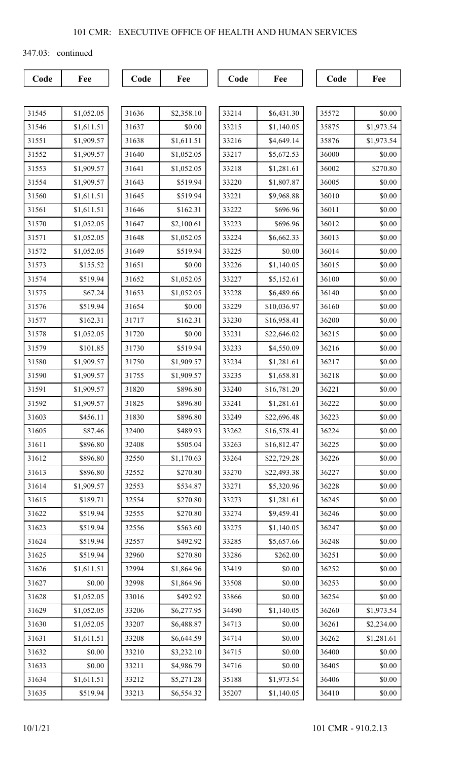347.03: continued

| 31545 | \$1,052.05 |
|-------|------------|
| 31546 | \$1,611.51 |
| 31551 | \$1,909.57 |
| 31552 | \$1,909.57 |
| 31553 | \$1,909.57 |
| 31554 | \$1,909.57 |
| 31560 | \$1,611.51 |
| 31561 | \$1,611.51 |
| 31570 | \$1,052.05 |
| 31571 | \$1,052.05 |
| 31572 | \$1,052.05 |
| 31573 | \$155.52   |
| 31574 | \$519.94   |
| 31575 | \$67.24    |
| 31576 | \$519.94   |
| 31577 | \$162.31   |
| 31578 | \$1,052.05 |
| 31579 | \$101.85   |
| 31580 | \$1,909.57 |
| 31590 | \$1,909.57 |
| 31591 | \$1,909.57 |
| 31592 | \$1,909.57 |
| 31603 | \$456.11   |
| 31605 | \$87.46    |
| 31611 | \$896.80   |
| 31612 | \$896.80   |
| 31613 | \$896.80   |
| 31614 | \$1,909.57 |
| 31615 | \$189.71   |
| 31622 | \$519.94   |
| 31623 | \$519.94   |
| 31624 | \$519.94   |
| 31625 | \$519.94   |
| 31626 | \$1,611.51 |
| 31627 | \$0.00     |
| 31628 | \$1,052.05 |
| 31629 | \$1,052.05 |
| 31630 | \$1,052.05 |
| 31631 | \$1,611.51 |
| 31632 | \$0.00     |
| 31633 | \$0.00     |
| 31634 | \$1,611.51 |
| 31635 | \$519.94   |

| 31636 | \$2,358.10 |
|-------|------------|
| 31637 | \$0.00     |
| 31638 | \$1,611.51 |
| 31640 | \$1,052.05 |
| 31641 | \$1,052.05 |
| 31643 | \$519.94   |
| 31645 | \$519.94   |
| 31646 | \$162.31   |
| 31647 | \$2,100.61 |
| 31648 | \$1,052.05 |
| 31649 | \$519.94   |
| 31651 | \$0.00     |
| 31652 | \$1,052.05 |
| 31653 | \$1,052.05 |
| 31654 | \$0.00     |
| 31717 | \$162.31   |
| 31720 | \$0.00     |
| 31730 | \$519.94   |
| 31750 | \$1,909.57 |
| 31755 | \$1,909.57 |
| 31820 | \$896.80   |
| 31825 | \$896.80   |
| 31830 | \$896.80   |
| 32400 | \$489.93   |
| 32408 | \$505.04   |
| 32550 | \$1,170.63 |
| 32552 | \$270.80   |
| 32553 | \$534.87   |
| 32554 | \$270.80   |
| 32555 | \$270.80   |
| 32556 | \$563.60   |
| 32557 | \$492.92   |
| 32960 | \$270.80   |
| 32994 | \$1,864.96 |
| 32998 | \$1,864.96 |
| 33016 | \$492.92   |
| 33206 | \$6,277.95 |
| 33207 | \$6,488.87 |
| 33208 | \$6,644.59 |
| 33210 | \$3,232.10 |
| 33211 | \$4,986.79 |
| 33212 | \$5,271.28 |
| 33213 | \$6,554.32 |

| 33214 | \$6,431.30  |
|-------|-------------|
| 33215 | \$1,140.05  |
| 33216 | \$4,649.14  |
| 33217 | \$5,672.53  |
| 33218 | \$1,281.61  |
| 33220 | \$1,807.87  |
| 33221 | \$9,968.88  |
| 33222 | \$696.96    |
| 33223 | \$696.96    |
| 33224 | \$6,662.33  |
| 33225 | \$0.00      |
| 33226 | \$1,140.05  |
| 33227 | \$5,152.61  |
| 33228 | \$6,489.66  |
| 33229 | \$10,036.97 |
| 33230 | \$16,958.41 |
| 33231 | \$22,646.02 |
| 33233 | \$4,550.09  |
| 33234 | \$1,281.61  |
| 33235 | \$1,658.81  |
| 33240 | \$16,781.20 |
| 33241 | \$1,281.61  |
| 33249 | \$22,696.48 |
| 33262 | \$16,578.41 |
| 33263 | \$16,812.47 |
| 33264 | \$22,729.28 |
| 33270 | \$22,493.38 |
| 33271 | \$5,320.96  |
| 33273 | \$1,281.61  |
| 33274 | \$9,459.41  |
| 33275 | \$1,140.05  |
| 33285 | \$5,657.66  |
| 33286 | \$262.00    |
| 33419 | \$0.00      |
| 33508 | \$0.00      |
| 33866 | \$0.00      |
| 34490 | \$1,140.05  |
| 34713 | \$0.00      |
| 34714 | \$0.00      |
| 34715 | \$0.00      |
| 34716 | \$0.00      |
| 35188 | \$1,973.54  |
| 35207 | \$1,140.05  |
|       |             |

| 35572 | \$0.00     |
|-------|------------|
| 35875 | \$1,973.54 |
| 35876 | \$1,973.54 |
| 36000 | \$0.00     |
| 36002 | \$270.80   |
| 36005 | \$0.00     |
| 36010 | \$0.00     |
| 36011 | \$0.00     |
| 36012 | \$0.00     |
| 36013 | \$0.00     |
| 36014 | \$0.00     |
| 36015 | \$0.00     |
| 36100 | \$0.00     |
| 36140 | \$0.00     |
| 36160 | \$0.00     |
| 36200 | \$0.00     |
| 36215 | \$0.00     |
| 36216 | \$0.00     |
| 36217 | \$0.00     |
| 36218 | \$0.00     |
| 36221 | \$0.00     |
| 36222 | \$0.00     |
| 36223 | \$0.00     |
| 36224 | \$0.00     |
| 36225 | \$0.00     |
| 36226 | \$0.00     |
| 36227 | \$0.00     |
| 36228 | \$0.00     |
| 36245 | \$0.00     |
| 36246 | \$0.00     |
| 36247 | \$0.00     |
| 36248 | \$0.00     |
| 36251 | \$0.00     |
| 36252 | \$0.00     |
| 36253 | \$0.00     |
| 36254 | \$0.00     |
| 36260 | \$1,973.54 |
| 36261 | \$2,234.00 |
| 36262 | \$1,281.61 |
| 36400 | \$0.00     |
| 36405 | \$0.00     |
| 36406 | \$0.00     |
| 36410 | \$0.00     |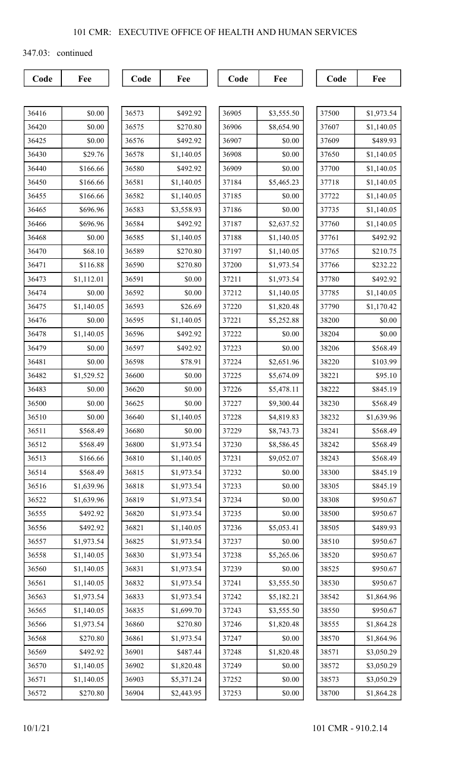347.03: continued

| 36416 | \$0.00     |
|-------|------------|
| 36420 | \$0.00     |
| 36425 | \$0.00     |
| 36430 | \$29.76    |
| 36440 | \$166.66   |
| 36450 | \$166.66   |
| 36455 | \$166.66   |
| 36465 | \$696.96   |
| 36466 | \$696.96   |
| 36468 | \$0.00     |
| 36470 | \$68.10    |
| 36471 | \$116.88   |
| 36473 | \$1,112.01 |
| 36474 | \$0.00     |
| 36475 | \$1,140.05 |
| 36476 | \$0.00     |
| 36478 | \$1,140.05 |
| 36479 | \$0.00     |
| 36481 | \$0.00     |
| 36482 | \$1,529.52 |
| 36483 | \$0.00     |
| 36500 | \$0.00     |
| 36510 | \$0.00     |
| 36511 | \$568.49   |
| 36512 | \$568.49   |
| 36513 | \$166.66   |
| 36514 | \$568.49   |
| 36516 | \$1,639.96 |
| 36522 | \$1,639.96 |
| 36555 | \$492.92   |
| 36556 | \$492.92   |
| 36557 | \$1,973.54 |
| 36558 | \$1,140.05 |
| 36560 | \$1,140.05 |
| 36561 | \$1,140.05 |
| 36563 | \$1,973.54 |
| 36565 | \$1,140.05 |
| 36566 | \$1,973.54 |
| 36568 | \$270.80   |
| 36569 | \$492.92   |
| 36570 | \$1,140.05 |
| 36571 | \$1,140.05 |
| 36572 | \$270.80   |

| 36573 | \$492.92   |
|-------|------------|
| 36575 | \$270.80   |
| 36576 | \$492.92   |
| 36578 | \$1,140.05 |
| 36580 | \$492.92   |
| 36581 | \$1,140.05 |
| 36582 | \$1,140.05 |
| 36583 | \$3,558.93 |
| 36584 | \$492.92   |
| 36585 | \$1,140.05 |
| 36589 | \$270.80   |
| 36590 | \$270.80   |
| 36591 | \$0.00     |
| 36592 | \$0.00     |
| 36593 | \$26.69    |
| 36595 | \$1,140.05 |
| 36596 | \$492.92   |
| 36597 | \$492.92   |
| 36598 | \$78.91    |
| 36600 | \$0.00     |
| 36620 | \$0.00     |
| 36625 | \$0.00     |
| 36640 | \$1,140.05 |
| 36680 | \$0.00     |
| 36800 | \$1,973.54 |
| 36810 | \$1,140.05 |
| 36815 | \$1,973.54 |
| 36818 | \$1,973.54 |
| 36819 | \$1,973.54 |
| 36820 | \$1,973.54 |
| 36821 | \$1,140.05 |
| 36825 | \$1,973.54 |
| 36830 | \$1,973.54 |
| 36831 | \$1,973.54 |
| 36832 | \$1,973.54 |
| 36833 | \$1,973.54 |
| 36835 | \$1,699.70 |
| 36860 | \$270.80   |
| 36861 | \$1,973.54 |
| 36901 | \$487.44   |
| 36902 | \$1,820.48 |
| 36903 | \$5,371.24 |
| 36904 | \$2,443.95 |

| 36905 | \$3,555.50 |
|-------|------------|
| 36906 | \$8,654.90 |
| 36907 | \$0.00     |
| 36908 | \$0.00     |
| 36909 | \$0.00     |
| 37184 | \$5,465.23 |
| 37185 | \$0.00     |
| 37186 | \$0.00     |
| 37187 | \$2,637.52 |
| 37188 | \$1,140.05 |
| 37197 | \$1,140.05 |
| 37200 | \$1,973.54 |
| 37211 | \$1,973.54 |
| 37212 | \$1,140.05 |
| 37220 | \$1,820.48 |
| 37221 | \$5,252.88 |
| 37222 | \$0.00     |
| 37223 | \$0.00     |
| 37224 | \$2,651.96 |
| 37225 | \$5,674.09 |
| 37226 | \$5,478.11 |
| 37227 | \$9,300.44 |
| 37228 | \$4,819.83 |
| 37229 | \$8,743.73 |
| 37230 | \$8,586.45 |
| 37231 | \$9,052.07 |
| 37232 | \$0.00     |
| 37233 | \$0.00     |
| 37234 | \$0.00     |
| 37235 | \$0.00     |
| 37236 | \$5,053.41 |
| 37237 | \$0.00     |
| 37238 | \$5,265.06 |
| 37239 | \$0.00     |
| 37241 | \$3,555.50 |
| 37242 | \$5,182.21 |
| 37243 | \$3,555.50 |
| 37246 | \$1,820.48 |
| 37247 | \$0.00     |
| 37248 | \$1,820.48 |
| 37249 | \$0.00     |
| 37252 | \$0.00     |
| 37253 | \$0.00     |
|       |            |

| 37500 | \$1,973.54 |
|-------|------------|
| 37607 | \$1,140.05 |
| 37609 | \$489.93   |
| 37650 | \$1,140.05 |
| 37700 | \$1,140.05 |
| 37718 | \$1,140.05 |
| 37722 | \$1,140.05 |
| 37735 | \$1,140.05 |
| 37760 | \$1,140.05 |
| 37761 | \$492.92   |
| 37765 | \$210.75   |
| 37766 | \$232.22   |
| 37780 | \$492.92   |
| 37785 | \$1,140.05 |
| 37790 | \$1,170.42 |
| 38200 | \$0.00     |
| 38204 | \$0.00     |
| 38206 | \$568.49   |
| 38220 | \$103.99   |
| 38221 | \$95.10    |
| 38222 | \$845.19   |
| 38230 | \$568.49   |
| 38232 | \$1,639.96 |
| 38241 | \$568.49   |
| 38242 | \$568.49   |
| 38243 | \$568.49   |
| 38300 | \$845.19   |
| 38305 | \$845.19   |
| 38308 | \$950.67   |
| 38500 | \$950.67   |
| 38505 | \$489.93   |
| 38510 | \$950.67   |
| 38520 | \$950.67   |
| 38525 | \$950.67   |
| 38530 | \$950.67   |
| 38542 | \$1,864.96 |
| 38550 | \$950.67   |
| 38555 | \$1,864.28 |
| 38570 | \$1,864.96 |
| 38571 | \$3,050.29 |
| 38572 | \$3,050.29 |
| 38573 | \$3,050.29 |
| 38700 | \$1,864.28 |
|       |            |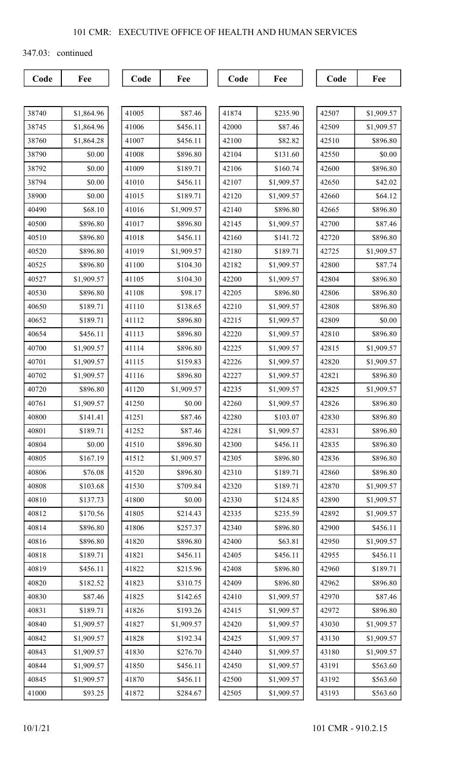347.03: continued

Code Fee Code Fee Code Fee Code Fee Fee

| 38740 | \$1,864.96 |
|-------|------------|
| 38745 | \$1,864.96 |
| 38760 | \$1,864.28 |
| 38790 | \$0.00     |
| 38792 | \$0.00     |
| 38794 | \$0.00     |
| 38900 | \$0.00     |
| 40490 | \$68.10    |
| 40500 | \$896.80   |
| 40510 | \$896.80   |
| 40520 | \$896.80   |
| 40525 | \$896.80   |
| 40527 | \$1,909.57 |
| 40530 | \$896.80   |
| 40650 | \$189.71   |
| 40652 | \$189.71   |
| 40654 | \$456.11   |
| 40700 | \$1,909.57 |
| 40701 | \$1,909.57 |
| 40702 | \$1,909.57 |
| 40720 | \$896.80   |
| 40761 | \$1,909.57 |
| 40800 | \$141.41   |
| 40801 | \$189.71   |
| 40804 | \$0.00     |
| 40805 | \$167.19   |
| 40806 | \$76.08    |
| 40808 | \$103.68   |
| 40810 | \$137.73   |
| 40812 | \$170.56   |
| 40814 | \$896.80   |
| 40816 | \$896.80   |
| 40818 | \$189.71   |
| 40819 | \$456.11   |
| 40820 | \$182.52   |
| 40830 | \$87.46    |
| 40831 | \$189.71   |
| 40840 | \$1,909.57 |
| 40842 | \$1,909.57 |
| 40843 | \$1,909.57 |
| 40844 | \$1,909.57 |
| 40845 | \$1,909.57 |
| 41000 | \$93.25    |

| 41005 | \$87.46    |
|-------|------------|
| 41006 | \$456.11   |
| 41007 | \$456.11   |
| 41008 | \$896.80   |
| 41009 | \$189.71   |
| 41010 | \$456.11   |
| 41015 | \$189.71   |
| 41016 | \$1,909.57 |
| 41017 | \$896.80   |
| 41018 | \$456.11   |
| 41019 | \$1,909.57 |
| 41100 | \$104.30   |
| 41105 | \$104.30   |
| 41108 | \$98.17    |
| 41110 | \$138.65   |
| 41112 | \$896.80   |
| 41113 | \$896.80   |
| 41114 | \$896.80   |
| 41115 | \$159.83   |
| 41116 | \$896.80   |
| 41120 | \$1,909.57 |
| 41250 | \$0.00     |
| 41251 | \$87.46    |
| 41252 | \$87.46    |
| 41510 | \$896.80   |
| 41512 | \$1,909.57 |
| 41520 | \$896.80   |
| 41530 | \$709.84   |
| 41800 | \$0.00     |
| 41805 | \$214.43   |
| 41806 | \$257.37   |
| 41820 | \$896.80   |
| 41821 | \$456.11   |
| 41822 | \$215.96   |
| 41823 | \$310.75   |
| 41825 | \$142.65   |
| 41826 | \$193.26   |
| 41827 | \$1,909.57 |
| 41828 | \$192.34   |
| 41830 | \$276.70   |
| 41850 | \$456.11   |
| 41870 | \$456.11   |
| 41872 | \$284.67   |

| 41874 | \$235.90   |
|-------|------------|
| 42000 | \$87.46    |
| 42100 | \$82.82    |
| 42104 | \$131.60   |
| 42106 | \$160.74   |
| 42107 | \$1,909.57 |
| 42120 | \$1,909.57 |
| 42140 | \$896.80   |
| 42145 | \$1,909.57 |
| 42160 | \$141.72   |
| 42180 | \$189.71   |
| 42182 | \$1,909.57 |
| 42200 | \$1,909.57 |
| 42205 | \$896.80   |
| 42210 | \$1,909.57 |
| 42215 | \$1,909.57 |
| 42220 | \$1,909.57 |
| 42225 | \$1,909.57 |
| 42226 | \$1,909.57 |
| 42227 | \$1,909.57 |
| 42235 | \$1,909.57 |
| 42260 | \$1,909.57 |
| 42280 | \$103.07   |
| 42281 | \$1,909.57 |
| 42300 | \$456.11   |
| 42305 | \$896.80   |
| 42310 | \$189.71   |
| 42320 | \$189.71   |
| 42330 | \$124.85   |
| 42335 | \$235.59   |
| 42340 | \$896.80   |
| 42400 | \$63.81    |
| 42405 | \$456.11   |
| 42408 | \$896.80   |
| 42409 | \$896.80   |
| 42410 | \$1,909.57 |
| 42415 | \$1,909.57 |
| 42420 | \$1,909.57 |
| 42425 | \$1,909.57 |
| 42440 | \$1,909.57 |
| 42450 | \$1,909.57 |
| 42500 | \$1,909.57 |
| 42505 | \$1,909.57 |

| 42507 | \$1,909.57 |
|-------|------------|
| 42509 | \$1,909.57 |
| 42510 | \$896.80   |
| 42550 | \$0.00     |
| 42600 | \$896.80   |
| 42650 | \$42.02    |
| 42660 | \$64.12    |
| 42665 | \$896.80   |
| 42700 | \$87.46    |
| 42720 | \$896.80   |
| 42725 | \$1,909.57 |
| 42800 | \$87.74    |
| 42804 | \$896.80   |
| 42806 | \$896.80   |
| 42808 | \$896.80   |
| 42809 | \$0.00     |
| 42810 | \$896.80   |
| 42815 | \$1,909.57 |
| 42820 | \$1,909.57 |
| 42821 | \$896.80   |
| 42825 | \$1,909.57 |
| 42826 | \$896.80   |
| 42830 | \$896.80   |
| 42831 | \$896.80   |
| 42835 | \$896.80   |
| 42836 | \$896.80   |
| 42860 | \$896.80   |
| 42870 | \$1,909.57 |
| 42890 | \$1,909.57 |
| 42892 | \$1,909.57 |
| 42900 | \$456.11   |
| 42950 | \$1,909.57 |
| 42955 | \$456.11   |
| 42960 | \$189.71   |
| 42962 | \$896.80   |
| 42970 | \$87.46    |
| 42972 | \$896.80   |
| 43030 | \$1,909.57 |
| 43130 | \$1,909.57 |
| 43180 | \$1,909.57 |
| 43191 | \$563.60   |
| 43192 | \$563.60   |
| 43193 | \$563.60   |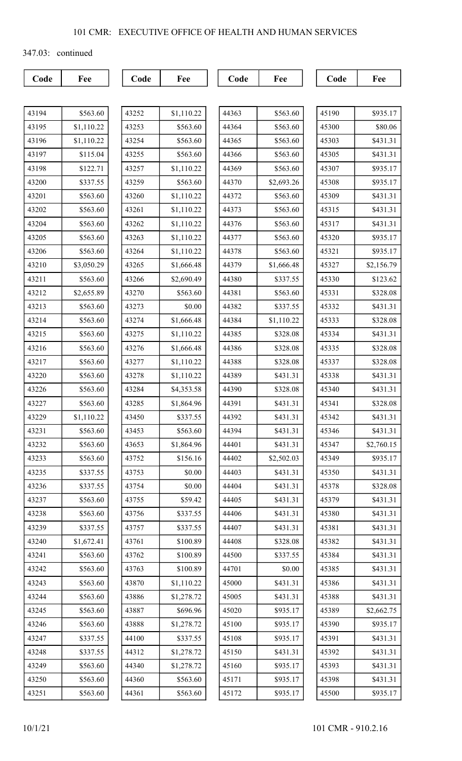347.03: continued

| 43194 | \$563.60   |
|-------|------------|
| 43195 | \$1,110.22 |
| 43196 | \$1,110.22 |
| 43197 | \$115.04   |
| 43198 | \$122.71   |
| 43200 | \$337.55   |
| 43201 | \$563.60   |
| 43202 | \$563.60   |
| 43204 | \$563.60   |
| 43205 | \$563.60   |
| 43206 | \$563.60   |
| 43210 | \$3,050.29 |
| 43211 | \$563.60   |
| 43212 | \$2,655.89 |
| 43213 | \$563.60   |
| 43214 | \$563.60   |
| 43215 | \$563.60   |
| 43216 | \$563.60   |
| 43217 | \$563.60   |
| 43220 | \$563.60   |
| 43226 | \$563.60   |
| 43227 | \$563.60   |
| 43229 | \$1,110.22 |
| 43231 | \$563.60   |
| 43232 | \$563.60   |
| 43233 | \$563.60   |
| 43235 | \$337.55   |
| 43236 | \$337.55   |
| 43237 | \$563.60   |
| 43238 | \$563.60   |
| 43239 | \$337.55   |
| 43240 | \$1,672.41 |
| 43241 | \$563.60   |
| 43242 | \$563.60   |
| 43243 | \$563.60   |
| 43244 | \$563.60   |
| 43245 | \$563.60   |
| 43246 | \$563.60   |
| 43247 | \$337.55   |
| 43248 | \$337.55   |
| 43249 | \$563.60   |
| 43250 | \$563.60   |
| 43251 | \$563.60   |

| 43252 | \$1,110.22 |
|-------|------------|
| 43253 | \$563.60   |
| 43254 | \$563.60   |
| 43255 | \$563.60   |
| 43257 | \$1,110.22 |
| 43259 | \$563.60   |
| 43260 | \$1,110.22 |
| 43261 | \$1,110.22 |
| 43262 | \$1,110.22 |
| 43263 | \$1,110.22 |
| 43264 | \$1,110.22 |
| 43265 | \$1,666.48 |
| 43266 | \$2,690.49 |
| 43270 | \$563.60   |
| 43273 | \$0.00     |
| 43274 | \$1,666.48 |
| 43275 | \$1,110.22 |
| 43276 | \$1,666.48 |
| 43277 | \$1,110.22 |
| 43278 | \$1,110.22 |
| 43284 | \$4,353.58 |
| 43285 | \$1,864.96 |
| 43450 | \$337.55   |
| 43453 | \$563.60   |
| 43633 | \$1,864.96 |
| 43752 | \$156.16   |
| 43753 | \$0.00     |
| 43754 | \$0.00     |
| 43755 | \$59.42    |
| 43756 | \$337.55   |
| 43757 | \$337.55   |
| 43761 | \$100.89   |
| 43762 | \$100.89   |
| 43763 | \$100.89   |
| 43870 | \$1,110.22 |
| 43886 | \$1,278.72 |
| 43887 | \$696.96   |
| 43888 | \$1,278.72 |
| 44100 | \$337.55   |
| 44312 | \$1,278.72 |
| 44340 | \$1,278.72 |
| 44360 | \$563.60   |
| 44361 | \$563.60   |

| 44363<br>\$563.60<br>44364<br>\$563.60<br>\$563.60<br>44365<br>\$563.60<br>44366<br>44369<br>\$563.60<br>44370<br>\$2,693.26<br>44372<br>\$563.60<br>\$563.60<br>44373<br>\$563.60<br>44376<br>\$563.60<br>44377<br>\$563.60<br>44378<br>44379<br>\$1,666.48<br>\$337.55<br>44380<br>44381<br>\$563.60<br>44382<br>\$337.55<br>44384<br>\$1,110.22<br>44385<br>\$328.08<br>44386<br>\$328.08<br>44388<br>\$328.08<br>44389<br>\$431.31<br>44390<br>\$328.08<br>44391<br>\$431.31<br>\$431.31<br>44392<br>\$431.31<br>44394<br>44401<br>\$431.31<br>44402<br>\$2,502.03<br>\$431.31<br>44403<br>\$431.31<br>44404<br>\$431.31<br>44405<br>\$431.31<br>44406<br>\$431.31<br>44407<br>44408<br>\$328.08<br>\$337.55<br>44500<br>44701<br>\$0.00<br>\$431.31<br>45000<br>\$431.31<br>45005<br>\$935.17<br>45020<br>45100<br>\$935.17<br>45108<br>\$935.17<br>45150<br>\$431.31<br>45160<br>\$935.17<br>45171<br>\$935.17<br>45172<br>\$935.17 |  |
|-------------------------------------------------------------------------------------------------------------------------------------------------------------------------------------------------------------------------------------------------------------------------------------------------------------------------------------------------------------------------------------------------------------------------------------------------------------------------------------------------------------------------------------------------------------------------------------------------------------------------------------------------------------------------------------------------------------------------------------------------------------------------------------------------------------------------------------------------------------------------------------------------------------------------------------------|--|
|                                                                                                                                                                                                                                                                                                                                                                                                                                                                                                                                                                                                                                                                                                                                                                                                                                                                                                                                           |  |
|                                                                                                                                                                                                                                                                                                                                                                                                                                                                                                                                                                                                                                                                                                                                                                                                                                                                                                                                           |  |
|                                                                                                                                                                                                                                                                                                                                                                                                                                                                                                                                                                                                                                                                                                                                                                                                                                                                                                                                           |  |
|                                                                                                                                                                                                                                                                                                                                                                                                                                                                                                                                                                                                                                                                                                                                                                                                                                                                                                                                           |  |
|                                                                                                                                                                                                                                                                                                                                                                                                                                                                                                                                                                                                                                                                                                                                                                                                                                                                                                                                           |  |
|                                                                                                                                                                                                                                                                                                                                                                                                                                                                                                                                                                                                                                                                                                                                                                                                                                                                                                                                           |  |
|                                                                                                                                                                                                                                                                                                                                                                                                                                                                                                                                                                                                                                                                                                                                                                                                                                                                                                                                           |  |
|                                                                                                                                                                                                                                                                                                                                                                                                                                                                                                                                                                                                                                                                                                                                                                                                                                                                                                                                           |  |
|                                                                                                                                                                                                                                                                                                                                                                                                                                                                                                                                                                                                                                                                                                                                                                                                                                                                                                                                           |  |
|                                                                                                                                                                                                                                                                                                                                                                                                                                                                                                                                                                                                                                                                                                                                                                                                                                                                                                                                           |  |
|                                                                                                                                                                                                                                                                                                                                                                                                                                                                                                                                                                                                                                                                                                                                                                                                                                                                                                                                           |  |
|                                                                                                                                                                                                                                                                                                                                                                                                                                                                                                                                                                                                                                                                                                                                                                                                                                                                                                                                           |  |
|                                                                                                                                                                                                                                                                                                                                                                                                                                                                                                                                                                                                                                                                                                                                                                                                                                                                                                                                           |  |
|                                                                                                                                                                                                                                                                                                                                                                                                                                                                                                                                                                                                                                                                                                                                                                                                                                                                                                                                           |  |
|                                                                                                                                                                                                                                                                                                                                                                                                                                                                                                                                                                                                                                                                                                                                                                                                                                                                                                                                           |  |
|                                                                                                                                                                                                                                                                                                                                                                                                                                                                                                                                                                                                                                                                                                                                                                                                                                                                                                                                           |  |
|                                                                                                                                                                                                                                                                                                                                                                                                                                                                                                                                                                                                                                                                                                                                                                                                                                                                                                                                           |  |
|                                                                                                                                                                                                                                                                                                                                                                                                                                                                                                                                                                                                                                                                                                                                                                                                                                                                                                                                           |  |
|                                                                                                                                                                                                                                                                                                                                                                                                                                                                                                                                                                                                                                                                                                                                                                                                                                                                                                                                           |  |
|                                                                                                                                                                                                                                                                                                                                                                                                                                                                                                                                                                                                                                                                                                                                                                                                                                                                                                                                           |  |
|                                                                                                                                                                                                                                                                                                                                                                                                                                                                                                                                                                                                                                                                                                                                                                                                                                                                                                                                           |  |
|                                                                                                                                                                                                                                                                                                                                                                                                                                                                                                                                                                                                                                                                                                                                                                                                                                                                                                                                           |  |
|                                                                                                                                                                                                                                                                                                                                                                                                                                                                                                                                                                                                                                                                                                                                                                                                                                                                                                                                           |  |
|                                                                                                                                                                                                                                                                                                                                                                                                                                                                                                                                                                                                                                                                                                                                                                                                                                                                                                                                           |  |
|                                                                                                                                                                                                                                                                                                                                                                                                                                                                                                                                                                                                                                                                                                                                                                                                                                                                                                                                           |  |
|                                                                                                                                                                                                                                                                                                                                                                                                                                                                                                                                                                                                                                                                                                                                                                                                                                                                                                                                           |  |
|                                                                                                                                                                                                                                                                                                                                                                                                                                                                                                                                                                                                                                                                                                                                                                                                                                                                                                                                           |  |
|                                                                                                                                                                                                                                                                                                                                                                                                                                                                                                                                                                                                                                                                                                                                                                                                                                                                                                                                           |  |
|                                                                                                                                                                                                                                                                                                                                                                                                                                                                                                                                                                                                                                                                                                                                                                                                                                                                                                                                           |  |
|                                                                                                                                                                                                                                                                                                                                                                                                                                                                                                                                                                                                                                                                                                                                                                                                                                                                                                                                           |  |
|                                                                                                                                                                                                                                                                                                                                                                                                                                                                                                                                                                                                                                                                                                                                                                                                                                                                                                                                           |  |
|                                                                                                                                                                                                                                                                                                                                                                                                                                                                                                                                                                                                                                                                                                                                                                                                                                                                                                                                           |  |
|                                                                                                                                                                                                                                                                                                                                                                                                                                                                                                                                                                                                                                                                                                                                                                                                                                                                                                                                           |  |
|                                                                                                                                                                                                                                                                                                                                                                                                                                                                                                                                                                                                                                                                                                                                                                                                                                                                                                                                           |  |
|                                                                                                                                                                                                                                                                                                                                                                                                                                                                                                                                                                                                                                                                                                                                                                                                                                                                                                                                           |  |
|                                                                                                                                                                                                                                                                                                                                                                                                                                                                                                                                                                                                                                                                                                                                                                                                                                                                                                                                           |  |
|                                                                                                                                                                                                                                                                                                                                                                                                                                                                                                                                                                                                                                                                                                                                                                                                                                                                                                                                           |  |
|                                                                                                                                                                                                                                                                                                                                                                                                                                                                                                                                                                                                                                                                                                                                                                                                                                                                                                                                           |  |
|                                                                                                                                                                                                                                                                                                                                                                                                                                                                                                                                                                                                                                                                                                                                                                                                                                                                                                                                           |  |
|                                                                                                                                                                                                                                                                                                                                                                                                                                                                                                                                                                                                                                                                                                                                                                                                                                                                                                                                           |  |
|                                                                                                                                                                                                                                                                                                                                                                                                                                                                                                                                                                                                                                                                                                                                                                                                                                                                                                                                           |  |
|                                                                                                                                                                                                                                                                                                                                                                                                                                                                                                                                                                                                                                                                                                                                                                                                                                                                                                                                           |  |
|                                                                                                                                                                                                                                                                                                                                                                                                                                                                                                                                                                                                                                                                                                                                                                                                                                                                                                                                           |  |

| 45190 | \$935.17   |
|-------|------------|
| 45300 | \$80.06    |
| 45303 | \$431.31   |
| 45305 | \$431.31   |
| 45307 | \$935.17   |
| 45308 | \$935.17   |
| 45309 | \$431.31   |
| 45315 | \$431.31   |
| 45317 | \$431.31   |
| 45320 | \$935.17   |
| 45321 | \$935.17   |
| 45327 | \$2,156.79 |
| 45330 | \$123.62   |
| 45331 | \$328.08   |
| 45332 | \$431.31   |
| 45333 | \$328.08   |
| 45334 | \$431.31   |
| 45335 | \$328.08   |
| 45337 | \$328.08   |
| 45338 | \$431.31   |
| 45340 | \$431.31   |
| 45341 | \$328.08   |
| 45342 | \$431.31   |
| 45346 | \$431.31   |
| 45347 | \$2,760.15 |
| 45349 | \$935.17   |
| 45350 | \$431.31   |
| 45378 | \$328.08   |
| 45379 | \$431.31   |
| 45380 | \$431.31   |
| 45381 | \$431.31   |
| 45382 | \$431.31   |
| 45384 | \$431.31   |
| 45385 | \$431.31   |
| 45386 | \$431.31   |
| 45388 | \$431.31   |
| 45389 | \$2,662.75 |
| 45390 | \$935.17   |
| 45391 | \$431.31   |
| 45392 | \$431.31   |
| 45393 | \$431.31   |
| 45398 | \$431.31   |
| 45500 | \$935.17   |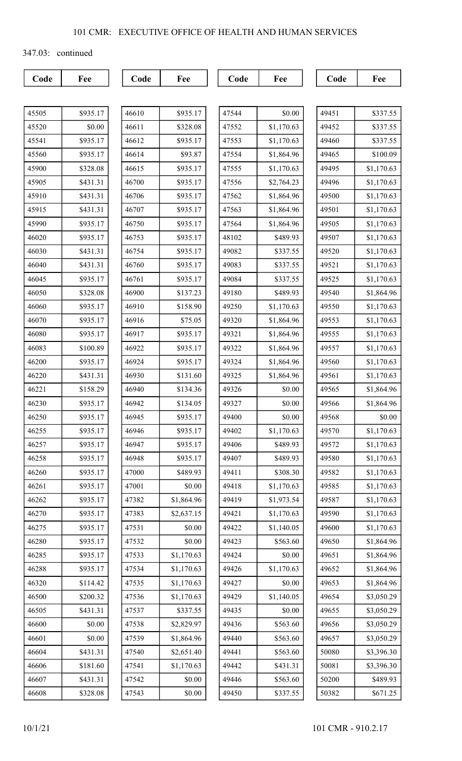347.03: continued

| 45505 | \$935.17 |
|-------|----------|
| 45520 | \$0.00   |
| 45541 | \$935.17 |
| 45560 | \$935.17 |
| 45900 | \$328.08 |
| 45905 | \$431.31 |
| 45910 | \$431.31 |
| 45915 | \$431.31 |
| 45990 | \$935.17 |
| 46020 | \$935.17 |
| 46030 | \$431.31 |
| 46040 | \$431.31 |
| 46045 | \$935.17 |
| 46050 | \$328.08 |
| 46060 | \$935.17 |
| 46070 | \$935.17 |
| 46080 | \$935.17 |
| 46083 | \$100.89 |
| 46200 | \$935.17 |
| 46220 | \$431.31 |
| 46221 | \$158.29 |
| 46230 | \$935.17 |
| 46250 | \$935.17 |
| 46255 | \$935.17 |
| 46257 | \$935.17 |
| 46258 | \$935.17 |
| 46260 | \$935.17 |
| 46261 | \$935.17 |
| 46262 | \$935.17 |
| 46270 | \$935.17 |
| 46275 | \$935.17 |
| 46280 | \$935.17 |
| 46285 | \$935.17 |
| 46288 | \$935.17 |
| 46320 | \$114.42 |
| 46500 | \$200.32 |
| 46505 | \$431.31 |
| 46600 | \$0.00   |
| 46601 | \$0.00   |
| 46604 | \$431.31 |
| 46606 | \$181.60 |
| 46607 | \$431.31 |
| 46608 | \$328.08 |

| 46610 | \$935.17   |
|-------|------------|
| 46611 | \$328.08   |
| 46612 | \$935.17   |
| 46614 | \$93.87    |
| 46615 | \$935.17   |
| 46700 | \$935.17   |
| 46706 | \$935.17   |
| 46707 | \$935.17   |
| 46750 | \$935.17   |
| 46753 | \$935.17   |
| 46754 | \$935.17   |
| 46760 | \$935.17   |
| 46761 | \$935.17   |
| 46900 | \$137.23   |
| 46910 | \$158.90   |
| 46916 | \$75.05    |
| 46917 | \$935.17   |
| 46922 | \$935.17   |
| 46924 | \$935.17   |
| 46930 | \$131.60   |
| 46940 | \$134.36   |
| 46942 | \$134.05   |
| 46945 | \$935.17   |
| 46946 | \$935.17   |
| 46947 | \$935.17   |
| 46948 | \$935.17   |
| 47000 | \$489.93   |
| 47001 | \$0.00     |
| 47382 | \$1,864.96 |
| 47383 | \$2,637.15 |
| 47531 | \$0.00     |
| 47532 | \$0.00     |
| 47533 | \$1,170.63 |
| 47534 | \$1,170.63 |
| 47535 | \$1,170.63 |
| 47536 | \$1,170.63 |
| 47537 | \$337.55   |
| 47538 | \$2,829.97 |
| 47539 | \$1,864.96 |
| 47540 | \$2,651.40 |
| 47541 | \$1,170.63 |
| 47542 | \$0.00     |
| 47543 | \$0.00     |

| 47544<br>\$0.00<br>47552<br>\$1,170.63<br>47553<br>\$1,170.63<br>47554<br>\$1,864.96<br>47555<br>\$1,170.63<br>47556<br>\$2,764.23<br>47562<br>\$1,864.96<br>47563<br>\$1,864.96<br>47564<br>\$1,864.96<br>48102<br>\$489.93<br>\$337.55<br>49082<br>\$337.55<br>49083<br>\$337.55<br>49084<br>49180<br>\$489.93<br>49250<br>\$1,170.63<br>49320<br>\$1,864.96<br>49321<br>\$1,864.96<br>49322<br>\$1,864.96<br>49324<br>\$1,864.96<br>49325<br>\$1,864.96<br>49326<br>\$0.00<br>49327<br>\$0.00<br>49400<br>\$0.00<br>49402<br>\$1,170.63<br>49406<br>\$489.93<br>49407<br>\$489.93<br>\$308.30<br>49411<br>49418<br>\$1,170.63<br>\$1,973.54<br>49419<br>49421<br>\$1,170.63<br>\$1,140.05<br>49422<br>49423<br>\$563.60<br>49424<br>\$0.00<br>49426<br>\$1,170.63<br>49427<br>\$0.00<br>49429<br>\$1,140.05<br>49435<br>\$0.00<br>49436<br>\$563.60<br>49440<br>\$563.60<br>49441<br>\$563.60<br>\$431.31<br>49442<br>\$563.60<br>49446 |       |          |
|--------------------------------------------------------------------------------------------------------------------------------------------------------------------------------------------------------------------------------------------------------------------------------------------------------------------------------------------------------------------------------------------------------------------------------------------------------------------------------------------------------------------------------------------------------------------------------------------------------------------------------------------------------------------------------------------------------------------------------------------------------------------------------------------------------------------------------------------------------------------------------------------------------------------------------------------|-------|----------|
|                                                                                                                                                                                                                                                                                                                                                                                                                                                                                                                                                                                                                                                                                                                                                                                                                                                                                                                                            |       |          |
|                                                                                                                                                                                                                                                                                                                                                                                                                                                                                                                                                                                                                                                                                                                                                                                                                                                                                                                                            |       |          |
|                                                                                                                                                                                                                                                                                                                                                                                                                                                                                                                                                                                                                                                                                                                                                                                                                                                                                                                                            |       |          |
|                                                                                                                                                                                                                                                                                                                                                                                                                                                                                                                                                                                                                                                                                                                                                                                                                                                                                                                                            |       |          |
|                                                                                                                                                                                                                                                                                                                                                                                                                                                                                                                                                                                                                                                                                                                                                                                                                                                                                                                                            |       |          |
|                                                                                                                                                                                                                                                                                                                                                                                                                                                                                                                                                                                                                                                                                                                                                                                                                                                                                                                                            |       |          |
|                                                                                                                                                                                                                                                                                                                                                                                                                                                                                                                                                                                                                                                                                                                                                                                                                                                                                                                                            |       |          |
|                                                                                                                                                                                                                                                                                                                                                                                                                                                                                                                                                                                                                                                                                                                                                                                                                                                                                                                                            |       |          |
|                                                                                                                                                                                                                                                                                                                                                                                                                                                                                                                                                                                                                                                                                                                                                                                                                                                                                                                                            |       |          |
|                                                                                                                                                                                                                                                                                                                                                                                                                                                                                                                                                                                                                                                                                                                                                                                                                                                                                                                                            |       |          |
|                                                                                                                                                                                                                                                                                                                                                                                                                                                                                                                                                                                                                                                                                                                                                                                                                                                                                                                                            |       |          |
|                                                                                                                                                                                                                                                                                                                                                                                                                                                                                                                                                                                                                                                                                                                                                                                                                                                                                                                                            |       |          |
|                                                                                                                                                                                                                                                                                                                                                                                                                                                                                                                                                                                                                                                                                                                                                                                                                                                                                                                                            |       |          |
|                                                                                                                                                                                                                                                                                                                                                                                                                                                                                                                                                                                                                                                                                                                                                                                                                                                                                                                                            |       |          |
|                                                                                                                                                                                                                                                                                                                                                                                                                                                                                                                                                                                                                                                                                                                                                                                                                                                                                                                                            |       |          |
|                                                                                                                                                                                                                                                                                                                                                                                                                                                                                                                                                                                                                                                                                                                                                                                                                                                                                                                                            |       |          |
|                                                                                                                                                                                                                                                                                                                                                                                                                                                                                                                                                                                                                                                                                                                                                                                                                                                                                                                                            |       |          |
|                                                                                                                                                                                                                                                                                                                                                                                                                                                                                                                                                                                                                                                                                                                                                                                                                                                                                                                                            |       |          |
|                                                                                                                                                                                                                                                                                                                                                                                                                                                                                                                                                                                                                                                                                                                                                                                                                                                                                                                                            |       |          |
|                                                                                                                                                                                                                                                                                                                                                                                                                                                                                                                                                                                                                                                                                                                                                                                                                                                                                                                                            |       |          |
|                                                                                                                                                                                                                                                                                                                                                                                                                                                                                                                                                                                                                                                                                                                                                                                                                                                                                                                                            |       |          |
|                                                                                                                                                                                                                                                                                                                                                                                                                                                                                                                                                                                                                                                                                                                                                                                                                                                                                                                                            |       |          |
|                                                                                                                                                                                                                                                                                                                                                                                                                                                                                                                                                                                                                                                                                                                                                                                                                                                                                                                                            |       |          |
|                                                                                                                                                                                                                                                                                                                                                                                                                                                                                                                                                                                                                                                                                                                                                                                                                                                                                                                                            |       |          |
|                                                                                                                                                                                                                                                                                                                                                                                                                                                                                                                                                                                                                                                                                                                                                                                                                                                                                                                                            |       |          |
|                                                                                                                                                                                                                                                                                                                                                                                                                                                                                                                                                                                                                                                                                                                                                                                                                                                                                                                                            |       |          |
|                                                                                                                                                                                                                                                                                                                                                                                                                                                                                                                                                                                                                                                                                                                                                                                                                                                                                                                                            |       |          |
|                                                                                                                                                                                                                                                                                                                                                                                                                                                                                                                                                                                                                                                                                                                                                                                                                                                                                                                                            |       |          |
|                                                                                                                                                                                                                                                                                                                                                                                                                                                                                                                                                                                                                                                                                                                                                                                                                                                                                                                                            |       |          |
|                                                                                                                                                                                                                                                                                                                                                                                                                                                                                                                                                                                                                                                                                                                                                                                                                                                                                                                                            |       |          |
|                                                                                                                                                                                                                                                                                                                                                                                                                                                                                                                                                                                                                                                                                                                                                                                                                                                                                                                                            |       |          |
|                                                                                                                                                                                                                                                                                                                                                                                                                                                                                                                                                                                                                                                                                                                                                                                                                                                                                                                                            |       |          |
|                                                                                                                                                                                                                                                                                                                                                                                                                                                                                                                                                                                                                                                                                                                                                                                                                                                                                                                                            |       |          |
|                                                                                                                                                                                                                                                                                                                                                                                                                                                                                                                                                                                                                                                                                                                                                                                                                                                                                                                                            |       |          |
|                                                                                                                                                                                                                                                                                                                                                                                                                                                                                                                                                                                                                                                                                                                                                                                                                                                                                                                                            |       |          |
|                                                                                                                                                                                                                                                                                                                                                                                                                                                                                                                                                                                                                                                                                                                                                                                                                                                                                                                                            |       |          |
|                                                                                                                                                                                                                                                                                                                                                                                                                                                                                                                                                                                                                                                                                                                                                                                                                                                                                                                                            |       |          |
|                                                                                                                                                                                                                                                                                                                                                                                                                                                                                                                                                                                                                                                                                                                                                                                                                                                                                                                                            |       |          |
|                                                                                                                                                                                                                                                                                                                                                                                                                                                                                                                                                                                                                                                                                                                                                                                                                                                                                                                                            |       |          |
|                                                                                                                                                                                                                                                                                                                                                                                                                                                                                                                                                                                                                                                                                                                                                                                                                                                                                                                                            |       |          |
|                                                                                                                                                                                                                                                                                                                                                                                                                                                                                                                                                                                                                                                                                                                                                                                                                                                                                                                                            |       |          |
|                                                                                                                                                                                                                                                                                                                                                                                                                                                                                                                                                                                                                                                                                                                                                                                                                                                                                                                                            |       |          |
|                                                                                                                                                                                                                                                                                                                                                                                                                                                                                                                                                                                                                                                                                                                                                                                                                                                                                                                                            | 49450 | \$337.55 |

| 49451 | \$337.55   |
|-------|------------|
| 49452 | \$337.55   |
| 49460 | \$337.55   |
| 49465 | \$100.09   |
| 49495 | \$1,170.63 |
| 49496 | \$1,170.63 |
| 49500 | \$1,170.63 |
| 49501 | \$1,170.63 |
| 49505 | \$1,170.63 |
| 49507 | \$1,170.63 |
| 49520 | \$1,170.63 |
| 49521 | \$1,170.63 |
| 49525 | \$1,170.63 |
| 49540 | \$1,864.96 |
| 49550 | \$1,170.63 |
| 49553 | \$1,170.63 |
| 49555 | \$1,170.63 |
| 49557 | \$1,170.63 |
| 49560 | \$1,170.63 |
| 49561 | \$1,170.63 |
| 49565 | \$1,864.96 |
| 49566 | \$1,864.96 |
| 49568 | \$0.00     |
| 49570 | \$1,170.63 |
| 49572 | \$1,170.63 |
| 49580 | \$1,170.63 |
| 49582 | \$1,170.63 |
| 49585 | \$1,170.63 |
| 49587 | \$1,170.63 |
| 49590 | \$1,170.63 |
| 49600 | \$1,170.63 |
| 49650 | \$1,864.96 |
| 49651 | \$1,864.96 |
| 49652 | \$1,864.96 |
| 49653 | \$1,864.96 |
| 49654 | \$3,050.29 |
| 49655 | \$3,050.29 |
| 49656 | \$3,050.29 |
| 49657 | \$3,050.29 |
| 50080 | \$3,396.30 |
| 50081 | \$3,396.30 |
| 50200 | \$489.93   |
| 50382 | \$671.25   |
|       |            |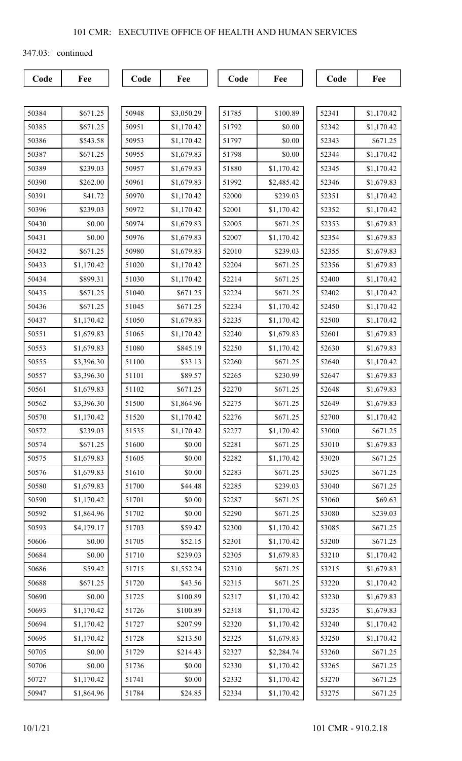347.03: continued

| 50384 | \$671.25   |
|-------|------------|
| 50385 | \$671.25   |
| 50386 | \$543.58   |
| 50387 | \$671.25   |
| 50389 | \$239.03   |
| 50390 | \$262.00   |
| 50391 | \$41.72    |
| 50396 | \$239.03   |
| 50430 | \$0.00     |
| 50431 | \$0.00     |
| 50432 | \$671.25   |
| 50433 | \$1,170.42 |
| 50434 | \$899.31   |
| 50435 | \$671.25   |
| 50436 | \$671.25   |
| 50437 | \$1,170.42 |
| 50551 | \$1,679.83 |
| 50553 | \$1,679.83 |
| 50555 | \$3,396.30 |
| 50557 | \$3,396.30 |
| 50561 | \$1,679.83 |
| 50562 | \$3,396.30 |
| 50570 | \$1,170.42 |
| 50572 | \$239.03   |
| 50574 | \$671.25   |
| 50575 | \$1,679.83 |
| 50576 | \$1,679.83 |
| 50580 | \$1,679.83 |
| 50590 | \$1,170.42 |
| 50592 | \$1,864.96 |
| 50593 | \$4,179.17 |
| 50606 | \$0.00     |
| 50684 | \$0.00     |
| 50686 | \$59.42    |
| 50688 | \$671.25   |
| 50690 | \$0.00     |
| 50693 | \$1,170.42 |
| 50694 | \$1,170.42 |
| 50695 | \$1,170.42 |
| 50705 | \$0.00     |
| 50706 | \$0.00     |
| 50727 | \$1,170.42 |
| 50947 | \$1,864.96 |

| 50948 | \$3,050.29 |
|-------|------------|
| 50951 | \$1,170.42 |
| 50953 | \$1,170.42 |
| 50955 | \$1,679.83 |
| 50957 | \$1,679.83 |
| 50961 | \$1,679.83 |
| 50970 | \$1,170.42 |
| 50972 | \$1,170.42 |
| 50974 | \$1,679.83 |
| 50976 | \$1,679.83 |
| 50980 | \$1,679.83 |
| 51020 | \$1,170.42 |
| 51030 | \$1,170.42 |
| 51040 | \$671.25   |
| 51045 | \$671.25   |
| 51050 | \$1,679.83 |
| 51065 | \$1,170.42 |
| 51080 | \$845.19   |
| 51100 | \$33.13    |
| 51101 | \$89.57    |
| 51102 | \$671.25   |
| 51500 | \$1,864.96 |
| 51520 | \$1,170.42 |
| 51535 | \$1,170.42 |
| 51600 | \$0.00     |
| 51605 | \$0.00     |
| 51610 | \$0.00     |
| 51700 | \$44.48    |
| 51701 | \$0.00     |
| 51702 | \$0.00     |
| 51703 | \$59.42    |
| 51705 | \$52.15    |
| 51710 | \$239.03   |
| 51715 | \$1,552.24 |
| 51720 | \$43.56    |
| 51725 | \$100.89   |
| 51726 | \$100.89   |
| 51727 | \$207.99   |
| 51728 | \$213.50   |
| 51729 | \$214.43   |
| 51736 | \$0.00     |
| 51741 | \$0.00     |
| 51784 | \$24.85    |

| 51785 | \$100.89   |
|-------|------------|
| 51792 | \$0.00     |
| 51797 | \$0.00     |
| 51798 | \$0.00     |
| 51880 | \$1,170.42 |
| 51992 | \$2,485.42 |
| 52000 | \$239.03   |
| 52001 | \$1,170.42 |
| 52005 | \$671.25   |
| 52007 | \$1,170.42 |
| 52010 | \$239.03   |
| 52204 | \$671.25   |
| 52214 | \$671.25   |
| 52224 | \$671.25   |
| 52234 | \$1,170.42 |
| 52235 | \$1,170.42 |
| 52240 | \$1,679.83 |
| 52250 | \$1,170.42 |
| 52260 | \$671.25   |
| 52265 | \$230.99   |
| 52270 | \$671.25   |
| 52275 | \$671.25   |
| 52276 | \$671.25   |
| 52277 | \$1,170.42 |
| 52281 | \$671.25   |
| 52282 | \$1,170.42 |
| 52283 | \$671.25   |
| 52285 | \$239.03   |
| 52287 | \$671.25   |
| 52290 | \$671.25   |
| 52300 | \$1,170.42 |
| 52301 | \$1,170.42 |
| 52305 | \$1,679.83 |
| 52310 | \$671.25   |
| 52315 | \$671.25   |
| 52317 | \$1,170.42 |
| 52318 | \$1,170.42 |
| 52320 | \$1,170.42 |
| 52325 | \$1,679.83 |
| 52327 | \$2,284.74 |
| 52330 | \$1,170.42 |
| 52332 | \$1,170.42 |
| 52334 | \$1,170.42 |
|       |            |

| 52341 | \$1,170.42 |
|-------|------------|
| 52342 | \$1,170.42 |
| 52343 | \$671.25   |
| 52344 | \$1,170.42 |
| 52345 | \$1,170.42 |
| 52346 | \$1,679.83 |
| 52351 | \$1,170.42 |
| 52352 | \$1,170.42 |
| 52353 | \$1,679.83 |
| 52354 | \$1,679.83 |
| 52355 | \$1,679.83 |
| 52356 | \$1,679.83 |
| 52400 | \$1,170.42 |
| 52402 | \$1,170.42 |
| 52450 | \$1,170.42 |
| 52500 | \$1,170.42 |
| 52601 | \$1,679.83 |
| 52630 | \$1,679.83 |
| 52640 | \$1,170.42 |
| 52647 | \$1,679.83 |
| 52648 | \$1,679.83 |
| 52649 | \$1,679.83 |
| 52700 | \$1,170.42 |
| 53000 | \$671.25   |
| 53010 | \$1,679.83 |
| 53020 | \$671.25   |
| 53025 | \$671.25   |
| 53040 | \$671.25   |
| 53060 | \$69.63    |
| 53080 | \$239.03   |
| 53085 | \$671.25   |
| 53200 | \$671.25   |
| 53210 | \$1,170.42 |
| 53215 | \$1,679.83 |
| 53220 | \$1,170.42 |
| 53230 | \$1,679.83 |
| 53235 | \$1,679.83 |
| 53240 | \$1,170.42 |
| 53250 | \$1,170.42 |
| 53260 | \$671.25   |
| 53265 | \$671.25   |
| 53270 | \$671.25   |
| 53275 | \$671.25   |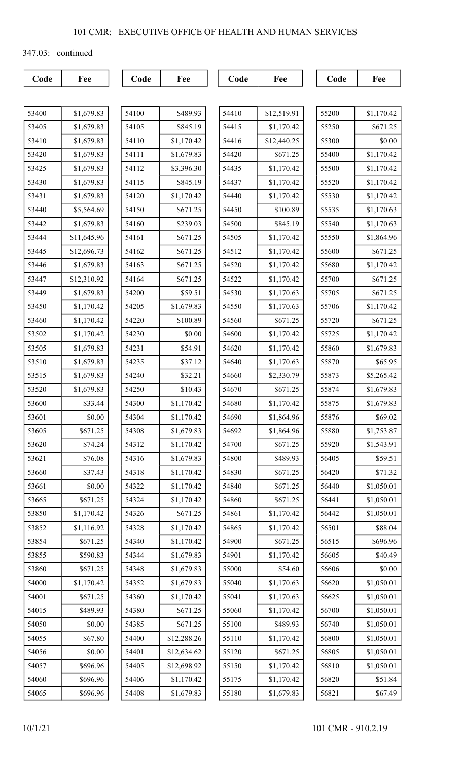347.03: continued

| 53400 | \$1,679.83  |
|-------|-------------|
| 53405 | \$1,679.83  |
| 53410 | \$1,679.83  |
| 53420 | \$1,679.83  |
| 53425 | \$1,679.83  |
| 53430 | \$1,679.83  |
| 53431 | \$1,679.83  |
| 53440 | \$5,564.69  |
| 53442 | \$1,679.83  |
| 53444 | \$11,645.96 |
| 53445 | \$12,696.73 |
| 53446 | \$1,679.83  |
| 53447 | \$12,310.92 |
| 53449 | \$1,679.83  |
| 53450 | \$1,170.42  |
| 53460 | \$1,170.42  |
| 53502 | \$1,170.42  |
| 53505 | \$1,679.83  |
| 53510 | \$1,679.83  |
| 53515 | \$1,679.83  |
| 53520 | \$1,679.83  |
| 53600 | \$33.44     |
| 53601 | \$0.00      |
| 53605 | \$671.25    |
| 53620 | \$74.24     |
| 53621 | \$76.08     |
| 53660 | \$37.43     |
| 53661 | \$0.00      |
| 53665 | \$671.25    |
| 53850 | \$1,170.42  |
| 53852 | \$1,116.92  |
| 53854 | \$671.25    |
| 53855 | \$590.83    |
| 53860 | \$671.25    |
| 54000 | \$1,170.42  |
| 54001 | \$671.25    |
| 54015 | \$489.93    |
| 54050 | \$0.00      |
| 54055 | \$67.80     |
| 54056 | \$0.00      |
| 54057 | \$696.96    |
| 54060 | \$696.96    |
| 54065 | \$696.96    |

| 54100 | \$489.93    |
|-------|-------------|
| 54105 | \$845.19    |
| 54110 | \$1,170.42  |
| 54111 | \$1,679.83  |
| 54112 | \$3,396.30  |
| 54115 | \$845.19    |
| 54120 | \$1,170.42  |
| 54150 | \$671.25    |
| 54160 | \$239.03    |
| 54161 | \$671.25    |
| 54162 | \$671.25    |
| 54163 | \$671.25    |
| 54164 | \$671.25    |
| 54200 | \$59.51     |
| 54205 | \$1,679.83  |
| 54220 | \$100.89    |
| 54230 | \$0.00      |
| 54231 | \$54.91     |
| 54235 | \$37.12     |
| 54240 | \$32.21     |
| 54250 | \$10.43     |
| 54300 | \$1,170.42  |
| 54304 | \$1,170.42  |
| 54308 | \$1,679.83  |
| 54312 | \$1,170.42  |
| 54316 | \$1,679.83  |
| 54318 | \$1,170.42  |
| 54322 | \$1,170.42  |
| 54324 | \$1,170.42  |
| 54326 | \$671.25    |
| 54328 | \$1,170.42  |
| 54340 | \$1,170.42  |
| 54344 | \$1,679.83  |
| 54348 | \$1,679.83  |
| 54352 | \$1,679.83  |
| 54360 | \$1,170.42  |
| 54380 | \$671.25    |
| 54385 | \$671.25    |
| 54400 | \$12,288.26 |
| 54401 | \$12,634.62 |
| 54405 | \$12,698.92 |
| 54406 | \$1,170.42  |
| 54408 | \$1,679.83  |

| 54410 | \$12,519.91 |
|-------|-------------|
| 54415 | \$1,170.42  |
| 54416 | \$12,440.25 |
| 54420 | \$671.25    |
| 54435 | \$1,170.42  |
| 54437 | \$1,170.42  |
| 54440 | \$1,170.42  |
| 54450 | \$100.89    |
| 54500 | \$845.19    |
| 54505 | \$1,170.42  |
| 54512 | \$1,170.42  |
| 54520 | \$1,170.42  |
| 54522 | \$1,170.42  |
| 54530 | \$1,170.63  |
| 54550 | \$1,170.63  |
| 54560 | \$671.25    |
| 54600 | \$1,170.42  |
| 54620 | \$1,170.42  |
| 54640 | \$1,170.63  |
| 54660 | \$2,330.79  |
| 54670 | \$671.25    |
| 54680 | \$1,170.42  |
| 54690 | \$1,864.96  |
| 54692 | \$1,864.96  |
| 54700 | \$671.25    |
| 54800 | \$489.93    |
| 54830 | \$671.25    |
| 54840 | \$671.25    |
| 54860 | \$671.25    |
| 54861 | \$1,170.42  |
| 54865 | \$1,170.42  |
| 54900 | \$671.25    |
| 54901 | \$1,170.42  |
| 55000 | \$54.60     |
| 55040 | \$1,170.63  |
| 55041 | \$1,170.63  |
| 55060 | \$1,170.42  |
| 55100 | \$489.93    |
| 55110 | \$1,170.42  |
| 55120 | \$671.25    |
| 55150 | \$1,170.42  |
| 55175 | \$1,170.42  |
| 55180 | \$1,679.83  |

| 55200 | \$1,170.42 |
|-------|------------|
| 55250 | \$671.25   |
| 55300 | \$0.00     |
| 55400 | \$1,170.42 |
| 55500 | \$1,170.42 |
| 55520 | \$1,170.42 |
| 55530 | \$1,170.42 |
| 55535 | \$1,170.63 |
| 55540 | \$1,170.63 |
| 55550 | \$1,864.96 |
| 55600 | \$671.25   |
| 55680 | \$1,170.42 |
| 55700 | \$671.25   |
| 55705 | \$671.25   |
| 55706 | \$1,170.42 |
| 55720 | \$671.25   |
| 55725 | \$1,170.42 |
| 55860 | \$1,679.83 |
| 55870 | \$65.95    |
| 55873 | \$5,265.42 |
| 55874 | \$1,679.83 |
| 55875 | \$1,679.83 |
| 55876 | \$69.02    |
| 55880 | \$1,753.87 |
| 55920 | \$1,543.91 |
| 56405 | \$59.51    |
| 56420 | \$71.32    |
| 56440 | \$1,050.01 |
| 56441 | \$1,050.01 |
| 56442 | \$1,050.01 |
| 56501 | \$88.04    |
| 56515 | \$696.96   |
| 56605 | \$40.49    |
| 56606 | \$0.00     |
| 56620 | \$1,050.01 |
| 56625 | \$1,050.01 |
| 56700 | \$1,050.01 |
| 56740 | \$1,050.01 |
| 56800 | \$1,050.01 |
| 56805 | \$1,050.01 |
| 56810 | \$1,050.01 |
| 56820 | \$51.84    |
| 56821 | \$67.49    |
|       |            |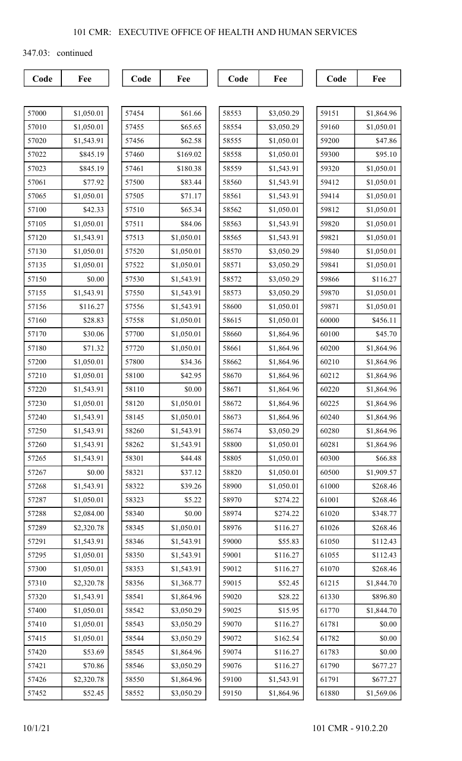347.03: continued

| 57000 | \$1,050.01 |
|-------|------------|
| 57010 | \$1,050.01 |
| 57020 | \$1,543.91 |
| 57022 | \$845.19   |
| 57023 | \$845.19   |
| 57061 | \$77.92    |
| 57065 | \$1,050.01 |
| 57100 | \$42.33    |
| 57105 | \$1,050.01 |
| 57120 | \$1,543.91 |
| 57130 | \$1,050.01 |
| 57135 | \$1,050.01 |
| 57150 | \$0.00     |
| 57155 | \$1,543.91 |
| 57156 | \$116.27   |
| 57160 | \$28.83    |
| 57170 | \$30.06    |
| 57180 | \$71.32    |
| 57200 | \$1,050.01 |
| 57210 | \$1,050.01 |
| 57220 | \$1,543.91 |
| 57230 | \$1,050.01 |
| 57240 | \$1,543.91 |
| 57250 | \$1,543.91 |
| 57260 | \$1,543.91 |
| 57265 | \$1,543.91 |
| 57267 | \$0.00     |
| 57268 | \$1,543.91 |
| 57287 | \$1,050.01 |
| 57288 | \$2,084.00 |
| 57289 | \$2,320.78 |
| 57291 | \$1,543.91 |
| 57295 | \$1,050.01 |
| 57300 | \$1,050.01 |
| 57310 | \$2,320.78 |
| 57320 | \$1,543.91 |
| 57400 | \$1,050.01 |
| 57410 | \$1,050.01 |
| 57415 | \$1,050.01 |
| 57420 | \$53.69    |
| 57421 | \$70.86    |
| 57426 | \$2,320.78 |
| 57452 | \$52.45    |

| 57454 | \$61.66    |
|-------|------------|
| 57455 | \$65.65    |
| 57456 | \$62.58    |
| 57460 | \$169.02   |
| 57461 | \$180.38   |
| 57500 | \$83.44    |
| 57505 | \$71.17    |
| 57510 | \$65.34    |
| 57511 | \$84.06    |
| 57513 | \$1,050.01 |
| 57520 | \$1,050.01 |
| 57522 | \$1,050.01 |
| 57530 | \$1,543.91 |
| 57550 | \$1,543.91 |
| 57556 | \$1,543.91 |
| 57558 | \$1,050.01 |
| 57700 | \$1,050.01 |
| 57720 | \$1,050.01 |
| 57800 | \$34.36    |
| 58100 | \$42.95    |
| 58110 | \$0.00     |
| 58120 | \$1,050.01 |
| 58145 | \$1,050.01 |
| 58260 | \$1,543.91 |
| 58262 | \$1,543.91 |
| 58301 | \$44.48    |
| 58321 | \$37.12    |
| 58322 | \$39.26    |
| 58323 | \$5.22     |
| 58340 | \$0.00     |
| 58345 | \$1,050.01 |
| 58346 | \$1,543.91 |
| 58350 | \$1,543.91 |
| 58353 | \$1,543.91 |
| 58356 | \$1,368.77 |
| 58541 | \$1,864.96 |
| 58542 | \$3,050.29 |
| 58543 | \$3,050.29 |
| 58544 | \$3,050.29 |
| 58545 | \$1,864.96 |
| 58546 | \$3,050.29 |
| 58550 | \$1,864.96 |
| 58552 | \$3,050.29 |

| 58553 | \$3,050.29 |
|-------|------------|
| 58554 | \$3,050.29 |
| 58555 | \$1,050.01 |
| 58558 | \$1,050.01 |
| 58559 | \$1,543.91 |
| 58560 | \$1,543.91 |
| 58561 | \$1,543.91 |
| 58562 | \$1,050.01 |
| 58563 | \$1,543.91 |
| 58565 | \$1,543.91 |
| 58570 | \$3,050.29 |
| 58571 | \$3,050.29 |
| 58572 | \$3,050.29 |
| 58573 | \$3,050.29 |
| 58600 | \$1,050.01 |
| 58615 | \$1,050.01 |
| 58660 | \$1,864.96 |
| 58661 | \$1,864.96 |
| 58662 | \$1,864.96 |
| 58670 | \$1,864.96 |
| 58671 | \$1,864.96 |
| 58672 | \$1,864.96 |
| 58673 | \$1,864.96 |
| 58674 | \$3,050.29 |
| 58800 | \$1,050.01 |
| 58805 | \$1,050.01 |
| 58820 | \$1,050.01 |
| 58900 | \$1,050.01 |
| 58970 | \$274.22   |
| 58974 | \$274.22   |
| 58976 | \$116.27   |
| 59000 | \$55.83    |
| 59001 | \$116.27   |
| 59012 | \$116.27   |
| 59015 | \$52.45    |
| 59020 | \$28.22    |
| 59025 | \$15.95    |
| 59070 | \$116.27   |
| 59072 | \$162.54   |
| 59074 | \$116.27   |
| 59076 | \$116.27   |
| 59100 | \$1,543.91 |
| 59150 | \$1,864.96 |

| 59151 | \$1,864.96 |
|-------|------------|
| 59160 | \$1,050.01 |
| 59200 | \$47.86    |
| 59300 | \$95.10    |
| 59320 | \$1,050.01 |
| 59412 | \$1,050.01 |
| 59414 | \$1,050.01 |
| 59812 | \$1,050.01 |
| 59820 | \$1,050.01 |
| 59821 | \$1,050.01 |
| 59840 | \$1,050.01 |
| 59841 | \$1,050.01 |
| 59866 | \$116.27   |
| 59870 | \$1,050.01 |
| 59871 | \$1,050.01 |
| 60000 | \$456.11   |
| 60100 | \$45.70    |
| 60200 | \$1,864.96 |
| 60210 | \$1,864.96 |
| 60212 | \$1,864.96 |
| 60220 | \$1,864.96 |
| 60225 | \$1,864.96 |
| 60240 | \$1,864.96 |
| 60280 | \$1,864.96 |
| 60281 | \$1,864.96 |
| 60300 | \$66.88    |
| 60500 | \$1,909.57 |
| 61000 | \$268.46   |
| 61001 | \$268.46   |
| 61020 | \$348.77   |
| 61026 | \$268.46   |
| 61050 | \$112.43   |
| 61055 | \$112.43   |
| 61070 | \$268.46   |
| 61215 | \$1,844.70 |
| 61330 | \$896.80   |
| 61770 | \$1,844.70 |
| 61781 | \$0.00     |
| 61782 | \$0.00     |
| 61783 | \$0.00     |
| 61790 | \$677.27   |
| 61791 | \$677.27   |
| 61880 | \$1,569.06 |
|       |            |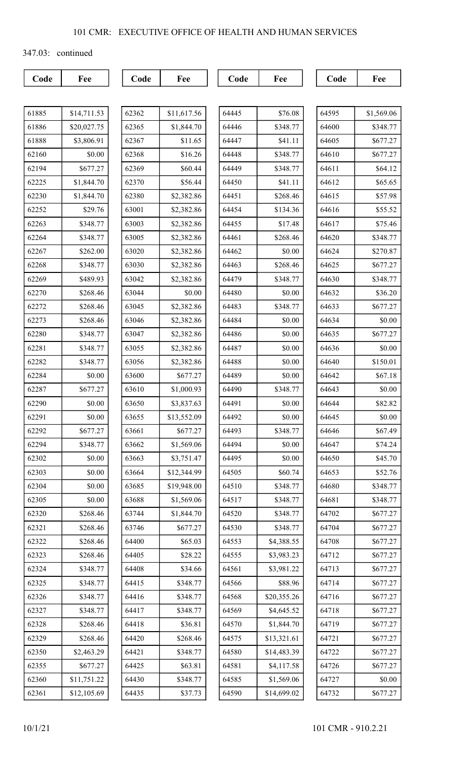347.03: continued

| 61885 | \$14,711.53 |
|-------|-------------|
| 61886 | \$20,027.75 |
| 61888 | \$3,806.91  |
| 62160 | \$0.00      |
| 62194 | \$677.27    |
| 62225 | \$1,844.70  |
| 62230 | \$1,844.70  |
| 62252 | \$29.76     |
| 62263 | \$348.77    |
| 62264 | \$348.77    |
| 62267 | \$262.00    |
| 62268 | \$348.77    |
| 62269 | \$489.93    |
| 62270 | \$268.46    |
| 62272 | \$268.46    |
| 62273 | \$268.46    |
| 62280 | \$348.77    |
| 62281 | \$348.77    |
| 62282 | \$348.77    |
| 62284 | \$0.00      |
| 62287 | \$677.27    |
| 62290 | \$0.00      |
| 62291 | \$0.00      |
| 62292 | \$677.27    |
| 62294 | \$348.77    |
| 62302 | \$0.00      |
| 62303 | \$0.00      |
| 62304 | \$0.00      |
| 62305 | \$0.00      |
| 62320 | \$268.46    |
| 62321 | \$268.46    |
| 62322 | \$268.46    |
| 62323 | \$268.46    |
| 62324 | \$348.77    |
| 62325 | \$348.77    |
| 62326 | \$348.77    |
| 62327 | \$348.77    |
| 62328 | \$268.46    |
| 62329 | \$268.46    |
| 62350 | \$2,463.29  |
| 62355 | \$677.27    |
| 62360 | \$11,751.22 |
| 62361 | \$12,105.69 |

| 62362 | \$11,617.56 |
|-------|-------------|
| 62365 | \$1,844.70  |
| 62367 | \$11.65     |
| 62368 | \$16.26     |
| 62369 | \$60.44     |
| 62370 | \$56.44     |
| 62380 | \$2,382.86  |
| 63001 | \$2,382.86  |
| 63003 | \$2,382.86  |
| 63005 | \$2,382.86  |
| 63020 | \$2,382.86  |
| 63030 | \$2,382.86  |
| 63042 | \$2,382.86  |
| 63044 | \$0.00      |
| 63045 | \$2,382.86  |
| 63046 | \$2,382.86  |
| 63047 | \$2,382.86  |
| 63055 | \$2,382.86  |
| 63056 | \$2,382.86  |
| 63600 | \$677.27    |
| 63610 | \$1,000.93  |
| 63650 | \$3,837.63  |
| 63655 | \$13,552.09 |
| 63661 | \$677.27    |
| 63662 | \$1,569.06  |
| 63663 | \$3,751.47  |
| 63664 | \$12,344.99 |
| 63685 | \$19,948.00 |
| 63688 | \$1,569.06  |
| 63744 | \$1,844.70  |
| 63746 | \$677.27    |
| 64400 | \$65.03     |
| 64405 | \$28.22     |
| 64408 | \$34.66     |
| 64415 | \$348.77    |
| 64416 | \$348.77    |
| 64417 | \$348.77    |
| 64418 | \$36.81     |
| 64420 | \$268.46    |
| 64421 | \$348.77    |
| 64425 | \$63.81     |
| 64430 | \$348.77    |
| 64435 | \$37.73     |

| 64445 | \$76.08     |
|-------|-------------|
| 64446 | \$348.77    |
| 64447 | \$41.11     |
| 64448 | \$348.77    |
| 64449 | \$348.77    |
| 64450 | \$41.11     |
| 64451 | \$268.46    |
| 64454 | \$134.36    |
| 64455 | \$17.48     |
| 64461 | \$268.46    |
| 64462 | \$0.00      |
| 64463 | \$268.46    |
| 64479 | \$348.77    |
| 64480 | \$0.00      |
| 64483 | \$348.77    |
| 64484 | \$0.00      |
| 64486 | \$0.00      |
| 64487 | \$0.00      |
| 64488 | \$0.00      |
| 64489 | \$0.00      |
| 64490 | \$348.77    |
| 64491 | \$0.00      |
| 64492 | \$0.00      |
| 64493 | \$348.77    |
| 64494 | \$0.00      |
| 64495 | \$0.00      |
| 64505 | \$60.74     |
| 64510 | \$348.77    |
| 64517 | \$348.77    |
| 64520 | \$348.77    |
| 64530 | \$348.77    |
| 64553 | \$4,388.55  |
| 64555 | \$3,983.23  |
| 64561 | \$3,981.22  |
| 64566 | \$88.96     |
| 64568 | \$20,355.26 |
| 64569 | \$4,645.52  |
| 64570 | \$1,844.70  |
| 64575 | \$13,321.61 |
| 64580 | \$14,483.39 |
| 64581 | \$4,117.58  |
| 64585 | \$1,569.06  |
| 64590 | \$14,699.02 |

| 64595 | \$1,569.06 |
|-------|------------|
| 64600 | \$348.77   |
| 64605 | \$677.27   |
| 64610 | \$677.27   |
| 64611 | \$64.12    |
| 64612 | \$65.65    |
| 64615 | \$57.98    |
| 64616 | \$55.52    |
| 64617 | \$75.46    |
| 64620 | \$348.77   |
| 64624 | \$270.87   |
| 64625 | \$677.27   |
| 64630 | \$348.77   |
| 64632 | \$36.20    |
| 64633 | \$677.27   |
| 64634 | \$0.00     |
| 64635 | \$677.27   |
| 64636 | \$0.00     |
| 64640 | \$150.01   |
| 64642 | \$67.18    |
| 64643 | \$0.00     |
| 64644 | \$82.82    |
| 64645 | \$0.00     |
| 64646 | \$67.49    |
| 64647 | \$74.24    |
| 64650 | \$45.70    |
| 64653 | \$52.76    |
| 64680 | \$348.77   |
| 64681 | \$348.77   |
| 64702 | \$677.27   |
| 64704 | \$677.27   |
| 64708 | \$677.27   |
| 64712 | \$677.27   |
| 64713 | \$677.27   |
| 64714 | \$677.27   |
| 64716 | \$677.27   |
| 64718 | \$677.27   |
| 64719 | \$677.27   |
| 64721 | \$677.27   |
| 64722 | \$677.27   |
| 64726 | \$677.27   |
| 64727 | \$0.00     |
| 64732 | \$677.27   |
|       |            |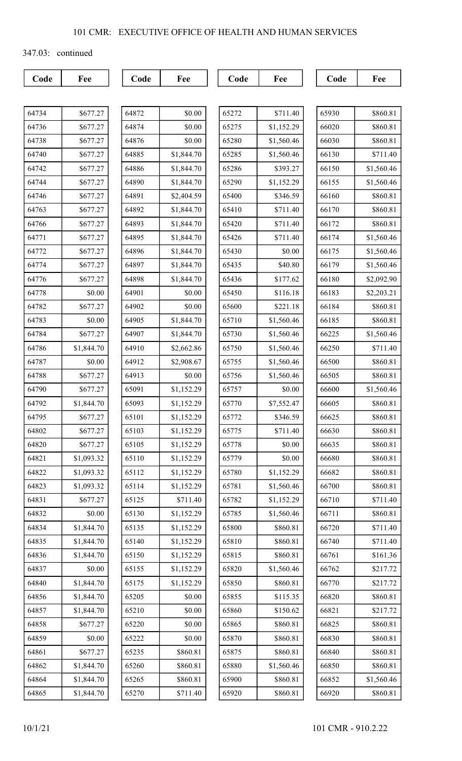347.03: continued

| 64734 | \$677.27   |
|-------|------------|
| 64736 | \$677.27   |
| 64738 | \$677.27   |
| 64740 | \$677.27   |
| 64742 | \$677.27   |
| 64744 | \$677.27   |
| 64746 | \$677.27   |
| 64763 | \$677.27   |
| 64766 | \$677.27   |
| 64771 | \$677.27   |
| 64772 | \$677.27   |
| 64774 | \$677.27   |
| 64776 | \$677.27   |
| 64778 | \$0.00     |
| 64782 | \$677.27   |
| 64783 | \$0.00     |
| 64784 | \$677.27   |
| 64786 | \$1,844.70 |
| 64787 | \$0.00     |
| 64788 | \$677.27   |
| 64790 | \$677.27   |
| 64792 | \$1,844.70 |
| 64795 | \$677.27   |
| 64802 | \$677.27   |
| 64820 | \$677.27   |
| 64821 | \$1,093.32 |
| 64822 | \$1,093.32 |
| 64823 | \$1,093.32 |
| 64831 | \$677.27   |
| 64832 | \$0.00     |
| 64834 | \$1,844.70 |
| 64835 | \$1,844.70 |
| 64836 | \$1,844.70 |
| 64837 | \$0.00     |
| 64840 | \$1,844.70 |
| 64856 | \$1,844.70 |
| 64857 | \$1,844.70 |
| 64858 | \$677.27   |
| 64859 | \$0.00     |
| 64861 | \$677.27   |
| 64862 | \$1,844.70 |
| 64864 | \$1,844.70 |
| 64865 | \$1,844.70 |

| 64872 | \$0.00     |
|-------|------------|
| 64874 | \$0.00     |
| 64876 | \$0.00     |
| 64885 | \$1,844.70 |
| 64886 | \$1,844.70 |
| 64890 | \$1,844.70 |
| 64891 | \$2,404.59 |
| 64892 | \$1,844.70 |
| 64893 | \$1,844.70 |
| 64895 | \$1,844.70 |
| 64896 | \$1,844.70 |
| 64897 | \$1,844.70 |
| 64898 | \$1,844.70 |
| 64901 | \$0.00     |
| 64902 | \$0.00     |
| 64905 | \$1,844.70 |
| 64907 | \$1,844.70 |
| 64910 | \$2,662.86 |
| 64912 | \$2,908.67 |
| 64913 | \$0.00     |
| 65091 | \$1,152.29 |
| 65093 | \$1,152.29 |
| 65101 | \$1,152.29 |
| 65103 | \$1,152.29 |
| 65105 | \$1,152.29 |
| 65110 | \$1,152.29 |
| 65112 | \$1,152.29 |
| 65114 | \$1,152.29 |
| 65125 | \$711.40   |
| 65130 | \$1,152.29 |
| 65135 | \$1,152.29 |
| 65140 | \$1,152.29 |
| 65150 | \$1,152.29 |
| 65155 | \$1,152.29 |
| 65175 | \$1,152.29 |
| 65205 | \$0.00     |
| 65210 | \$0.00     |
| 65220 | \$0.00     |
| 65222 | \$0.00     |
| 65235 | \$860.81   |
| 65260 | \$860.81   |
| 65265 | \$860.81   |
| 65270 | \$711.40   |

| 65272<br>65275<br>65280<br>65285<br>65286<br>65290<br>65400<br>65410 | \$711.40<br>\$1,152.29<br>\$1,560.46<br>\$1,560.46<br>\$393.27 |  |  |
|----------------------------------------------------------------------|----------------------------------------------------------------|--|--|
|                                                                      |                                                                |  |  |
|                                                                      |                                                                |  |  |
|                                                                      |                                                                |  |  |
|                                                                      |                                                                |  |  |
|                                                                      |                                                                |  |  |
|                                                                      | \$1,152.29                                                     |  |  |
|                                                                      | \$346.59                                                       |  |  |
|                                                                      | \$711.40                                                       |  |  |
| 65420                                                                | \$711.40                                                       |  |  |
| 65426                                                                | \$711.40                                                       |  |  |
| 65430                                                                | \$0.00                                                         |  |  |
| 65435                                                                | \$40.80                                                        |  |  |
| 65436                                                                | \$177.62                                                       |  |  |
| 65450                                                                | \$116.18                                                       |  |  |
| 65600                                                                | \$221.18                                                       |  |  |
| 65710                                                                | \$1,560.46                                                     |  |  |
| 65730                                                                | \$1,560.46                                                     |  |  |
| 65750                                                                | \$1,560.46                                                     |  |  |
| 65755                                                                | \$1,560.46                                                     |  |  |
| 65756                                                                | \$1,560.46                                                     |  |  |
| 65757                                                                | \$0.00                                                         |  |  |
| 65770                                                                | \$7,552.47                                                     |  |  |
| 65772                                                                | \$346.59                                                       |  |  |
| 65775                                                                | \$711.40                                                       |  |  |
| 65778                                                                | \$0.00                                                         |  |  |
| 65779                                                                | \$0.00                                                         |  |  |
|                                                                      | \$1,152.29                                                     |  |  |
| 65780                                                                |                                                                |  |  |
| 65781                                                                | \$1,560.46                                                     |  |  |
| 65782                                                                | \$1,152.29                                                     |  |  |
| 65785                                                                | \$1,560.46                                                     |  |  |
| 65800                                                                | \$860.81                                                       |  |  |
| 65810                                                                | \$860.81                                                       |  |  |
| 65815                                                                | \$860.81                                                       |  |  |
| 65820                                                                | \$1,560.46                                                     |  |  |
| 65850                                                                | \$860.81                                                       |  |  |
| 65855                                                                | \$115.35                                                       |  |  |
| 65860                                                                | \$150.62                                                       |  |  |
| 65865                                                                | \$860.81                                                       |  |  |
| 65870                                                                | \$860.81                                                       |  |  |
| 65875                                                                | \$860.81                                                       |  |  |
| 65880                                                                | \$1,560.46                                                     |  |  |
| 65900                                                                | \$860.81                                                       |  |  |

| 65930 | \$860.81   |  |  |
|-------|------------|--|--|
| 66020 | \$860.81   |  |  |
| 66030 | \$860.81   |  |  |
| 66130 | \$711.40   |  |  |
| 66150 | \$1,560.46 |  |  |
| 66155 | \$1,560.46 |  |  |
| 66160 | \$860.81   |  |  |
| 66170 | \$860.81   |  |  |
| 66172 | \$860.81   |  |  |
| 66174 | \$1,560.46 |  |  |
| 66175 | \$1,560.46 |  |  |
| 66179 | \$1,560.46 |  |  |
| 66180 | \$2,092.90 |  |  |
| 66183 | \$2,203.21 |  |  |
| 66184 | \$860.81   |  |  |
| 66185 | \$860.81   |  |  |
| 66225 | \$1,560.46 |  |  |
| 66250 | \$711.40   |  |  |
| 66500 | \$860.81   |  |  |
| 66505 | \$860.81   |  |  |
| 66600 | \$1,560.46 |  |  |
| 66605 | \$860.81   |  |  |
| 66625 | \$860.81   |  |  |
| 66630 | \$860.81   |  |  |
| 66635 | \$860.81   |  |  |
| 66680 | \$860.81   |  |  |
| 66682 | \$860.81   |  |  |
| 66700 | \$860.81   |  |  |
| 66710 | \$711.40   |  |  |
| 66711 | \$860.81   |  |  |
| 66720 | \$711.40   |  |  |
| 66740 | \$711.40   |  |  |
| 66761 | \$161.36   |  |  |
| 66762 | \$217.72   |  |  |
| 66770 | \$217.72   |  |  |
| 66820 | \$860.81   |  |  |
| 66821 | \$217.72   |  |  |
| 66825 | \$860.81   |  |  |
| 66830 | \$860.81   |  |  |
| 66840 | \$860.81   |  |  |
| 66850 | \$860.81   |  |  |
| 66852 | \$1,560.46 |  |  |
| 66920 | \$860.81   |  |  |
|       |            |  |  |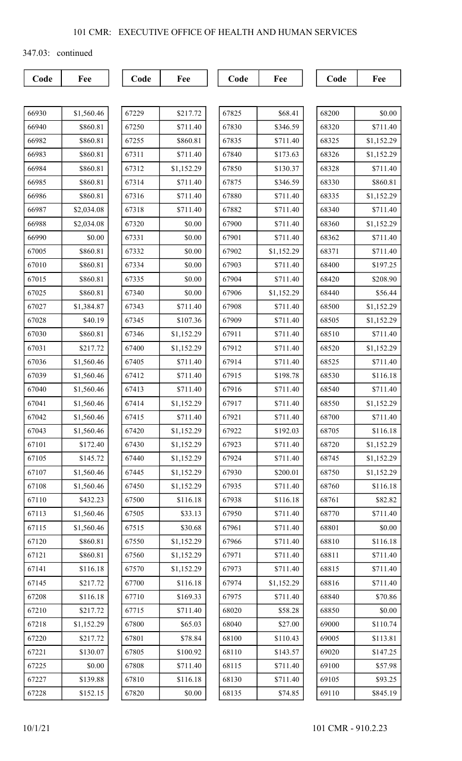347.03: continued

| 66930 | \$1,560.46 |
|-------|------------|
| 66940 | \$860.81   |
| 66982 | \$860.81   |
| 66983 | \$860.81   |
| 66984 | \$860.81   |
| 66985 | \$860.81   |
| 66986 | \$860.81   |
| 66987 | \$2,034.08 |
| 66988 | \$2,034.08 |
| 66990 | \$0.00     |
| 67005 | \$860.81   |
| 67010 | \$860.81   |
| 67015 | \$860.81   |
| 67025 | \$860.81   |
| 67027 | \$1,384.87 |
| 67028 | \$40.19    |
| 67030 | \$860.81   |
| 67031 | \$217.72   |
| 67036 | \$1,560.46 |
| 67039 | \$1,560.46 |
| 67040 | \$1,560.46 |
| 67041 | \$1,560.46 |
| 67042 | \$1,560.46 |
| 67043 | \$1,560.46 |
| 67101 | \$172.40   |
| 67105 | \$145.72   |
| 67107 | \$1,560.46 |
| 67108 | \$1,560.46 |
| 67110 | \$432.23   |
| 67113 | \$1,560.46 |
| 67115 | \$1,560.46 |
| 67120 | \$860.81   |
| 67121 | \$860.81   |
| 67141 | \$116.18   |
| 67145 | \$217.72   |
| 67208 | \$116.18   |
| 67210 | \$217.72   |
| 67218 | \$1,152.29 |
| 67220 | \$217.72   |
| 67221 | \$130.07   |
| 67225 | \$0.00     |
| 67227 | \$139.88   |
| 67228 | \$152.15   |

| 67229 | \$217.72   |
|-------|------------|
| 67250 | \$711.40   |
| 67255 | \$860.81   |
| 67311 | \$711.40   |
| 67312 | \$1,152.29 |
| 67314 | \$711.40   |
| 67316 | \$711.40   |
| 67318 | \$711.40   |
| 67320 | \$0.00     |
| 67331 | \$0.00     |
| 67332 | \$0.00     |
| 67334 | \$0.00     |
| 67335 | \$0.00     |
| 67340 | \$0.00     |
| 67343 | \$711.40   |
| 67345 | \$107.36   |
| 67346 | \$1,152.29 |
| 67400 | \$1,152.29 |
| 67405 | \$711.40   |
| 67412 | \$711.40   |
| 67413 | \$711.40   |
| 67414 | \$1,152.29 |
| 67415 | \$711.40   |
| 67420 | \$1,152.29 |
| 67430 | \$1,152.29 |
| 67440 | \$1,152.29 |
| 67445 | \$1,152.29 |
| 67450 | \$1,152.29 |
| 67500 | \$116.18   |
| 67505 | \$33.13    |
| 67515 | \$30.68    |
| 67550 | \$1,152.29 |
| 67560 | \$1,152.29 |
| 67570 | \$1,152.29 |
| 67700 | \$116.18   |
| 67710 | \$169.33   |
| 67715 | \$711.40   |
| 67800 | \$65.03    |
| 67801 | \$78.84    |
| 67805 | \$100.92   |
| 67808 | \$711.40   |
| 67810 | \$116.18   |
| 67820 | $\$0.00$   |

| 67825<br>\$68.41<br>\$346.59<br>67830<br>\$711.40<br>67835<br>\$173.63<br>67840<br>67850<br>\$130.37<br>\$346.59<br>67875<br>\$711.40<br>67880<br>\$711.40<br>67882<br>67900<br>\$711.40<br>\$711.40<br>67901<br>67902<br>\$1,152.29<br>\$711.40<br>67903<br>\$711.40<br>67904<br>\$1,152.29<br>67906<br>\$711.40<br>67908<br>\$711.40<br>67909<br>\$711.40<br>67911<br>\$711.40<br>67912<br>\$711.40<br>67914 |
|----------------------------------------------------------------------------------------------------------------------------------------------------------------------------------------------------------------------------------------------------------------------------------------------------------------------------------------------------------------------------------------------------------------|
|                                                                                                                                                                                                                                                                                                                                                                                                                |
|                                                                                                                                                                                                                                                                                                                                                                                                                |
|                                                                                                                                                                                                                                                                                                                                                                                                                |
|                                                                                                                                                                                                                                                                                                                                                                                                                |
|                                                                                                                                                                                                                                                                                                                                                                                                                |
|                                                                                                                                                                                                                                                                                                                                                                                                                |
|                                                                                                                                                                                                                                                                                                                                                                                                                |
|                                                                                                                                                                                                                                                                                                                                                                                                                |
|                                                                                                                                                                                                                                                                                                                                                                                                                |
|                                                                                                                                                                                                                                                                                                                                                                                                                |
|                                                                                                                                                                                                                                                                                                                                                                                                                |
|                                                                                                                                                                                                                                                                                                                                                                                                                |
|                                                                                                                                                                                                                                                                                                                                                                                                                |
|                                                                                                                                                                                                                                                                                                                                                                                                                |
|                                                                                                                                                                                                                                                                                                                                                                                                                |
|                                                                                                                                                                                                                                                                                                                                                                                                                |
|                                                                                                                                                                                                                                                                                                                                                                                                                |
|                                                                                                                                                                                                                                                                                                                                                                                                                |
|                                                                                                                                                                                                                                                                                                                                                                                                                |
| \$198.78<br>67915                                                                                                                                                                                                                                                                                                                                                                                              |
| \$711.40<br>67916                                                                                                                                                                                                                                                                                                                                                                                              |
| \$711.40<br>67917                                                                                                                                                                                                                                                                                                                                                                                              |
| \$711.40<br>67921                                                                                                                                                                                                                                                                                                                                                                                              |
| \$192.03<br>67922                                                                                                                                                                                                                                                                                                                                                                                              |
| 67923<br>\$711.40                                                                                                                                                                                                                                                                                                                                                                                              |
| \$711.40<br>67924                                                                                                                                                                                                                                                                                                                                                                                              |
| 67930<br>\$200.01                                                                                                                                                                                                                                                                                                                                                                                              |
| \$711.40<br>67935                                                                                                                                                                                                                                                                                                                                                                                              |
| 67938<br>\$116.18                                                                                                                                                                                                                                                                                                                                                                                              |
| 67950<br>\$711.40                                                                                                                                                                                                                                                                                                                                                                                              |
| \$711.40<br>67961                                                                                                                                                                                                                                                                                                                                                                                              |
| \$711.40<br>67966                                                                                                                                                                                                                                                                                                                                                                                              |
| \$711.40<br>67971                                                                                                                                                                                                                                                                                                                                                                                              |
| 67973<br>\$711.40                                                                                                                                                                                                                                                                                                                                                                                              |
| \$1,152.29<br>67974                                                                                                                                                                                                                                                                                                                                                                                            |
|                                                                                                                                                                                                                                                                                                                                                                                                                |
| \$711.40<br>67975                                                                                                                                                                                                                                                                                                                                                                                              |
| \$58.28<br>68020                                                                                                                                                                                                                                                                                                                                                                                               |
| \$27.00<br>68040                                                                                                                                                                                                                                                                                                                                                                                               |
| \$110.43<br>68100                                                                                                                                                                                                                                                                                                                                                                                              |
| \$143.57<br>68110                                                                                                                                                                                                                                                                                                                                                                                              |
| \$711.40<br>68115                                                                                                                                                                                                                                                                                                                                                                                              |
| \$711.40<br>68130                                                                                                                                                                                                                                                                                                                                                                                              |

| 68200 | \$0.00     |  |  |
|-------|------------|--|--|
| 68320 | \$711.40   |  |  |
| 68325 | \$1,152.29 |  |  |
| 68326 | \$1,152.29 |  |  |
| 68328 | \$711.40   |  |  |
| 68330 | \$860.81   |  |  |
| 68335 | \$1,152.29 |  |  |
| 68340 | \$711.40   |  |  |
| 68360 | \$1,152.29 |  |  |
| 68362 | \$711.40   |  |  |
| 68371 | \$711.40   |  |  |
| 68400 | \$197.25   |  |  |
| 68420 | \$208.90   |  |  |
| 68440 | \$56.44    |  |  |
| 68500 | \$1,152.29 |  |  |
| 68505 | \$1,152.29 |  |  |
| 68510 | \$711.40   |  |  |
| 68520 | \$1,152.29 |  |  |
| 68525 | \$711.40   |  |  |
| 68530 | \$116.18   |  |  |
| 68540 | \$711.40   |  |  |
| 68550 | \$1,152.29 |  |  |
| 68700 | \$711.40   |  |  |
| 68705 | \$116.18   |  |  |
| 68720 | \$1,152.29 |  |  |
| 68745 | \$1,152.29 |  |  |
| 68750 | \$1,152.29 |  |  |
| 68760 | \$116.18   |  |  |
| 68761 | \$82.82    |  |  |
| 68770 | \$711.40   |  |  |
| 68801 | \$0.00     |  |  |
| 68810 | \$116.18   |  |  |
| 68811 | \$711.40   |  |  |
| 68815 | \$711.40   |  |  |
| 68816 | \$711.40   |  |  |
| 68840 | \$70.86    |  |  |
| 68850 | \$0.00     |  |  |
| 69000 | \$110.74   |  |  |
| 69005 | \$113.81   |  |  |
| 69020 | \$147.25   |  |  |
| 69100 | \$57.98    |  |  |
| 69105 | \$93.25    |  |  |
| 69110 | \$845.19   |  |  |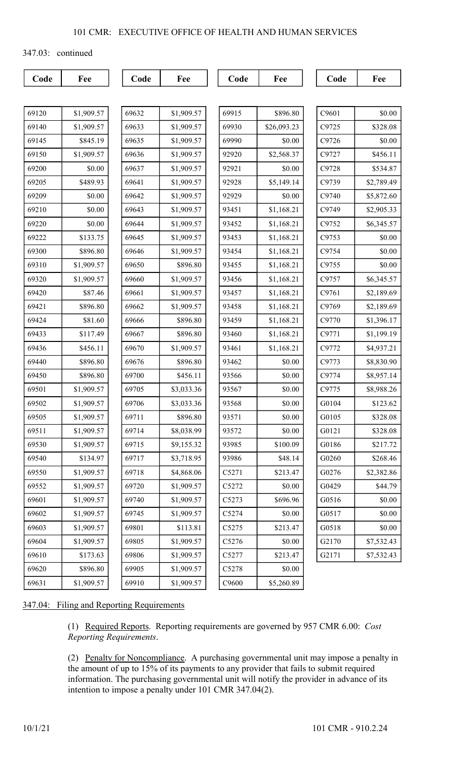347.03: continued

| `ode | ∽⊧ |
|------|----|
|------|----|

Code | Fee | | Code | Fee | | Code | Fee | | Code | Fee

| 69120 | \$1,909.57 |
|-------|------------|
| 69140 | \$1,909.57 |
| 69145 | \$845.19   |
| 69150 | \$1,909.57 |
| 69200 | \$0.00     |
| 69205 | \$489.93   |
| 69209 | \$0.00     |
| 69210 | \$0.00     |
| 69220 | \$0.00     |
| 69222 | \$133.75   |
| 69300 | \$896.80   |
| 69310 | \$1,909.57 |
| 69320 | \$1,909.57 |
| 69420 | \$87.46    |
| 69421 | \$896.80   |
| 69424 | \$81.60    |
| 69433 | \$117.49   |
| 69436 | \$456.11   |
| 69440 | \$896.80   |
| 69450 | \$896.80   |
| 69501 | \$1,909.57 |
| 69502 | \$1,909.57 |
| 69505 | \$1,909.57 |
| 69511 | \$1,909.57 |
| 69330 | \$1,909.57 |
| 69540 | \$134.97   |
| 69550 | \$1,909.57 |
| 69552 | \$1,909.57 |
| 69601 | \$1,909.57 |
| 69602 | \$1,909.57 |
| 69603 | \$1,909.57 |
| 69604 | \$1,909.57 |
| 69610 | \$173.63   |
| 69620 | \$896.80   |
| 69631 | \$1,909.57 |

| 69632 | \$1,909.57 | 69915 | \$896.80    |
|-------|------------|-------|-------------|
| 69633 | \$1,909.57 | 69930 | \$26,093.23 |
| 69635 | \$1,909.57 | 69990 | \$0.00      |
| 69636 | \$1,909.57 | 92920 | \$2,568.37  |
| 69637 | \$1,909.57 | 92921 | \$0.00      |
| 69641 | \$1,909.57 | 92928 | \$5,149.14  |
| 69642 | \$1,909.57 | 92929 | \$0.00      |
| 69643 | \$1,909.57 | 93451 | \$1,168.21  |
| 69644 | \$1,909.57 | 93452 | \$1,168.21  |
| 69645 | \$1,909.57 | 93453 | \$1,168.21  |
| 69646 | \$1,909.57 | 93454 | \$1,168.21  |
| 69650 | \$896.80   | 93455 | \$1,168.21  |
| 69660 | \$1,909.57 | 93456 | \$1,168.21  |
| 69661 | \$1,909.57 | 93457 | \$1,168.21  |
| 69662 | \$1,909.57 | 93458 | \$1,168.21  |
| 69666 | \$896.80   | 93459 | \$1,168.21  |
| 69667 | \$896.80   | 93460 | \$1,168.21  |
| 69670 | \$1,909.57 | 93461 | \$1,168.21  |
| 69676 | \$896.80   | 93462 | \$0.00      |
| 69700 | \$456.11   | 93566 | \$0.00      |
| 69705 | \$3,033.36 | 93567 | \$0.00      |
| 69706 | \$3,033.36 | 93568 | \$0.00      |
| 69711 | \$896.80   | 93571 | \$0.00      |
| 69714 | \$8,038.99 | 93572 | \$0.00      |
| 69715 | \$9,155.32 | 93985 | \$100.09    |
| 69717 | \$3,718.95 | 93986 | \$48.14     |
| 69718 | \$4,868.06 | C5271 | \$213.47    |
| 69720 | \$1,909.57 | C5272 | \$0.00      |
| 69740 | \$1,909.57 | C5273 | \$696.96    |
| 69745 | \$1,909.57 | C5274 | \$0.00      |
| 69801 | \$113.81   | C5275 | \$213.47    |
| 69805 | \$1,909.57 | C5276 | \$0.00      |
| 69806 | \$1,909.57 | C5277 | \$213.47    |
| 69905 | \$1,909.57 | C5278 | \$0.00      |
| 69910 | \$1,909.57 | C9600 | \$5,260.89  |

| C9601 | \$0.00     |  |  |
|-------|------------|--|--|
| C9725 | \$328.08   |  |  |
| C9726 | \$0.00     |  |  |
| C9727 | \$456.11   |  |  |
| C9728 | \$534.87   |  |  |
| C9739 | \$2,789.49 |  |  |
| C9740 | \$5,872.60 |  |  |
| C9749 | \$2,905.33 |  |  |
| C9752 | \$6,345.57 |  |  |
| C9753 | \$0.00     |  |  |
| C9754 | \$0.00     |  |  |
| C9755 | \$0.00     |  |  |
| C9757 | \$6,345.57 |  |  |
| C9761 | \$2,189.69 |  |  |
| C9769 | \$2,189.69 |  |  |
| C9770 | \$1,396.17 |  |  |
| C9771 | \$1,199.19 |  |  |
| C9772 | \$4,937.21 |  |  |
| C9773 | \$8,830.90 |  |  |
| C9774 | \$8,957.14 |  |  |
| C9775 | \$8,988.26 |  |  |
| G0104 | \$123.62   |  |  |
| G0105 | \$328.08   |  |  |
| G0121 | \$328.08   |  |  |
| G0186 | \$217.72   |  |  |
| G0260 | \$268.46   |  |  |
| G0276 | \$2,382.86 |  |  |
| G0429 | \$44.79    |  |  |
| G0516 | \$0.00     |  |  |
| G0517 | \$0.00     |  |  |
| G0518 | \$0.00     |  |  |
| G2170 | \$7,532.43 |  |  |
| G2171 | \$7,532.43 |  |  |

347.04: Filing and Reporting Requirements

(1) Required Reports. Reporting requirements are governed by 957 CMR 6.00: Cost Reporting Requirements.

(2) Penalty for Noncompliance. A purchasing governmental unit may impose a penalty in the amount of up to 15% of its payments to any provider that fails to submit required information. The purchasing governmental unit will notify the provider in advance of its intention to impose a penalty under 101 CMR 347.04(2).